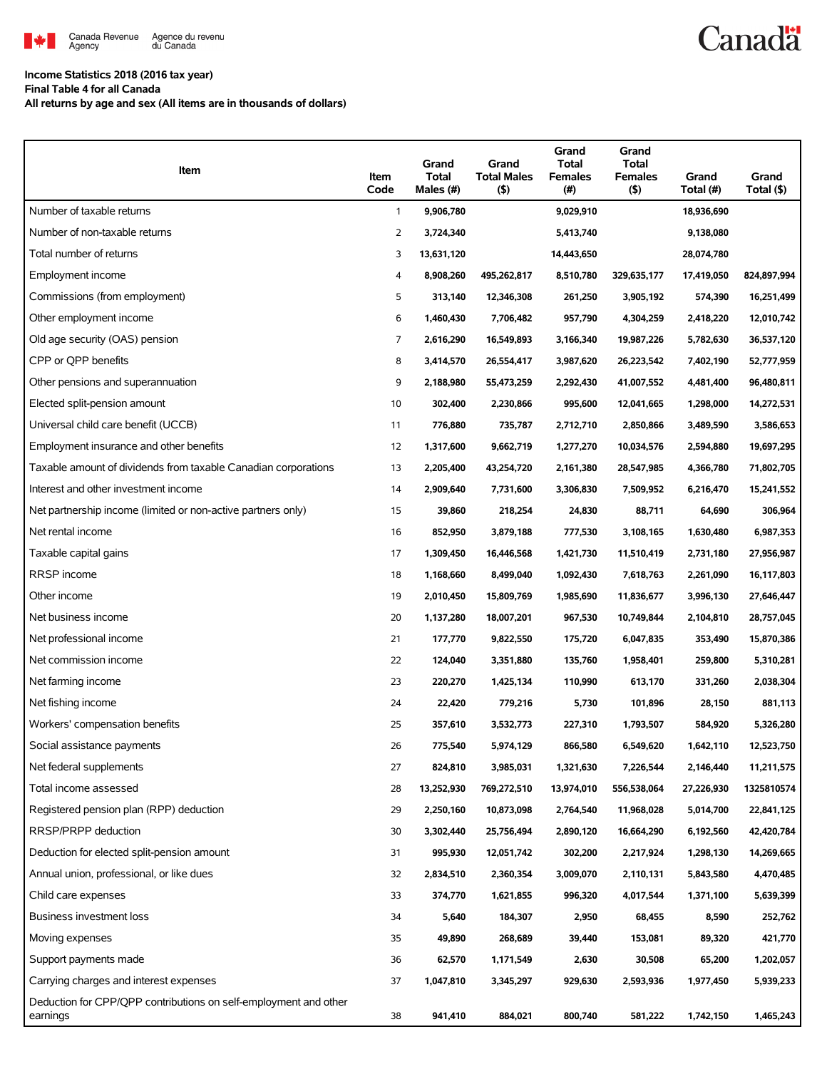

## **Income Statistics 2018 (2016 tax year)**

**Final Table 4 for all Canada**

**All returns by age and sex (All items are in thousands of dollars)**

| Item                                                                         | Item<br>Code   | Grand<br>Total<br>Males (#) | Grand<br><b>Total Males</b><br>$($ \$) | Grand<br>Total<br><b>Females</b><br>(#) | Grand<br><b>Total</b><br><b>Females</b><br>$($ \$) | Grand<br>Total (#) | Grand<br>Total (\$) |
|------------------------------------------------------------------------------|----------------|-----------------------------|----------------------------------------|-----------------------------------------|----------------------------------------------------|--------------------|---------------------|
| Number of taxable returns                                                    | $\mathbf{1}$   | 9,906,780                   |                                        | 9,029,910                               |                                                    | 18,936,690         |                     |
| Number of non-taxable returns                                                | 2              | 3,724,340                   |                                        | 5,413,740                               |                                                    | 9,138,080          |                     |
| Total number of returns                                                      | 3              | 13,631,120                  |                                        | 14,443,650                              |                                                    | 28,074,780         |                     |
| Employment income                                                            | 4              | 8,908,260                   | 495,262,817                            | 8,510,780                               | 329,635,177                                        | 17,419,050         | 824,897,994         |
| Commissions (from employment)                                                | 5              | 313,140                     | 12,346,308                             | 261,250                                 | 3,905,192                                          | 574,390            | 16,251,499          |
| Other employment income                                                      | 6              | 1,460,430                   | 7,706,482                              | 957,790                                 | 4,304,259                                          | 2,418,220          | 12,010,742          |
| Old age security (OAS) pension                                               | $\overline{7}$ | 2,616,290                   | 16,549,893                             | 3,166,340                               | 19,987,226                                         | 5,782,630          | 36,537,120          |
| CPP or QPP benefits                                                          | 8              | 3,414,570                   | 26,554,417                             | 3,987,620                               | 26,223,542                                         | 7,402,190          | 52,777,959          |
| Other pensions and superannuation                                            | 9              | 2,188,980                   | 55,473,259                             | 2,292,430                               | 41,007,552                                         | 4,481,400          | 96,480,811          |
| Elected split-pension amount                                                 | 10             | 302,400                     | 2,230,866                              | 995,600                                 | 12,041,665                                         | 1,298,000          | 14,272,531          |
| Universal child care benefit (UCCB)                                          | 11             | 776,880                     | 735,787                                | 2,712,710                               | 2,850,866                                          | 3,489,590          | 3,586,653           |
| Employment insurance and other benefits                                      | 12             | 1,317,600                   | 9,662,719                              | 1,277,270                               | 10,034,576                                         | 2,594,880          | 19,697,295          |
| Taxable amount of dividends from taxable Canadian corporations               | 13             | 2,205,400                   | 43,254,720                             | 2,161,380                               | 28,547,985                                         | 4,366,780          | 71,802,705          |
| Interest and other investment income                                         | 14             | 2,909,640                   | 7,731,600                              | 3,306,830                               | 7,509,952                                          | 6,216,470          | 15,241,552          |
| Net partnership income (limited or non-active partners only)                 | 15             | 39,860                      | 218,254                                | 24,830                                  | 88,711                                             | 64,690             | 306,964             |
| Net rental income                                                            | 16             | 852,950                     | 3,879,188                              | 777,530                                 | 3,108,165                                          | 1,630,480          | 6,987,353           |
| Taxable capital gains                                                        | 17             | 1,309,450                   | 16,446,568                             | 1,421,730                               | 11,510,419                                         | 2,731,180          | 27,956,987          |
| RRSP income                                                                  | 18             | 1,168,660                   | 8,499,040                              | 1,092,430                               | 7,618,763                                          | 2,261,090          | 16,117,803          |
| Other income                                                                 | 19             | 2,010,450                   | 15,809,769                             | 1,985,690                               | 11,836,677                                         | 3,996,130          | 27,646,447          |
| Net business income                                                          | 20             | 1,137,280                   | 18,007,201                             | 967,530                                 | 10,749,844                                         | 2,104,810          | 28,757,045          |
| Net professional income                                                      | 21             | 177,770                     | 9,822,550                              | 175,720                                 | 6,047,835                                          | 353,490            | 15,870,386          |
| Net commission income                                                        | 22             | 124,040                     | 3,351,880                              | 135,760                                 | 1,958,401                                          | 259,800            | 5,310,281           |
| Net farming income                                                           | 23             | 220,270                     | 1,425,134                              | 110,990                                 | 613,170                                            | 331,260            | 2,038,304           |
| Net fishing income                                                           | 24             | 22,420                      | 779,216                                | 5,730                                   | 101,896                                            | 28,150             | 881,113             |
| Workers' compensation benefits                                               | 25             | 357,610                     | 3,532,773                              | 227,310                                 | 1,793,507                                          | 584,920            | 5,326,280           |
| Social assistance payments                                                   | 26             | 775,540                     | 5,974,129                              | 866,580                                 | 6,549,620                                          | 1,642,110          | 12,523,750          |
| Net federal supplements                                                      | 27             | 824,810                     | 3,985,031                              | 1,321,630                               | 7,226,544                                          | 2,146,440          | 11,211,575          |
| Total income assessed                                                        | 28             | 13,252,930                  | 769,272,510                            | 13,974,010                              | 556,538,064                                        | 27,226,930         | 1325810574          |
| Registered pension plan (RPP) deduction                                      | 29             | 2,250,160                   | 10,873,098                             | 2,764,540                               | 11,968,028                                         | 5,014,700          | 22,841,125          |
| RRSP/PRPP deduction                                                          | 30             | 3,302,440                   | 25,756,494                             | 2,890,120                               | 16,664,290                                         | 6,192,560          | 42,420,784          |
| Deduction for elected split-pension amount                                   | 31             | 995,930                     | 12,051,742                             | 302,200                                 | 2,217,924                                          | 1,298,130          | 14,269,665          |
| Annual union, professional, or like dues                                     | 32             | 2,834,510                   | 2,360,354                              | 3,009,070                               | 2,110,131                                          | 5,843,580          | 4,470,485           |
| Child care expenses                                                          | 33             | 374,770                     | 1,621,855                              | 996,320                                 | 4,017,544                                          | 1,371,100          | 5,639,399           |
| <b>Business investment loss</b>                                              | 34             | 5,640                       | 184,307                                | 2,950                                   | 68,455                                             | 8,590              | 252,762             |
| Moving expenses                                                              | 35             | 49,890                      | 268,689                                | 39,440                                  | 153,081                                            | 89,320             | 421,770             |
| Support payments made                                                        | 36             | 62,570                      | 1,171,549                              | 2,630                                   | 30,508                                             | 65,200             | 1,202,057           |
| Carrying charges and interest expenses                                       | 37             | 1,047,810                   | 3,345,297                              | 929,630                                 | 2,593,936                                          | 1,977,450          | 5,939,233           |
| Deduction for CPP/QPP contributions on self-employment and other<br>earnings | 38             | 941,410                     | 884,021                                | 800,740                                 | 581,222                                            | 1,742,150          | 1,465,243           |

Canadä<sup>t</sup>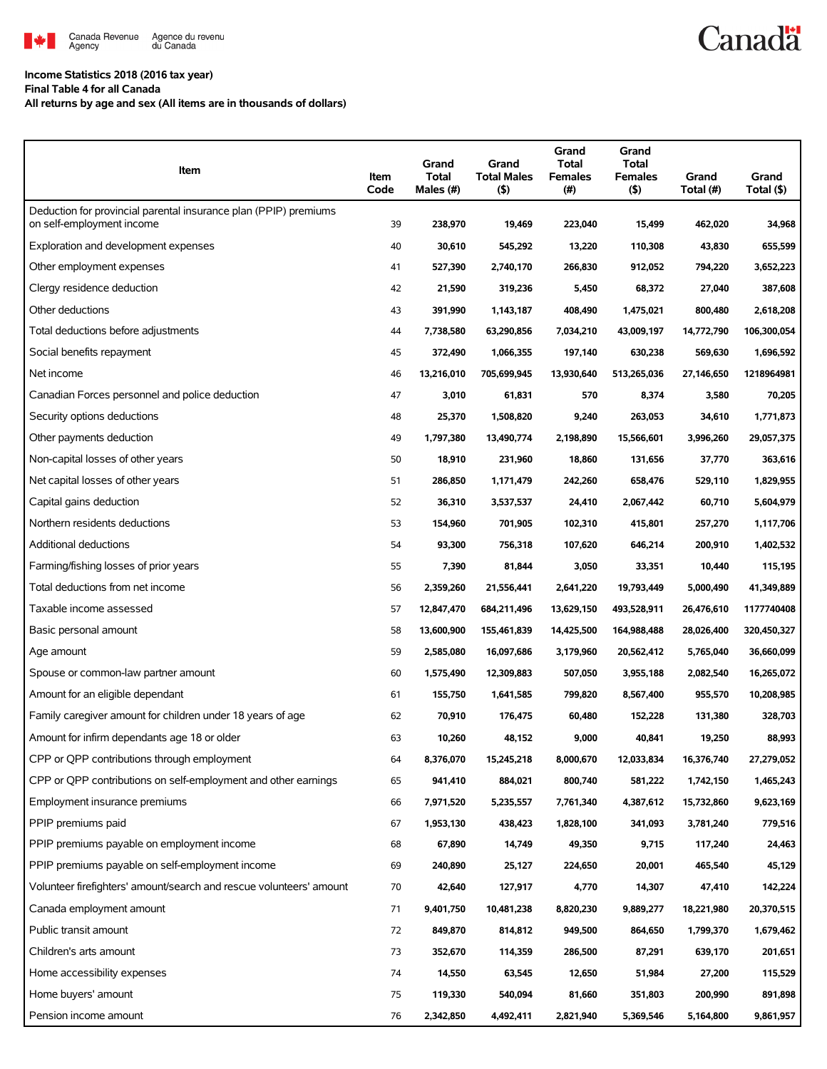

## **Income Statistics 2018 (2016 tax year)**

**Final Table 4 for all Canada**

**All returns by age and sex (All items are in thousands of dollars)**

| Deduction for provincial parental insurance plan (PPIP) premiums<br>on self-employment income<br>39<br>34,968<br>238,970<br>19,469<br>223,040<br>15,499<br>462,020<br>Exploration and development expenses<br>40<br>655,599<br>30,610<br>545,292<br>13,220<br>110,308<br>43,830<br>Other employment expenses<br>41<br>527,390<br>2,740,170<br>266,830<br>912,052<br>794,220<br>3,652,223 |
|------------------------------------------------------------------------------------------------------------------------------------------------------------------------------------------------------------------------------------------------------------------------------------------------------------------------------------------------------------------------------------------|
|                                                                                                                                                                                                                                                                                                                                                                                          |
|                                                                                                                                                                                                                                                                                                                                                                                          |
|                                                                                                                                                                                                                                                                                                                                                                                          |
|                                                                                                                                                                                                                                                                                                                                                                                          |
| Clergy residence deduction<br>42<br>387,608<br>21,590<br>319,236<br>5,450<br>68,372<br>27,040                                                                                                                                                                                                                                                                                            |
| Other deductions<br>43<br>800,480<br>2,618,208<br>391,990<br>1,143,187<br>408,490<br>1,475,021                                                                                                                                                                                                                                                                                           |
| Total deductions before adjustments<br>44<br>7,738,580<br>63,290,856<br>7,034,210<br>43,009,197<br>14,772,790<br>106,300,054                                                                                                                                                                                                                                                             |
| Social benefits repayment<br>45<br>1,696,592<br>372,490<br>1,066,355<br>197,140<br>630,238<br>569,630                                                                                                                                                                                                                                                                                    |
| Net income<br>46<br>13,216,010<br>705,699,945<br>13,930,640<br>513,265,036<br>27,146,650<br>1218964981                                                                                                                                                                                                                                                                                   |
| Canadian Forces personnel and police deduction<br>47<br>3,010<br>570<br>70,205<br>61,831<br>8,374<br>3,580                                                                                                                                                                                                                                                                               |
| Security options deductions<br>1,771,873<br>48<br>25,370<br>1,508,820<br>9,240<br>263,053<br>34,610                                                                                                                                                                                                                                                                                      |
| Other payments deduction<br>49<br>1,797,380<br>13,490,774<br>2,198,890<br>15,566,601<br>3,996,260<br>29,057,375                                                                                                                                                                                                                                                                          |
| Non-capital losses of other years<br>50<br>363,616<br>18,910<br>231,960<br>18,860<br>131,656<br>37,770                                                                                                                                                                                                                                                                                   |
| Net capital losses of other years<br>51<br>286,850<br>1,171,479<br>242,260<br>658,476<br>529,110<br>1,829,955                                                                                                                                                                                                                                                                            |
| Capital gains deduction<br>52<br>36,310<br>3,537,537<br>24,410<br>2,067,442<br>60,710<br>5,604,979                                                                                                                                                                                                                                                                                       |
| Northern residents deductions<br>53<br>415,801<br>154,960<br>701,905<br>102,310<br>257,270<br>1,117,706                                                                                                                                                                                                                                                                                  |
| Additional deductions<br>54<br>93,300<br>756,318<br>107,620<br>646,214<br>200,910<br>1,402,532                                                                                                                                                                                                                                                                                           |
| Farming/fishing losses of prior years<br>55<br>7,390<br>81,844<br>3,050<br>33,351<br>10,440<br>115,195                                                                                                                                                                                                                                                                                   |
| Total deductions from net income<br>56<br>41,349,889<br>2,359,260<br>21,556,441<br>2,641,220<br>19,793,449<br>5,000,490                                                                                                                                                                                                                                                                  |
| Taxable income assessed<br>57<br>1177740408<br>12,847,470<br>684,211,496<br>13,629,150<br>493,528,911<br>26,476,610                                                                                                                                                                                                                                                                      |
| Basic personal amount<br>58<br>13,600,900<br>155,461,839<br>14,425,500<br>164,988,488<br>28,026,400<br>320,450,327                                                                                                                                                                                                                                                                       |
| 59<br>Age amount<br>2,585,080<br>16,097,686<br>3,179,960<br>20,562,412<br>5,765,040<br>36,660,099                                                                                                                                                                                                                                                                                        |
| Spouse or common-law partner amount<br>60<br>1,575,490<br>12,309,883<br>507,050<br>3,955,188<br>2,082,540<br>16,265,072                                                                                                                                                                                                                                                                  |
| Amount for an eligible dependant<br>10,208,985<br>61<br>155,750<br>1,641,585<br>799,820<br>8,567,400<br>955,570                                                                                                                                                                                                                                                                          |
| Family caregiver amount for children under 18 years of age<br>62<br>70,910<br>176,475<br>60,480<br>152,228<br>131,380<br>328,703                                                                                                                                                                                                                                                         |
| Amount for infirm dependants age 18 or older<br>63<br>9,000<br>40,841<br>88,993<br>10,260<br>48,152<br>19,250                                                                                                                                                                                                                                                                            |
| CPP or QPP contributions through employment<br>8,376,070<br>8,000,670<br>12,033,834<br>16,376,740<br>27,279,052<br>64<br>15,245,218                                                                                                                                                                                                                                                      |
| CPP or QPP contributions on self-employment and other earnings<br>65<br>941,410<br>884,021<br>800,740<br>581,222<br>1,742,150<br>1,465,243                                                                                                                                                                                                                                               |
| Employment insurance premiums<br>66<br>7,971,520<br>5,235,557<br>7,761,340<br>4,387,612<br>15,732,860<br>9,623,169                                                                                                                                                                                                                                                                       |
| PPIP premiums paid<br>67<br>1,953,130<br>438,423<br>1,828,100<br>341,093<br>3,781,240<br>779,516                                                                                                                                                                                                                                                                                         |
| PPIP premiums payable on employment income<br>14,749<br>68<br>67,890<br>49,350<br>9,715<br>117,240<br>24,463                                                                                                                                                                                                                                                                             |
| PPIP premiums payable on self-employment income<br>465,540<br>45,129<br>69<br>240,890<br>25,127<br>224,650<br>20,001                                                                                                                                                                                                                                                                     |
| Volunteer firefighters' amount/search and rescue volunteers' amount<br>70<br>42,640<br>4,770<br>14,307<br>142,224<br>127,917<br>47,410                                                                                                                                                                                                                                                   |
| Canada employment amount<br>71<br>9,401,750<br>10,481,238<br>8,820,230<br>9,889,277<br>18,221,980<br>20,370,515                                                                                                                                                                                                                                                                          |
| Public transit amount<br>72<br>849,870<br>814,812<br>949,500<br>864,650<br>1,799,370<br>1,679,462                                                                                                                                                                                                                                                                                        |
| Children's arts amount<br>87,291<br>639,170<br>73<br>352,670<br>114,359<br>286,500<br>201,651                                                                                                                                                                                                                                                                                            |
| Home accessibility expenses<br>74<br>14,550<br>63,545<br>12,650<br>51,984<br>27,200<br>115,529                                                                                                                                                                                                                                                                                           |
| Home buyers' amount<br>75<br>119,330<br>540,094<br>81,660<br>351,803<br>200,990<br>891,898                                                                                                                                                                                                                                                                                               |
| Pension income amount<br>76<br>2,342,850<br>9,861,957<br>4,492,411<br>2,821,940<br>5,369,546<br>5,164,800                                                                                                                                                                                                                                                                                |

**Canadä**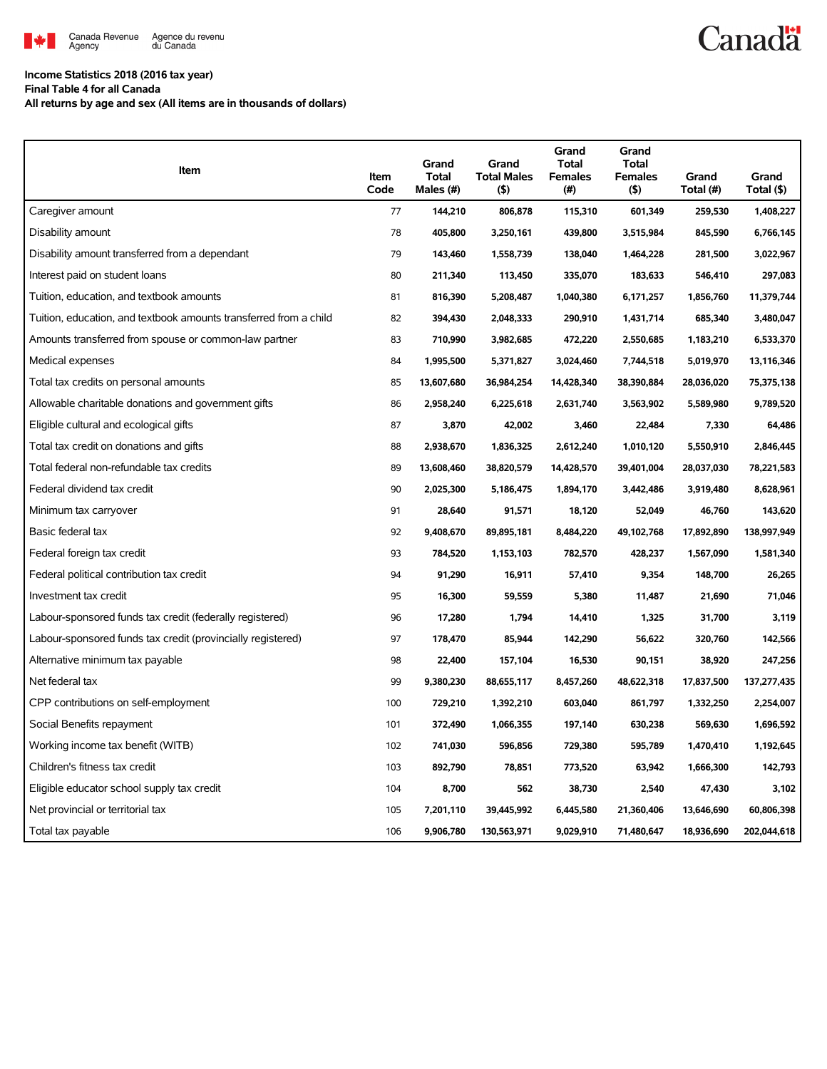

## **Income Statistics 2018 (2016 tax year)**

**Final Table 4 for all Canada**

**All returns by age and sex (All items are in thousands of dollars)**

| Item                                                              | Item<br>Code | Grand<br><b>Total</b><br>Males (#) | Grand<br><b>Total Males</b><br>$($ \$) | Grand<br>Total<br><b>Females</b><br>(#) | Grand<br><b>Total</b><br><b>Females</b><br>(5) | Grand<br>Total (#) | Grand<br>Total (\$) |
|-------------------------------------------------------------------|--------------|------------------------------------|----------------------------------------|-----------------------------------------|------------------------------------------------|--------------------|---------------------|
| Caregiver amount                                                  | 77           | 144,210                            | 806,878                                | 115,310                                 | 601,349                                        | 259,530            | 1,408,227           |
| Disability amount                                                 | 78           | 405,800                            | 3,250,161                              | 439,800                                 | 3,515,984                                      | 845,590            | 6,766,145           |
| Disability amount transferred from a dependant                    | 79           | 143,460                            | 1,558,739                              | 138,040                                 | 1,464,228                                      | 281,500            | 3,022,967           |
| Interest paid on student loans                                    | 80           | 211,340                            | 113,450                                | 335,070                                 | 183,633                                        | 546,410            | 297,083             |
| Tuition, education, and textbook amounts                          | 81           | 816,390                            | 5,208,487                              | 1,040,380                               | 6,171,257                                      | 1,856,760          | 11,379,744          |
| Tuition, education, and textbook amounts transferred from a child | 82           | 394,430                            | 2,048,333                              | 290,910                                 | 1,431,714                                      | 685,340            | 3,480,047           |
| Amounts transferred from spouse or common-law partner             | 83           | 710,990                            | 3,982,685                              | 472,220                                 | 2,550,685                                      | 1,183,210          | 6,533,370           |
| Medical expenses                                                  | 84           | 1,995,500                          | 5,371,827                              | 3,024,460                               | 7,744,518                                      | 5,019,970          | 13,116,346          |
| Total tax credits on personal amounts                             | 85           | 13,607,680                         | 36,984,254                             | 14,428,340                              | 38,390,884                                     | 28,036,020         | 75,375,138          |
| Allowable charitable donations and government gifts               | 86           | 2,958,240                          | 6,225,618                              | 2,631,740                               | 3,563,902                                      | 5,589,980          | 9,789,520           |
| Eligible cultural and ecological gifts                            | 87           | 3,870                              | 42,002                                 | 3,460                                   | 22,484                                         | 7,330              | 64,486              |
| Total tax credit on donations and gifts                           | 88           | 2,938,670                          | 1,836,325                              | 2,612,240                               | 1,010,120                                      | 5,550,910          | 2,846,445           |
| Total federal non-refundable tax credits                          | 89           | 13,608,460                         | 38,820,579                             | 14,428,570                              | 39,401,004                                     | 28,037,030         | 78,221,583          |
| Federal dividend tax credit                                       | 90           | 2,025,300                          | 5,186,475                              | 1,894,170                               | 3,442,486                                      | 3,919,480          | 8,628,961           |
| Minimum tax carryover                                             | 91           | 28,640                             | 91,571                                 | 18,120                                  | 52,049                                         | 46,760             | 143,620             |
| Basic federal tax                                                 | 92           | 9,408,670                          | 89,895,181                             | 8,484,220                               | 49,102,768                                     | 17,892,890         | 138,997,949         |
| Federal foreign tax credit                                        | 93           | 784,520                            | 1,153,103                              | 782,570                                 | 428,237                                        | 1,567,090          | 1,581,340           |
| Federal political contribution tax credit                         | 94           | 91,290                             | 16,911                                 | 57,410                                  | 9,354                                          | 148,700            | 26,265              |
| Investment tax credit                                             | 95           | 16,300                             | 59,559                                 | 5,380                                   | 11,487                                         | 21,690             | 71,046              |
| Labour-sponsored funds tax credit (federally registered)          | 96           | 17,280                             | 1,794                                  | 14,410                                  | 1,325                                          | 31,700             | 3,119               |
| Labour-sponsored funds tax credit (provincially registered)       | 97           | 178,470                            | 85,944                                 | 142,290                                 | 56,622                                         | 320,760            | 142,566             |
| Alternative minimum tax payable                                   | 98           | 22,400                             | 157,104                                | 16,530                                  | 90,151                                         | 38,920             | 247,256             |
| Net federal tax                                                   | 99           | 9,380,230                          | 88,655,117                             | 8,457,260                               | 48,622,318                                     | 17,837,500         | 137,277,435         |
| CPP contributions on self-employment                              | 100          | 729,210                            | 1,392,210                              | 603,040                                 | 861,797                                        | 1,332,250          | 2,254,007           |
| Social Benefits repayment                                         | 101          | 372,490                            | 1,066,355                              | 197,140                                 | 630,238                                        | 569,630            | 1,696,592           |
| Working income tax benefit (WITB)                                 | 102          | 741,030                            | 596,856                                | 729.380                                 | 595,789                                        | 1,470,410          | 1,192,645           |
| Children's fitness tax credit                                     | 103          | 892,790                            | 78,851                                 | 773,520                                 | 63,942                                         | 1,666,300          | 142,793             |
| Eligible educator school supply tax credit                        | 104          | 8,700                              | 562                                    | 38,730                                  | 2,540                                          | 47,430             | 3,102               |
| Net provincial or territorial tax                                 | 105          | 7,201,110                          | 39,445,992                             | 6,445,580                               | 21,360,406                                     | 13,646,690         | 60,806,398          |
| Total tax payable                                                 | 106          | 9,906,780                          | 130,563,971                            | 9,029,910                               | 71,480,647                                     | 18,936,690         | 202,044,618         |

**Canadä**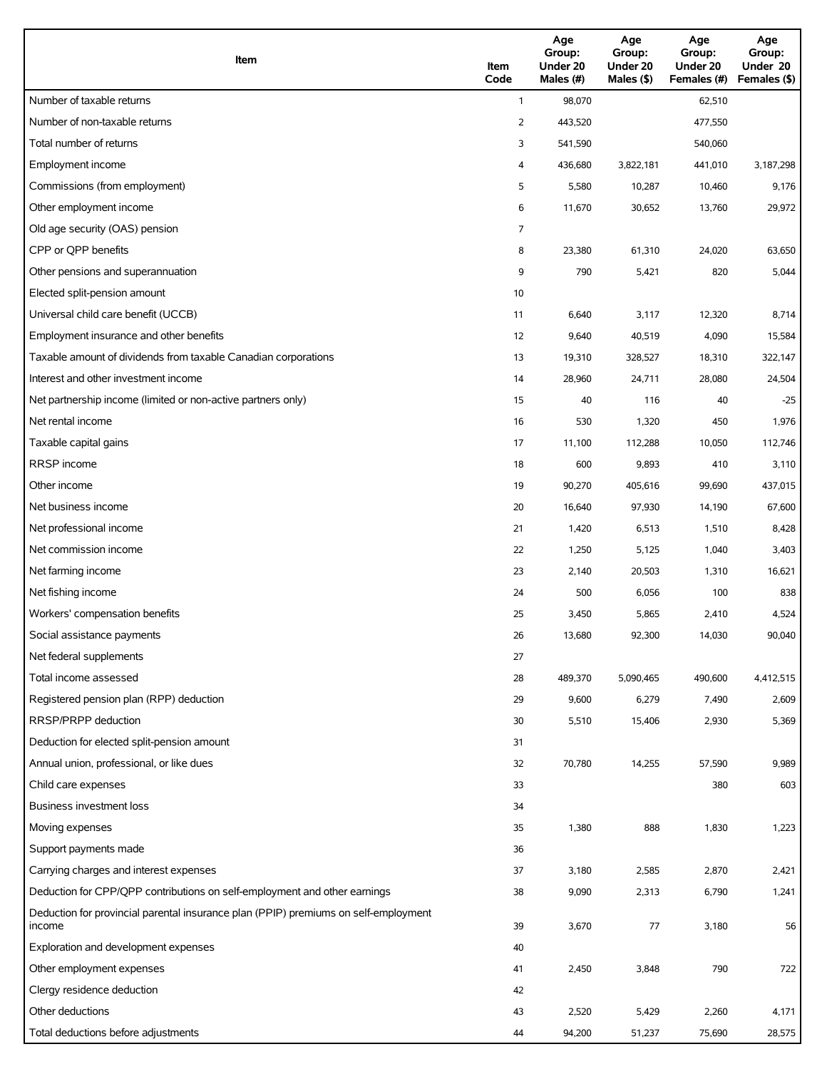| Item                                                                                          | Item<br>Code | Age<br>Group:<br>Under 20<br>Males (#) | Age<br>Group:<br>Under 20<br>Males (\$) | Age<br>Group:<br>Under 20<br>Females (#) | Age<br>Group:<br>Under 20<br>Females (\$) |
|-----------------------------------------------------------------------------------------------|--------------|----------------------------------------|-----------------------------------------|------------------------------------------|-------------------------------------------|
| Number of taxable returns                                                                     | $\mathbf{1}$ | 98,070                                 |                                         | 62,510                                   |                                           |
| Number of non-taxable returns                                                                 | 2            | 443,520                                |                                         | 477,550                                  |                                           |
| Total number of returns                                                                       | 3            | 541,590                                |                                         | 540,060                                  |                                           |
| Employment income                                                                             | 4            | 436,680                                | 3,822,181                               | 441,010                                  | 3,187,298                                 |
| Commissions (from employment)                                                                 | 5            | 5,580                                  | 10,287                                  | 10,460                                   | 9,176                                     |
| Other employment income                                                                       | 6            | 11,670                                 | 30,652                                  | 13,760                                   | 29,972                                    |
| Old age security (OAS) pension                                                                | 7            |                                        |                                         |                                          |                                           |
| CPP or QPP benefits                                                                           | 8            | 23,380                                 | 61,310                                  | 24,020                                   | 63,650                                    |
| Other pensions and superannuation                                                             | 9            | 790                                    | 5,421                                   | 820                                      | 5,044                                     |
| Elected split-pension amount                                                                  | 10           |                                        |                                         |                                          |                                           |
| Universal child care benefit (UCCB)                                                           | 11           | 6,640                                  | 3,117                                   | 12,320                                   | 8,714                                     |
| Employment insurance and other benefits                                                       | 12           | 9,640                                  | 40,519                                  | 4,090                                    | 15,584                                    |
| Taxable amount of dividends from taxable Canadian corporations                                | 13           | 19,310                                 | 328,527                                 | 18,310                                   | 322,147                                   |
| Interest and other investment income                                                          | 14           | 28,960                                 | 24,711                                  | 28,080                                   | 24,504                                    |
| Net partnership income (limited or non-active partners only)                                  | 15           | 40                                     | 116                                     | 40                                       | $-25$                                     |
| Net rental income                                                                             | 16           | 530                                    | 1,320                                   | 450                                      | 1,976                                     |
| Taxable capital gains                                                                         | 17           | 11,100                                 | 112,288                                 | 10,050                                   | 112,746                                   |
| <b>RRSP</b> income                                                                            | 18           | 600                                    | 9,893                                   | 410                                      | 3,110                                     |
| Other income                                                                                  | 19           | 90,270                                 | 405,616                                 | 99,690                                   | 437,015                                   |
| Net business income                                                                           | 20           | 16,640                                 | 97,930                                  | 14,190                                   | 67,600                                    |
| Net professional income                                                                       | 21           | 1,420                                  | 6,513                                   | 1,510                                    | 8,428                                     |
| Net commission income                                                                         | 22           | 1,250                                  | 5,125                                   | 1,040                                    | 3,403                                     |
| Net farming income                                                                            | 23           | 2,140                                  | 20,503                                  | 1,310                                    | 16,621                                    |
| Net fishing income                                                                            | 24           | 500                                    | 6,056                                   | 100                                      | 838                                       |
| Workers' compensation benefits                                                                | 25           | 3,450                                  | 5,865                                   | 2,410                                    | 4,524                                     |
| Social assistance payments                                                                    | 26           | 13,680                                 | 92,300                                  | 14,030                                   | 90,040                                    |
| Net federal supplements                                                                       | 27           |                                        |                                         |                                          |                                           |
| Total income assessed                                                                         | 28           | 489,370                                | 5,090,465                               | 490,600                                  | 4,412,515                                 |
| Registered pension plan (RPP) deduction                                                       | 29           | 9,600                                  | 6,279                                   | 7,490                                    | 2,609                                     |
| RRSP/PRPP deduction                                                                           | 30           | 5,510                                  | 15,406                                  | 2,930                                    | 5,369                                     |
| Deduction for elected split-pension amount                                                    | 31           |                                        |                                         |                                          |                                           |
| Annual union, professional, or like dues                                                      | 32           | 70,780                                 | 14,255                                  | 57,590                                   | 9,989                                     |
| Child care expenses                                                                           | 33           |                                        |                                         | 380                                      | 603                                       |
| Business investment loss                                                                      | 34           |                                        |                                         |                                          |                                           |
| Moving expenses                                                                               | 35           | 1,380                                  | 888                                     | 1,830                                    | 1,223                                     |
| Support payments made                                                                         | 36           |                                        |                                         |                                          |                                           |
| Carrying charges and interest expenses                                                        | 37           | 3,180                                  | 2,585                                   | 2,870                                    | 2,421                                     |
| Deduction for CPP/QPP contributions on self-employment and other earnings                     | 38           | 9,090                                  | 2,313                                   | 6,790                                    | 1,241                                     |
| Deduction for provincial parental insurance plan (PPIP) premiums on self-employment<br>income | 39           | 3,670                                  | 77                                      | 3,180                                    | 56                                        |
| Exploration and development expenses                                                          | 40           |                                        |                                         |                                          |                                           |
| Other employment expenses                                                                     | 41           | 2,450                                  | 3,848                                   | 790                                      | 722                                       |
| Clergy residence deduction                                                                    | 42           |                                        |                                         |                                          |                                           |
| Other deductions                                                                              | 43           | 2,520                                  | 5,429                                   | 2,260                                    | 4,171                                     |
| Total deductions before adjustments                                                           | 44           | 94,200                                 | 51,237                                  | 75,690                                   | 28,575                                    |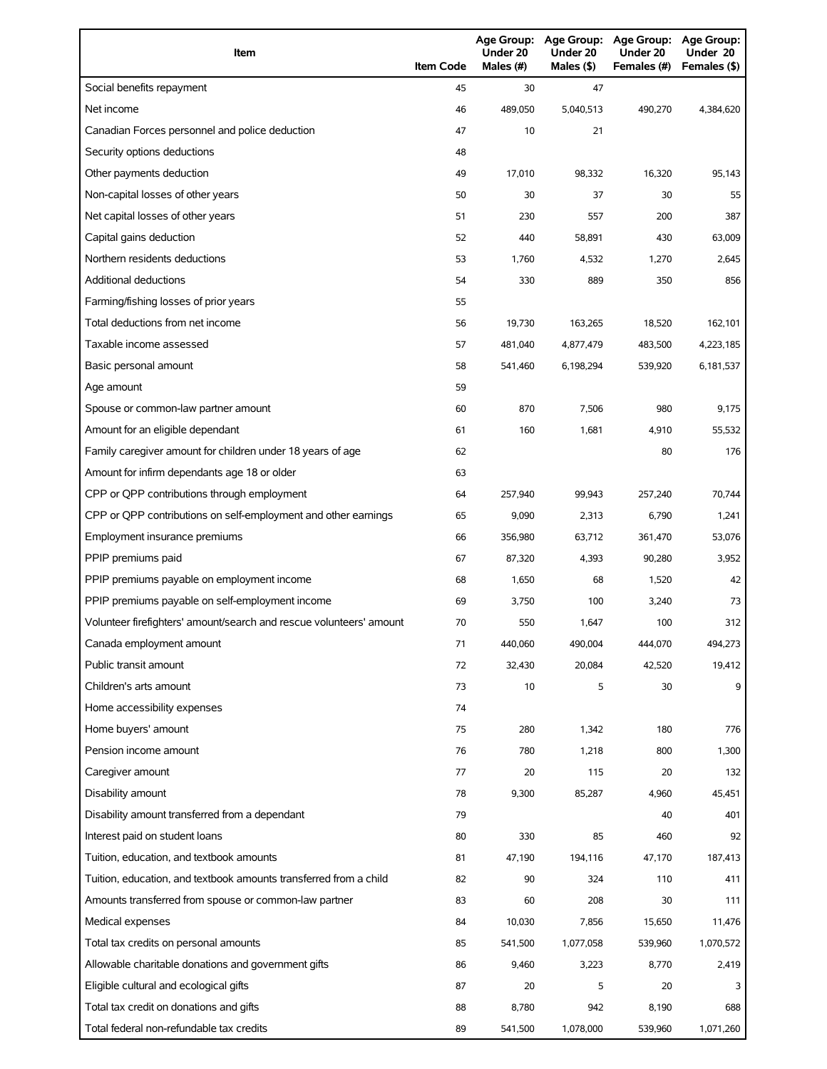| Item                                                                | <b>Item Code</b> | Under 20<br>Males (#) | Under 20<br>Males (\$) | Age Group: Age Group: Age Group:<br>Under 20<br>Females (#) | Age Group:<br>Under 20<br>Females (\$) |
|---------------------------------------------------------------------|------------------|-----------------------|------------------------|-------------------------------------------------------------|----------------------------------------|
| Social benefits repayment                                           | 45               | 30                    | 47                     |                                                             |                                        |
| Net income                                                          | 46               | 489,050               | 5,040,513              | 490,270                                                     | 4,384,620                              |
| Canadian Forces personnel and police deduction                      | 47               | 10                    | 21                     |                                                             |                                        |
| Security options deductions                                         | 48               |                       |                        |                                                             |                                        |
| Other payments deduction                                            | 49               | 17,010                | 98,332                 | 16,320                                                      | 95,143                                 |
| Non-capital losses of other years                                   | 50               | 30                    | 37                     | 30                                                          | 55                                     |
| Net capital losses of other years                                   | 51               | 230                   | 557                    | 200                                                         | 387                                    |
| Capital gains deduction                                             | 52               | 440                   | 58,891                 | 430                                                         | 63,009                                 |
| Northern residents deductions                                       | 53               | 1,760                 | 4,532                  | 1,270                                                       | 2,645                                  |
| Additional deductions                                               | 54               | 330                   | 889                    | 350                                                         | 856                                    |
| Farming/fishing losses of prior years                               | 55               |                       |                        |                                                             |                                        |
| Total deductions from net income                                    | 56               | 19,730                | 163,265                | 18,520                                                      | 162,101                                |
| Taxable income assessed                                             | 57               | 481,040               | 4,877,479              | 483,500                                                     | 4,223,185                              |
| Basic personal amount                                               | 58               | 541,460               | 6,198,294              | 539,920                                                     | 6,181,537                              |
| Age amount                                                          | 59               |                       |                        |                                                             |                                        |
| Spouse or common-law partner amount                                 | 60               | 870                   | 7,506                  | 980                                                         | 9,175                                  |
| Amount for an eligible dependant                                    | 61               | 160                   | 1,681                  | 4,910                                                       | 55,532                                 |
| Family caregiver amount for children under 18 years of age          | 62               |                       |                        | 80                                                          | 176                                    |
| Amount for infirm dependants age 18 or older                        | 63               |                       |                        |                                                             |                                        |
| CPP or QPP contributions through employment                         | 64               | 257,940               | 99,943                 | 257,240                                                     | 70,744                                 |
| CPP or QPP contributions on self-employment and other earnings      | 65               | 9,090                 | 2,313                  | 6,790                                                       | 1,241                                  |
| Employment insurance premiums                                       | 66               | 356,980               | 63,712                 | 361,470                                                     | 53,076                                 |
| PPIP premiums paid                                                  | 67               | 87,320                | 4,393                  | 90,280                                                      | 3,952                                  |
| PPIP premiums payable on employment income                          | 68               | 1,650                 | 68                     | 1,520                                                       | 42                                     |
| PPIP premiums payable on self-employment income                     | 69               | 3,750                 | 100                    | 3,240                                                       | 73                                     |
| Volunteer firefighters' amount/search and rescue volunteers' amount | 70               | 550                   | 1,647                  | 100                                                         | 312                                    |
| Canada employment amount                                            | 71               | 440,060               | 490,004                | 444,070                                                     | 494,273                                |
| Public transit amount                                               | 72               | 32,430                | 20,084                 | 42,520                                                      | 19,412                                 |
| Children's arts amount                                              | 73               | 10                    | 5                      | 30                                                          | 9                                      |
| Home accessibility expenses                                         | 74               |                       |                        |                                                             |                                        |
| Home buyers' amount                                                 | 75               | 280                   | 1,342                  | 180                                                         | 776                                    |
| Pension income amount                                               | 76               | 780                   | 1,218                  | 800                                                         | 1,300                                  |
| Caregiver amount                                                    | 77               | 20                    | 115                    | 20                                                          | 132                                    |
| Disability amount                                                   | 78               | 9,300                 | 85,287                 | 4,960                                                       | 45,451                                 |
| Disability amount transferred from a dependant                      | 79               |                       |                        | 40                                                          | 401                                    |
| Interest paid on student loans                                      | 80               | 330                   | 85                     | 460                                                         | 92                                     |
| Tuition, education, and textbook amounts                            | 81               | 47,190                | 194,116                | 47,170                                                      | 187,413                                |
| Tuition, education, and textbook amounts transferred from a child   | 82               | 90                    | 324                    | 110                                                         | 411                                    |
| Amounts transferred from spouse or common-law partner               | 83               | 60                    | 208                    | 30                                                          | 111                                    |
| Medical expenses                                                    | 84               | 10,030                | 7,856                  | 15,650                                                      | 11,476                                 |
| Total tax credits on personal amounts                               | 85               | 541,500               | 1,077,058              | 539,960                                                     | 1,070,572                              |
| Allowable charitable donations and government gifts                 | 86               | 9,460                 | 3,223                  | 8,770                                                       | 2,419                                  |
| Eligible cultural and ecological gifts                              | 87               | 20                    | 5                      | 20                                                          | 3                                      |
| Total tax credit on donations and gifts                             | 88               | 8,780                 | 942                    | 8,190                                                       | 688                                    |
| Total federal non-refundable tax credits                            | 89               | 541,500               | 1,078,000              | 539,960                                                     | 1,071,260                              |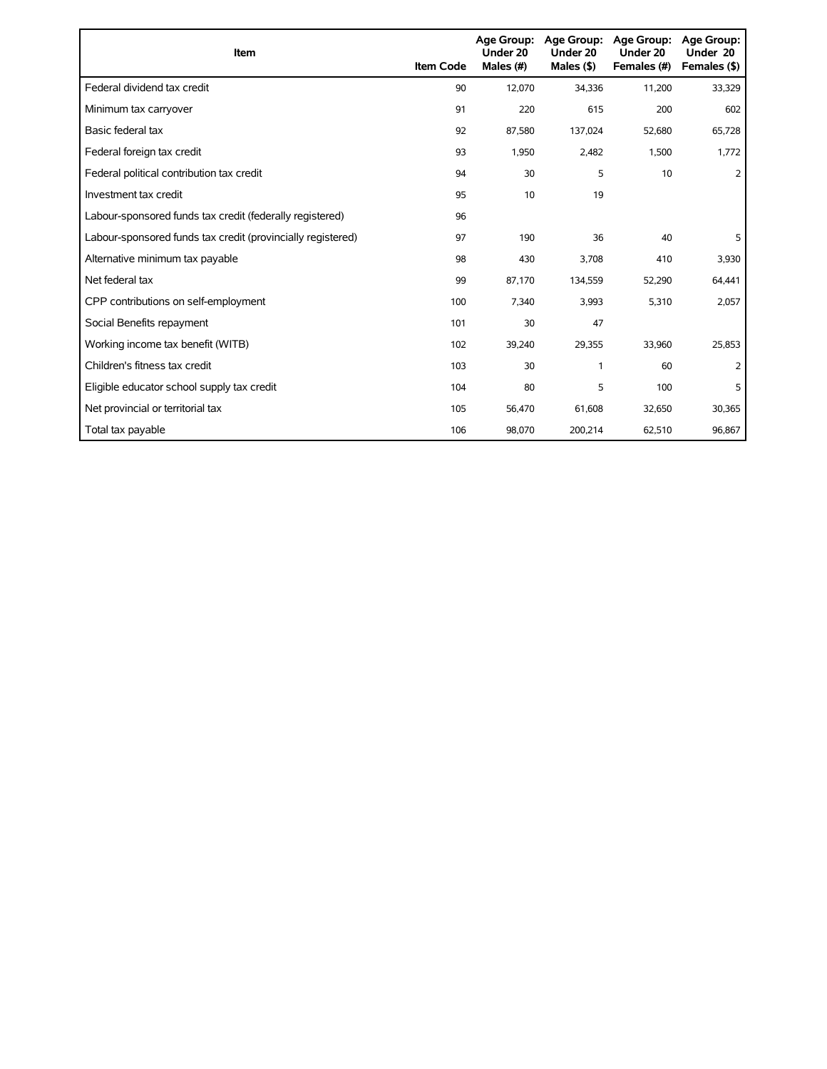| Item                                                        | <b>Item Code</b> | <b>Age Group:</b><br>Under 20<br>Males (#) | Age Group:<br>Under 20<br>Males $($ \$) | <b>Age Group:</b><br>Under 20<br>Females (#) | <b>Age Group:</b><br>Under 20<br>Females (\$) |
|-------------------------------------------------------------|------------------|--------------------------------------------|-----------------------------------------|----------------------------------------------|-----------------------------------------------|
| Federal dividend tax credit                                 | 90               | 12,070                                     | 34,336                                  | 11,200                                       | 33,329                                        |
| Minimum tax carryover                                       | 91               | 220                                        | 615                                     | 200                                          | 602                                           |
| Basic federal tax                                           | 92               | 87,580                                     | 137,024                                 | 52,680                                       | 65,728                                        |
| Federal foreign tax credit                                  | 93               | 1,950                                      | 2,482                                   | 1,500                                        | 1,772                                         |
| Federal political contribution tax credit                   | 94               | 30                                         | 5                                       | 10                                           | 2                                             |
| Investment tax credit                                       | 95               | 10                                         | 19                                      |                                              |                                               |
| Labour-sponsored funds tax credit (federally registered)    | 96               |                                            |                                         |                                              |                                               |
| Labour-sponsored funds tax credit (provincially registered) | 97               | 190                                        | 36                                      | 40                                           | 5                                             |
| Alternative minimum tax payable                             | 98               | 430                                        | 3,708                                   | 410                                          | 3,930                                         |
| Net federal tax                                             | 99               | 87,170                                     | 134,559                                 | 52,290                                       | 64,441                                        |
| CPP contributions on self-employment                        | 100              | 7,340                                      | 3,993                                   | 5,310                                        | 2,057                                         |
| Social Benefits repayment                                   | 101              | 30                                         | 47                                      |                                              |                                               |
| Working income tax benefit (WITB)                           | 102              | 39,240                                     | 29,355                                  | 33,960                                       | 25,853                                        |
| Children's fitness tax credit                               | 103              | 30                                         | 1                                       | 60                                           | 2                                             |
| Eligible educator school supply tax credit                  | 104              | 80                                         | 5                                       | 100                                          | 5                                             |
| Net provincial or territorial tax                           | 105              | 56,470                                     | 61,608                                  | 32,650                                       | 30,365                                        |
| Total tax payable                                           | 106              | 98,070                                     | 200,214                                 | 62,510                                       | 96,867                                        |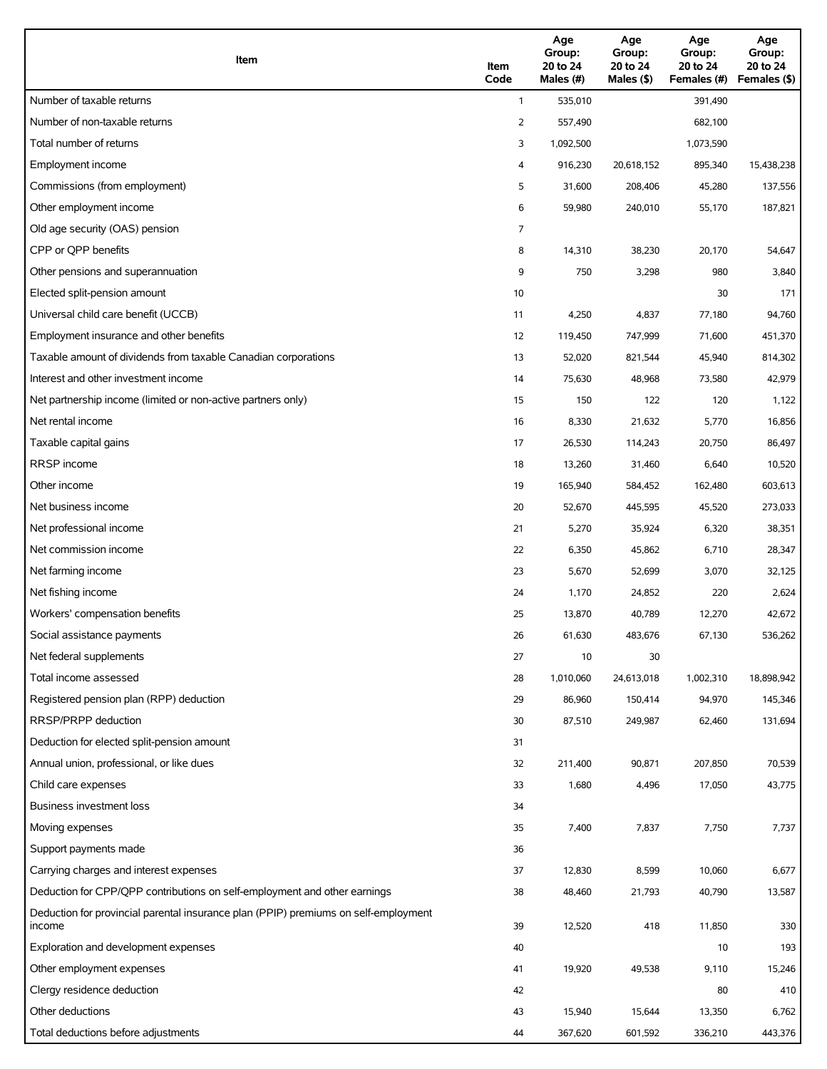| Item                                                                                          | Item<br>Code            | Age<br>Group:<br>20 to 24<br>Males (#) | Age<br>Group:<br>20 to 24<br>Males (\$) | Age<br>Group:<br>20 to 24<br>Females (#) | Age<br>Group:<br>20 to 24<br>Females (\$) |
|-----------------------------------------------------------------------------------------------|-------------------------|----------------------------------------|-----------------------------------------|------------------------------------------|-------------------------------------------|
| Number of taxable returns                                                                     | $\mathbf{1}$            | 535,010                                |                                         | 391,490                                  |                                           |
| Number of non-taxable returns                                                                 | 2                       | 557,490                                |                                         | 682,100                                  |                                           |
| Total number of returns                                                                       | 3                       | 1,092,500                              |                                         | 1,073,590                                |                                           |
| Employment income                                                                             | $\overline{\mathbf{4}}$ | 916,230                                | 20,618,152                              | 895,340                                  | 15,438,238                                |
| Commissions (from employment)                                                                 | 5                       | 31,600                                 | 208,406                                 | 45,280                                   | 137,556                                   |
| Other employment income                                                                       | 6                       | 59,980                                 | 240,010                                 | 55,170                                   | 187,821                                   |
| Old age security (OAS) pension                                                                | 7                       |                                        |                                         |                                          |                                           |
| CPP or QPP benefits                                                                           | 8                       | 14,310                                 | 38,230                                  | 20,170                                   | 54,647                                    |
| Other pensions and superannuation                                                             | 9                       | 750                                    | 3,298                                   | 980                                      | 3,840                                     |
| Elected split-pension amount                                                                  | 10                      |                                        |                                         | 30                                       | 171                                       |
| Universal child care benefit (UCCB)                                                           | 11                      | 4,250                                  | 4,837                                   | 77,180                                   | 94,760                                    |
| Employment insurance and other benefits                                                       | 12                      | 119,450                                | 747,999                                 | 71,600                                   | 451,370                                   |
| Taxable amount of dividends from taxable Canadian corporations                                | 13                      | 52,020                                 | 821,544                                 | 45,940                                   | 814,302                                   |
| Interest and other investment income                                                          | 14                      | 75,630                                 | 48,968                                  | 73,580                                   | 42,979                                    |
| Net partnership income (limited or non-active partners only)                                  | 15                      | 150                                    | 122                                     | 120                                      | 1,122                                     |
| Net rental income                                                                             | 16                      | 8,330                                  | 21,632                                  | 5,770                                    | 16,856                                    |
| Taxable capital gains                                                                         | 17                      | 26,530                                 | 114,243                                 | 20,750                                   | 86,497                                    |
| <b>RRSP</b> income                                                                            | 18                      | 13,260                                 | 31,460                                  | 6,640                                    | 10,520                                    |
| Other income                                                                                  | 19                      | 165,940                                | 584,452                                 | 162,480                                  | 603,613                                   |
| Net business income                                                                           | 20                      | 52,670                                 | 445,595                                 | 45,520                                   | 273,033                                   |
| Net professional income                                                                       | 21                      | 5,270                                  | 35,924                                  | 6,320                                    | 38,351                                    |
| Net commission income                                                                         | 22                      | 6,350                                  | 45,862                                  | 6,710                                    | 28,347                                    |
| Net farming income                                                                            | 23                      | 5,670                                  | 52,699                                  | 3,070                                    | 32,125                                    |
| Net fishing income                                                                            | 24                      | 1,170                                  | 24,852                                  | 220                                      | 2,624                                     |
| Workers' compensation benefits                                                                | 25                      | 13,870                                 | 40,789                                  | 12,270                                   | 42,672                                    |
| Social assistance payments                                                                    | 26                      | 61,630                                 | 483,676                                 | 67,130                                   | 536,262                                   |
| Net federal supplements                                                                       | 27                      | 10                                     | 30                                      |                                          |                                           |
| Total income assessed                                                                         | 28                      | 1,010,060                              | 24,613,018                              | 1,002,310                                | 18,898,942                                |
| Registered pension plan (RPP) deduction                                                       | 29                      | 86,960                                 | 150,414                                 | 94,970                                   | 145,346                                   |
| RRSP/PRPP deduction                                                                           | 30                      | 87,510                                 | 249,987                                 | 62,460                                   | 131,694                                   |
| Deduction for elected split-pension amount                                                    | 31                      |                                        |                                         |                                          |                                           |
| Annual union, professional, or like dues                                                      | 32                      | 211,400                                | 90,871                                  | 207,850                                  | 70,539                                    |
| Child care expenses                                                                           | 33                      | 1,680                                  | 4,496                                   | 17,050                                   | 43,775                                    |
| <b>Business investment loss</b>                                                               | 34                      |                                        |                                         |                                          |                                           |
| Moving expenses                                                                               | 35                      | 7,400                                  | 7,837                                   | 7,750                                    | 7,737                                     |
| Support payments made                                                                         | 36                      |                                        |                                         |                                          |                                           |
| Carrying charges and interest expenses                                                        | 37                      | 12,830                                 | 8,599                                   | 10,060                                   | 6,677                                     |
| Deduction for CPP/QPP contributions on self-employment and other earnings                     | 38                      | 48,460                                 | 21,793                                  | 40,790                                   | 13,587                                    |
| Deduction for provincial parental insurance plan (PPIP) premiums on self-employment<br>income | 39                      | 12,520                                 | 418                                     | 11,850                                   | 330                                       |
| Exploration and development expenses                                                          | 40                      |                                        |                                         | 10                                       | 193                                       |
| Other employment expenses                                                                     | 41                      | 19,920                                 | 49,538                                  | 9,110                                    | 15,246                                    |
| Clergy residence deduction                                                                    | 42                      |                                        |                                         | 80                                       | 410                                       |
| Other deductions                                                                              | 43                      | 15,940                                 | 15,644                                  | 13,350                                   | 6,762                                     |
| Total deductions before adjustments                                                           | 44                      | 367,620                                | 601,592                                 | 336,210                                  | 443,376                                   |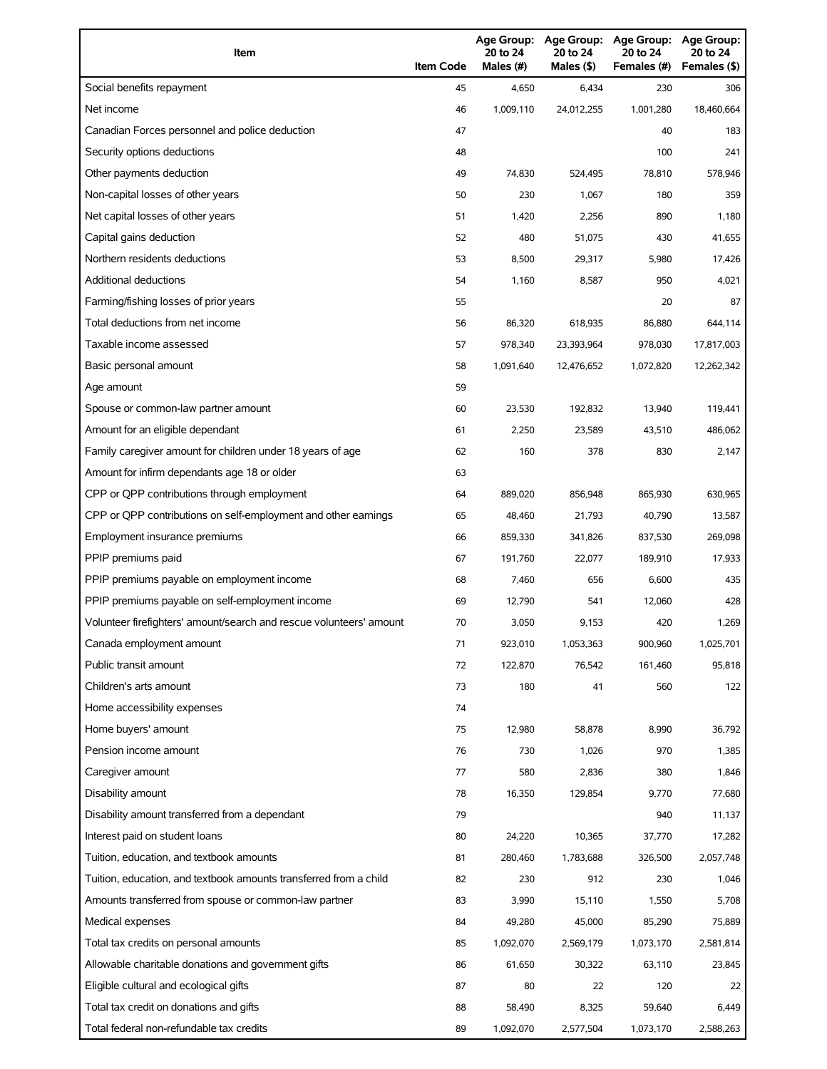| Item                                                                | <b>Item Code</b> | 20 to 24<br>Males (#) | 20 to 24<br>Males (\$) | Age Group: Age Group: Age Group:<br>20 to 24<br>Females (#) | Age Group:<br>20 to 24<br>Females (\$) |
|---------------------------------------------------------------------|------------------|-----------------------|------------------------|-------------------------------------------------------------|----------------------------------------|
| Social benefits repayment                                           | 45               | 4,650                 | 6,434                  | 230                                                         | 306                                    |
| Net income                                                          | 46               | 1,009,110             | 24,012,255             | 1,001,280                                                   | 18,460,664                             |
| Canadian Forces personnel and police deduction                      | 47               |                       |                        | 40                                                          | 183                                    |
| Security options deductions                                         | 48               |                       |                        | 100                                                         | 241                                    |
| Other payments deduction                                            | 49               | 74,830                | 524,495                | 78,810                                                      | 578,946                                |
| Non-capital losses of other years                                   | 50               | 230                   | 1,067                  | 180                                                         | 359                                    |
| Net capital losses of other years                                   | 51               | 1,420                 | 2,256                  | 890                                                         | 1,180                                  |
| Capital gains deduction                                             | 52               | 480                   | 51,075                 | 430                                                         | 41,655                                 |
| Northern residents deductions                                       | 53               | 8,500                 | 29,317                 | 5,980                                                       | 17,426                                 |
| Additional deductions                                               | 54               | 1,160                 | 8,587                  | 950                                                         | 4,021                                  |
| Farming/fishing losses of prior years                               | 55               |                       |                        | 20                                                          | 87                                     |
| Total deductions from net income                                    | 56               | 86,320                | 618,935                | 86,880                                                      | 644,114                                |
| Taxable income assessed                                             | 57               | 978,340               | 23,393,964             | 978,030                                                     | 17,817,003                             |
| Basic personal amount                                               | 58               | 1,091,640             | 12,476,652             | 1,072,820                                                   | 12,262,342                             |
| Age amount                                                          | 59               |                       |                        |                                                             |                                        |
| Spouse or common-law partner amount                                 | 60               | 23,530                | 192,832                | 13,940                                                      | 119,441                                |
| Amount for an eligible dependant                                    | 61               | 2,250                 | 23,589                 | 43,510                                                      | 486,062                                |
| Family caregiver amount for children under 18 years of age          | 62               | 160                   | 378                    | 830                                                         | 2,147                                  |
| Amount for infirm dependants age 18 or older                        | 63               |                       |                        |                                                             |                                        |
| CPP or QPP contributions through employment                         | 64               | 889,020               | 856,948                | 865,930                                                     | 630,965                                |
| CPP or QPP contributions on self-employment and other earnings      | 65               | 48,460                | 21,793                 | 40,790                                                      | 13,587                                 |
| Employment insurance premiums                                       | 66               | 859,330               | 341,826                | 837,530                                                     | 269,098                                |
| PPIP premiums paid                                                  | 67               | 191,760               | 22,077                 | 189,910                                                     | 17,933                                 |
| PPIP premiums payable on employment income                          | 68               | 7,460                 | 656                    | 6,600                                                       | 435                                    |
| PPIP premiums payable on self-employment income                     | 69               | 12,790                | 541                    | 12,060                                                      | 428                                    |
| Volunteer firefighters' amount/search and rescue volunteers' amount | 70               | 3,050                 | 9,153                  | 420                                                         | 1,269                                  |
| Canada employment amount                                            | 71               | 923,010               | 1,053,363              | 900,960                                                     | 1,025,701                              |
| Public transit amount                                               | 72               | 122,870               | 76,542                 | 161,460                                                     | 95,818                                 |
| Children's arts amount                                              | 73               | 180                   | 41                     | 560                                                         | 122                                    |
| Home accessibility expenses                                         | 74               |                       |                        |                                                             |                                        |
| Home buyers' amount                                                 | 75               | 12,980                | 58,878                 | 8,990                                                       | 36,792                                 |
| Pension income amount                                               | 76               | 730                   | 1,026                  | 970                                                         | 1,385                                  |
| Caregiver amount                                                    | 77               | 580                   | 2,836                  | 380                                                         | 1,846                                  |
| Disability amount                                                   | 78               | 16,350                | 129,854                | 9,770                                                       | 77,680                                 |
| Disability amount transferred from a dependant                      | 79               |                       |                        | 940                                                         | 11,137                                 |
| Interest paid on student loans                                      | 80               | 24,220                | 10,365                 | 37,770                                                      | 17,282                                 |
| Tuition, education, and textbook amounts                            | 81               | 280,460               | 1,783,688              | 326,500                                                     | 2,057,748                              |
| Tuition, education, and textbook amounts transferred from a child   | 82               | 230                   | 912                    | 230                                                         | 1,046                                  |
| Amounts transferred from spouse or common-law partner               | 83               | 3,990                 | 15,110                 | 1,550                                                       | 5,708                                  |
| Medical expenses                                                    | 84               | 49,280                | 45,000                 | 85,290                                                      | 75,889                                 |
| Total tax credits on personal amounts                               | 85               | 1,092,070             | 2,569,179              | 1,073,170                                                   | 2,581,814                              |
| Allowable charitable donations and government gifts                 | 86               | 61,650                | 30,322                 | 63,110                                                      | 23,845                                 |
| Eligible cultural and ecological gifts                              | 87               | 80                    | 22                     | 120                                                         | 22                                     |
| Total tax credit on donations and gifts                             | 88               | 58,490                | 8,325                  | 59,640                                                      | 6,449                                  |
| Total federal non-refundable tax credits                            | 89               | 1,092,070             | 2,577,504              | 1,073,170                                                   | 2,588,263                              |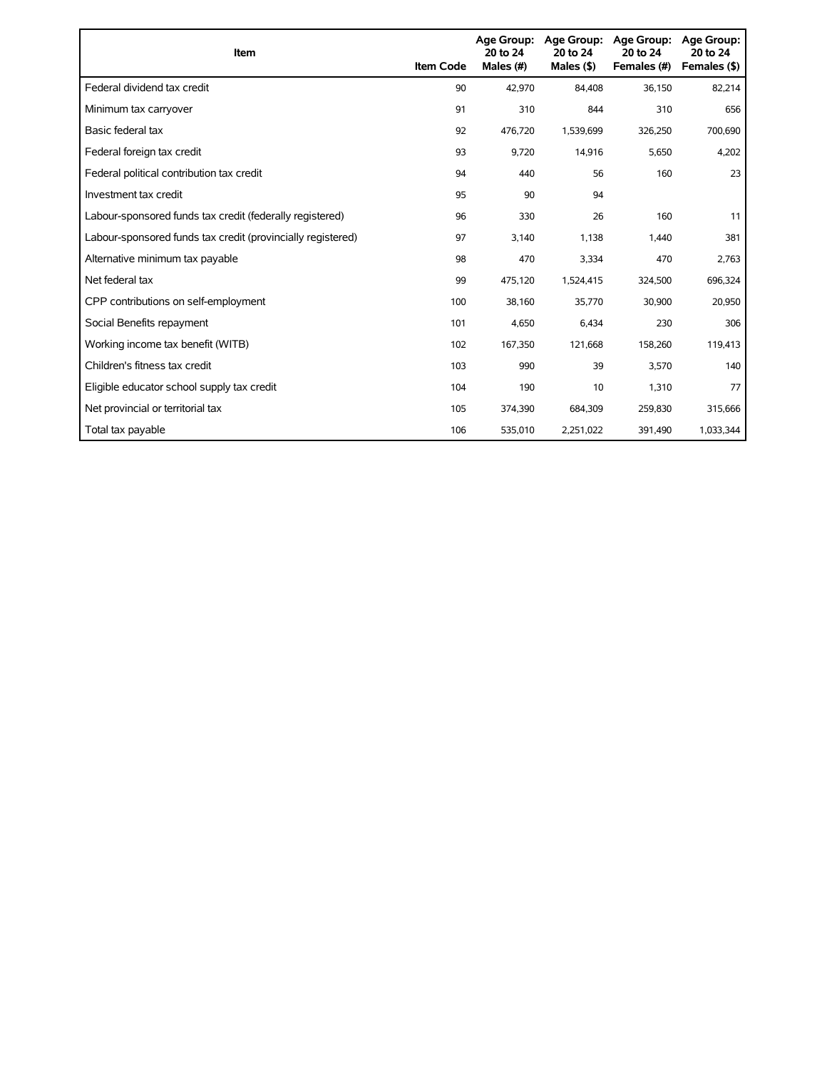| Item                                                        | <b>Item Code</b> | Age Group:<br>20 to 24<br>Males (#) | <b>Age Group:</b><br>20 to 24<br>Males $(§)$ | Age Group:<br>20 to 24<br>Females (#) | Age Group:<br>20 to 24<br>Females (\$) |
|-------------------------------------------------------------|------------------|-------------------------------------|----------------------------------------------|---------------------------------------|----------------------------------------|
| Federal dividend tax credit                                 | 90               | 42,970                              | 84,408                                       | 36,150                                | 82,214                                 |
| Minimum tax carryover                                       | 91               | 310                                 | 844                                          | 310                                   | 656                                    |
| Basic federal tax                                           | 92               | 476.720                             | 1,539,699                                    | 326,250                               | 700,690                                |
| Federal foreign tax credit                                  | 93               | 9,720                               | 14,916                                       | 5,650                                 | 4,202                                  |
| Federal political contribution tax credit                   | 94               | 440                                 | 56                                           | 160                                   | 23                                     |
| Investment tax credit                                       | 95               | 90                                  | 94                                           |                                       |                                        |
| Labour-sponsored funds tax credit (federally registered)    | 96               | 330                                 | 26                                           | 160                                   | 11                                     |
| Labour-sponsored funds tax credit (provincially registered) | 97               | 3,140                               | 1,138                                        | 1,440                                 | 381                                    |
| Alternative minimum tax payable                             | 98               | 470                                 | 3,334                                        | 470                                   | 2,763                                  |
| Net federal tax                                             | 99               | 475,120                             | 1,524,415                                    | 324,500                               | 696,324                                |
| CPP contributions on self-employment                        | 100              | 38,160                              | 35,770                                       | 30,900                                | 20,950                                 |
| Social Benefits repayment                                   | 101              | 4,650                               | 6,434                                        | 230                                   | 306                                    |
| Working income tax benefit (WITB)                           | 102              | 167,350                             | 121,668                                      | 158,260                               | 119,413                                |
| Children's fitness tax credit                               | 103              | 990                                 | 39                                           | 3,570                                 | 140                                    |
| Eligible educator school supply tax credit                  | 104              | 190                                 | 10                                           | 1,310                                 | 77                                     |
| Net provincial or territorial tax                           | 105              | 374,390                             | 684,309                                      | 259,830                               | 315,666                                |
| Total tax payable                                           | 106              | 535,010                             | 2,251,022                                    | 391,490                               | 1,033,344                              |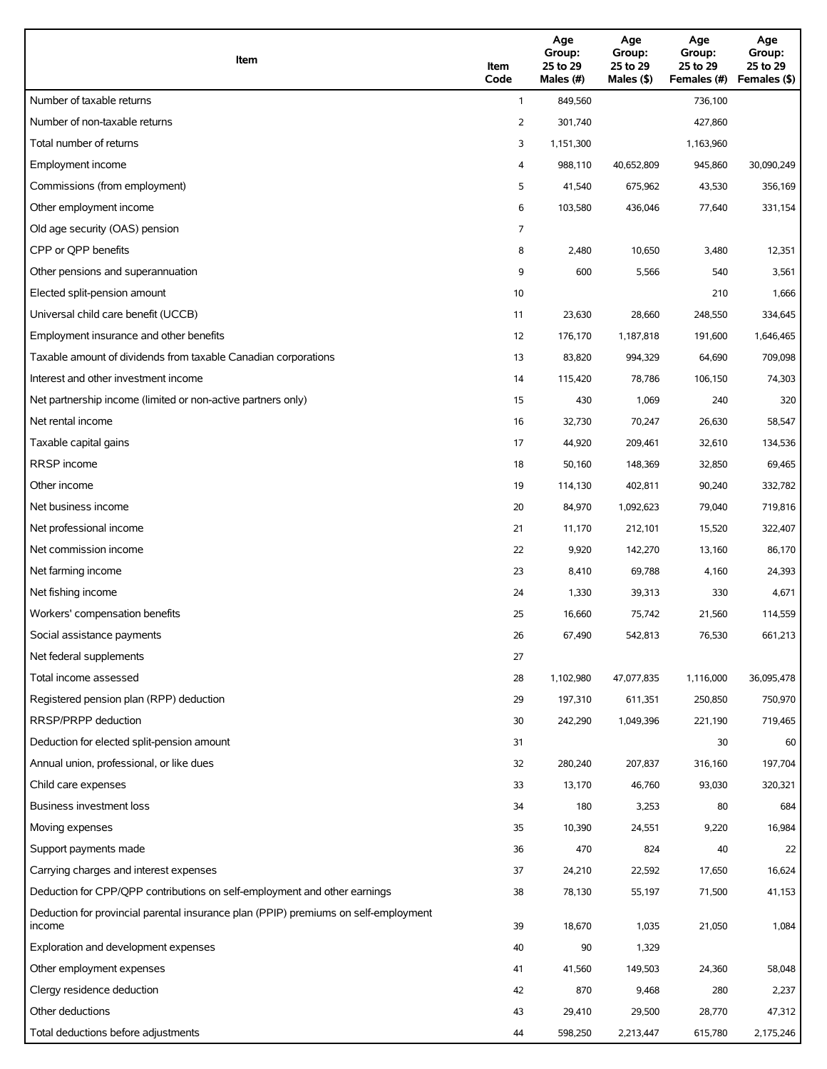| Item                                                                                          | Item<br>Code            | Age<br>Group:<br>25 to 29<br>Males (#) | Age<br>Group:<br>25 to 29<br>Males (\$) | Age<br>Group:<br>25 to 29<br>Females (#) | Age<br>Group:<br>25 to 29<br>Females (\$) |
|-----------------------------------------------------------------------------------------------|-------------------------|----------------------------------------|-----------------------------------------|------------------------------------------|-------------------------------------------|
| Number of taxable returns                                                                     | $\mathbf{1}$            | 849,560                                |                                         | 736,100                                  |                                           |
| Number of non-taxable returns                                                                 | 2                       | 301,740                                |                                         | 427,860                                  |                                           |
| Total number of returns                                                                       | 3                       | 1,151,300                              |                                         | 1,163,960                                |                                           |
| Employment income                                                                             | $\overline{\mathbf{4}}$ | 988,110                                | 40,652,809                              | 945,860                                  | 30,090,249                                |
| Commissions (from employment)                                                                 | 5                       | 41,540                                 | 675,962                                 | 43,530                                   | 356,169                                   |
| Other employment income                                                                       | 6                       | 103,580                                | 436,046                                 | 77,640                                   | 331,154                                   |
| Old age security (OAS) pension                                                                | 7                       |                                        |                                         |                                          |                                           |
| CPP or QPP benefits                                                                           | 8                       | 2,480                                  | 10,650                                  | 3,480                                    | 12,351                                    |
| Other pensions and superannuation                                                             | 9                       | 600                                    | 5,566                                   | 540                                      | 3,561                                     |
| Elected split-pension amount                                                                  | 10                      |                                        |                                         | 210                                      | 1,666                                     |
| Universal child care benefit (UCCB)                                                           | 11                      | 23,630                                 | 28,660                                  | 248,550                                  | 334,645                                   |
| Employment insurance and other benefits                                                       | 12                      | 176,170                                | 1,187,818                               | 191,600                                  | 1,646,465                                 |
| Taxable amount of dividends from taxable Canadian corporations                                | 13                      | 83,820                                 | 994,329                                 | 64,690                                   | 709,098                                   |
| Interest and other investment income                                                          | 14                      | 115,420                                | 78,786                                  | 106,150                                  | 74,303                                    |
| Net partnership income (limited or non-active partners only)                                  | 15                      | 430                                    | 1,069                                   | 240                                      | 320                                       |
| Net rental income                                                                             | 16                      | 32,730                                 | 70,247                                  | 26,630                                   | 58,547                                    |
| Taxable capital gains                                                                         | 17                      | 44,920                                 | 209,461                                 | 32,610                                   | 134,536                                   |
| <b>RRSP</b> income                                                                            | 18                      | 50,160                                 | 148,369                                 | 32,850                                   | 69,465                                    |
| Other income                                                                                  | 19                      | 114,130                                | 402,811                                 | 90,240                                   | 332,782                                   |
| Net business income                                                                           | 20                      | 84,970                                 | 1,092,623                               | 79,040                                   | 719,816                                   |
| Net professional income                                                                       | 21                      | 11,170                                 | 212,101                                 | 15,520                                   | 322,407                                   |
| Net commission income                                                                         | 22                      | 9,920                                  | 142,270                                 | 13,160                                   | 86,170                                    |
| Net farming income                                                                            | 23                      | 8,410                                  | 69,788                                  | 4,160                                    | 24,393                                    |
| Net fishing income                                                                            | 24                      | 1,330                                  | 39,313                                  | 330                                      | 4,671                                     |
| Workers' compensation benefits                                                                | 25                      | 16,660                                 | 75,742                                  | 21,560                                   | 114,559                                   |
| Social assistance payments                                                                    | 26                      | 67,490                                 | 542,813                                 | 76,530                                   | 661,213                                   |
| Net federal supplements                                                                       | 27                      |                                        |                                         |                                          |                                           |
| Total income assessed                                                                         | 28                      | 1,102,980                              | 47,077,835                              | 1,116,000                                | 36,095,478                                |
| Registered pension plan (RPP) deduction                                                       | 29                      | 197,310                                | 611,351                                 | 250,850                                  | 750,970                                   |
| RRSP/PRPP deduction                                                                           | 30                      | 242,290                                | 1,049,396                               | 221,190                                  | 719,465                                   |
| Deduction for elected split-pension amount                                                    | 31                      |                                        |                                         | 30                                       | 60                                        |
| Annual union, professional, or like dues                                                      | 32                      | 280,240                                | 207,837                                 | 316,160                                  | 197,704                                   |
| Child care expenses                                                                           | 33                      | 13,170                                 | 46,760                                  | 93,030                                   | 320,321                                   |
| Business investment loss                                                                      | 34                      | 180                                    | 3,253                                   | 80                                       | 684                                       |
| Moving expenses                                                                               | 35                      | 10,390                                 | 24,551                                  | 9,220                                    | 16,984                                    |
| Support payments made                                                                         | 36                      | 470                                    | 824                                     | 40                                       | 22                                        |
| Carrying charges and interest expenses                                                        | 37                      | 24,210                                 | 22,592                                  | 17,650                                   | 16,624                                    |
| Deduction for CPP/QPP contributions on self-employment and other earnings                     | 38                      | 78,130                                 | 55,197                                  | 71,500                                   | 41,153                                    |
| Deduction for provincial parental insurance plan (PPIP) premiums on self-employment<br>income | 39                      | 18,670                                 | 1,035                                   | 21,050                                   | 1,084                                     |
| Exploration and development expenses                                                          | 40                      | 90                                     | 1,329                                   |                                          |                                           |
| Other employment expenses                                                                     | 41                      | 41,560                                 | 149,503                                 | 24,360                                   | 58,048                                    |
| Clergy residence deduction                                                                    | 42                      | 870                                    | 9,468                                   | 280                                      | 2,237                                     |
| Other deductions                                                                              | 43                      | 29,410                                 | 29,500                                  | 28,770                                   | 47,312                                    |
| Total deductions before adjustments                                                           | 44                      | 598,250                                | 2,213,447                               | 615,780                                  | 2,175,246                                 |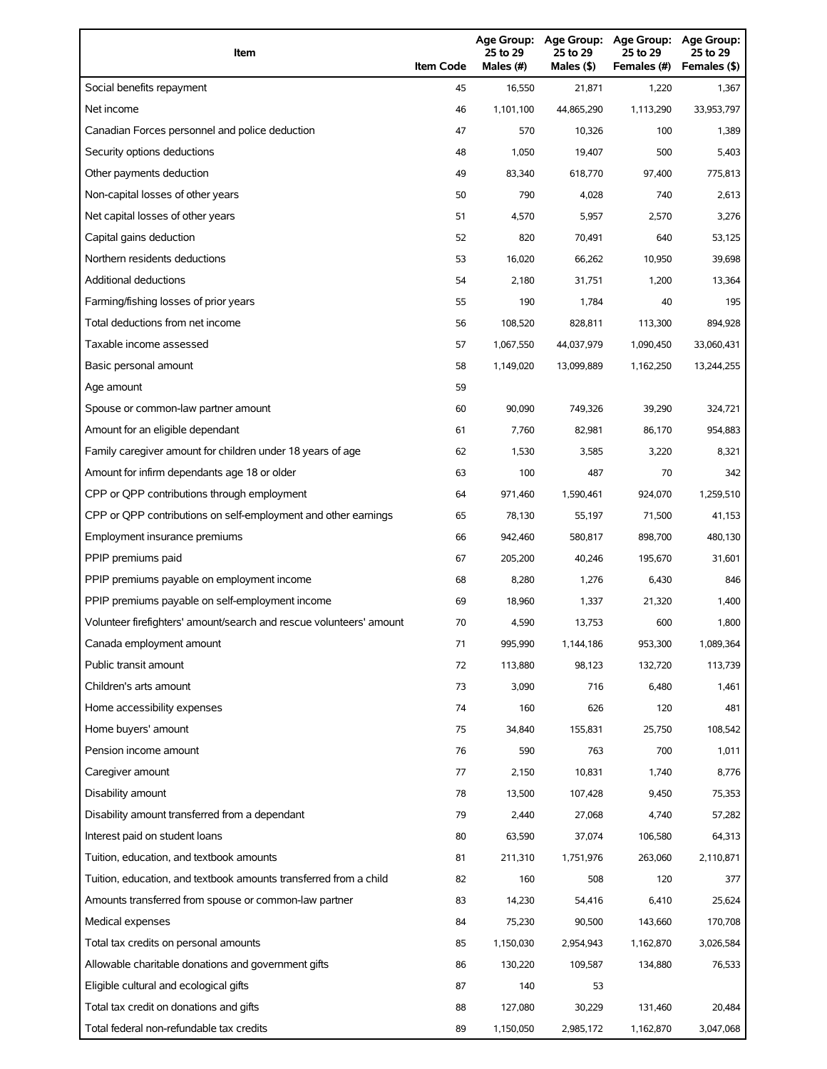| Item                                                                | <b>Item Code</b> | 25 to 29<br>Males (#) | 25 to 29<br>Males (\$) | Age Group: Age Group: Age Group:<br>25 to 29<br>Females (#) | <b>Age Group:</b><br>25 to 29<br>Females (\$) |
|---------------------------------------------------------------------|------------------|-----------------------|------------------------|-------------------------------------------------------------|-----------------------------------------------|
| Social benefits repayment                                           | 45               | 16,550                | 21,871                 | 1,220                                                       | 1,367                                         |
| Net income                                                          | 46               | 1,101,100             | 44,865,290             | 1,113,290                                                   | 33,953,797                                    |
| Canadian Forces personnel and police deduction                      | 47               | 570                   | 10,326                 | 100                                                         | 1,389                                         |
| Security options deductions                                         | 48               | 1,050                 | 19,407                 | 500                                                         | 5,403                                         |
| Other payments deduction                                            | 49               | 83,340                | 618,770                | 97,400                                                      | 775,813                                       |
| Non-capital losses of other years                                   | 50               | 790                   | 4,028                  | 740                                                         | 2,613                                         |
| Net capital losses of other years                                   | 51               | 4,570                 | 5,957                  | 2,570                                                       | 3,276                                         |
| Capital gains deduction                                             | 52               | 820                   | 70,491                 | 640                                                         | 53,125                                        |
| Northern residents deductions                                       | 53               | 16,020                | 66,262                 | 10,950                                                      | 39,698                                        |
| Additional deductions                                               | 54               | 2,180                 | 31,751                 | 1,200                                                       | 13,364                                        |
| Farming/fishing losses of prior years                               | 55               | 190                   | 1,784                  | 40                                                          | 195                                           |
| Total deductions from net income                                    | 56               | 108,520               | 828,811                | 113,300                                                     | 894,928                                       |
| Taxable income assessed                                             | 57               | 1,067,550             | 44,037,979             | 1,090,450                                                   | 33,060,431                                    |
| Basic personal amount                                               | 58               | 1,149,020             | 13,099,889             | 1,162,250                                                   | 13,244,255                                    |
| Age amount                                                          | 59               |                       |                        |                                                             |                                               |
| Spouse or common-law partner amount                                 | 60               | 90,090                | 749,326                | 39,290                                                      | 324,721                                       |
| Amount for an eligible dependant                                    | 61               | 7,760                 | 82,981                 | 86,170                                                      | 954,883                                       |
| Family caregiver amount for children under 18 years of age          | 62               | 1,530                 | 3,585                  | 3,220                                                       | 8,321                                         |
| Amount for infirm dependants age 18 or older                        | 63               | 100                   | 487                    | 70                                                          | 342                                           |
| CPP or QPP contributions through employment                         | 64               | 971,460               | 1,590,461              | 924,070                                                     | 1,259,510                                     |
| CPP or QPP contributions on self-employment and other earnings      | 65               | 78,130                | 55,197                 | 71,500                                                      | 41,153                                        |
| Employment insurance premiums                                       | 66               | 942,460               | 580,817                | 898,700                                                     | 480,130                                       |
| PPIP premiums paid                                                  | 67               | 205,200               | 40,246                 | 195,670                                                     | 31,601                                        |
| PPIP premiums payable on employment income                          | 68               | 8,280                 | 1,276                  | 6,430                                                       | 846                                           |
| PPIP premiums payable on self-employment income                     | 69               | 18,960                | 1,337                  | 21,320                                                      | 1,400                                         |
| Volunteer firefighters' amount/search and rescue volunteers' amount | 70               | 4,590                 | 13,753                 | 600                                                         | 1,800                                         |
| Canada employment amount                                            | 71               | 995,990               | 1,144,186              | 953,300                                                     | 1,089,364                                     |
| Public transit amount                                               | 72               | 113,880               | 98,123                 | 132,720                                                     | 113,739                                       |
| Children's arts amount                                              | 73               | 3,090                 | 716                    | 6,480                                                       | 1,461                                         |
| Home accessibility expenses                                         | 74               | 160                   | 626                    | 120                                                         | 481                                           |
| Home buyers' amount                                                 | 75               | 34,840                | 155,831                | 25,750                                                      | 108,542                                       |
| Pension income amount                                               | 76               | 590                   | 763                    | 700                                                         | 1,011                                         |
| Caregiver amount                                                    | 77               | 2,150                 | 10,831                 | 1,740                                                       | 8,776                                         |
| Disability amount                                                   | 78               | 13,500                | 107,428                | 9,450                                                       | 75,353                                        |
| Disability amount transferred from a dependant                      | 79               | 2,440                 | 27,068                 | 4,740                                                       | 57,282                                        |
| Interest paid on student loans                                      | 80               | 63,590                | 37,074                 | 106,580                                                     | 64,313                                        |
| Tuition, education, and textbook amounts                            | 81               | 211,310               | 1,751,976              | 263,060                                                     | 2,110,871                                     |
| Tuition, education, and textbook amounts transferred from a child   | 82               | 160                   | 508                    | 120                                                         | 377                                           |
| Amounts transferred from spouse or common-law partner               | 83               | 14,230                | 54,416                 | 6,410                                                       | 25,624                                        |
| Medical expenses                                                    | 84               | 75,230                | 90,500                 | 143,660                                                     | 170,708                                       |
| Total tax credits on personal amounts                               | 85               | 1,150,030             | 2,954,943              | 1,162,870                                                   | 3,026,584                                     |
| Allowable charitable donations and government gifts                 | 86               | 130,220               | 109,587                | 134,880                                                     | 76,533                                        |
| Eligible cultural and ecological gifts                              | 87               | 140                   | 53                     |                                                             |                                               |
| Total tax credit on donations and gifts                             | 88               | 127,080               | 30,229                 | 131,460                                                     | 20,484                                        |
| Total federal non-refundable tax credits                            | 89               | 1,150,050             | 2,985,172              | 1,162,870                                                   | 3,047,068                                     |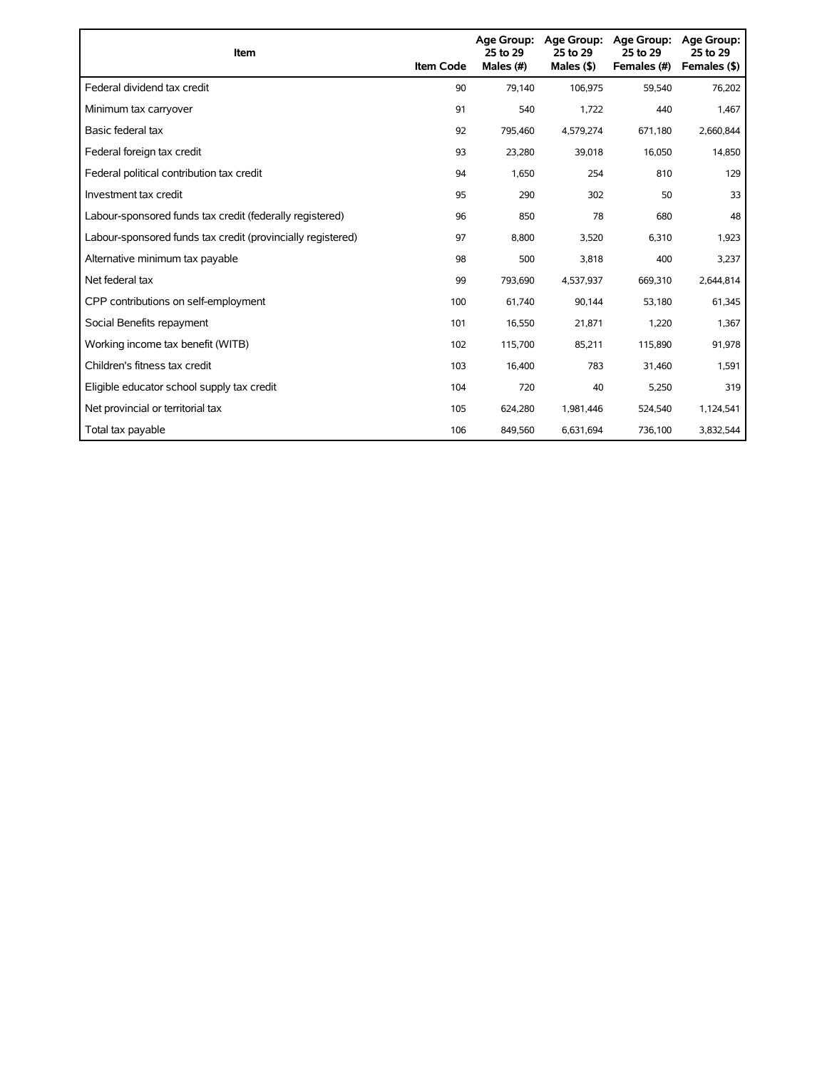| Item                                                        | <b>Item Code</b> | 25 to 29<br>Males (#) | Age Group: Age Group:<br>25 to 29<br>Males $(§)$ | Age Group:<br>25 to 29<br>Females (#) | <b>Age Group:</b><br>25 to 29<br>Females (\$) |
|-------------------------------------------------------------|------------------|-----------------------|--------------------------------------------------|---------------------------------------|-----------------------------------------------|
| Federal dividend tax credit                                 | 90               | 79,140                | 106,975                                          | 59,540                                | 76,202                                        |
| Minimum tax carryover                                       | 91               | 540                   | 1,722                                            | 440                                   | 1,467                                         |
| Basic federal tax                                           | 92               | 795,460               | 4,579,274                                        | 671,180                               | 2,660,844                                     |
| Federal foreign tax credit                                  | 93               | 23,280                | 39,018                                           | 16,050                                | 14,850                                        |
| Federal political contribution tax credit                   | 94               | 1,650                 | 254                                              | 810                                   | 129                                           |
| Investment tax credit                                       | 95               | 290                   | 302                                              | 50                                    | 33                                            |
| Labour-sponsored funds tax credit (federally registered)    | 96               | 850                   | 78                                               | 680                                   | 48                                            |
| Labour-sponsored funds tax credit (provincially registered) | 97               | 8,800                 | 3,520                                            | 6,310                                 | 1,923                                         |
| Alternative minimum tax payable                             | 98               | 500                   | 3,818                                            | 400                                   | 3,237                                         |
| Net federal tax                                             | 99               | 793,690               | 4,537,937                                        | 669,310                               | 2,644,814                                     |
| CPP contributions on self-employment                        | 100              | 61,740                | 90,144                                           | 53,180                                | 61,345                                        |
| Social Benefits repayment                                   | 101              | 16,550                | 21,871                                           | 1,220                                 | 1,367                                         |
| Working income tax benefit (WITB)                           | 102              | 115,700               | 85,211                                           | 115,890                               | 91,978                                        |
| Children's fitness tax credit                               | 103              | 16,400                | 783                                              | 31,460                                | 1,591                                         |
| Eligible educator school supply tax credit                  | 104              | 720                   | 40                                               | 5,250                                 | 319                                           |
| Net provincial or territorial tax                           | 105              | 624,280               | 1,981,446                                        | 524,540                               | 1,124,541                                     |
| Total tax payable                                           | 106              | 849,560               | 6,631,694                                        | 736,100                               | 3,832,544                                     |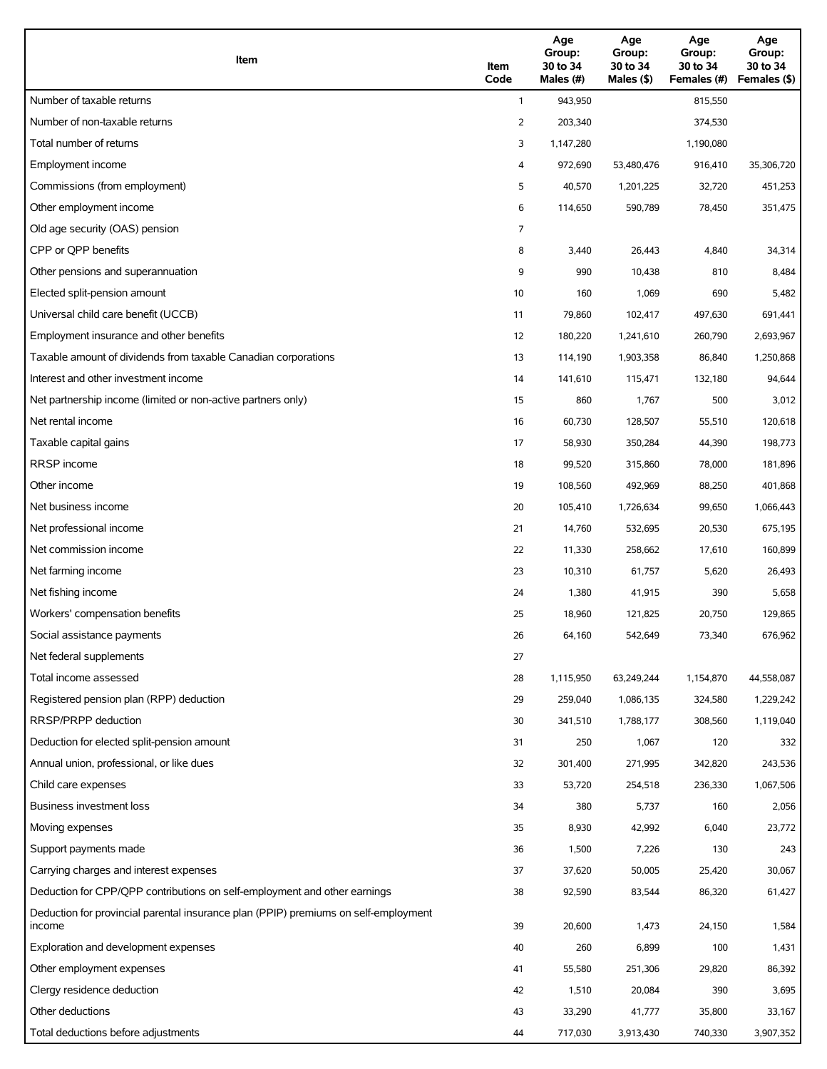| Item                                                                                          | Item<br>Code | Age<br>Group:<br>30 to 34<br>Males (#) | Age<br>Group:<br>30 to 34<br>Males (\$) | Age<br>Group:<br>30 to 34<br>Females (#) | Age<br>Group:<br>30 to 34<br>Females (\$) |
|-----------------------------------------------------------------------------------------------|--------------|----------------------------------------|-----------------------------------------|------------------------------------------|-------------------------------------------|
| Number of taxable returns                                                                     | $\mathbf{1}$ | 943,950                                |                                         | 815,550                                  |                                           |
| Number of non-taxable returns                                                                 | 2            | 203,340                                |                                         | 374,530                                  |                                           |
| Total number of returns                                                                       | 3            | 1,147,280                              |                                         | 1,190,080                                |                                           |
| Employment income                                                                             | 4            | 972,690                                | 53,480,476                              | 916,410                                  | 35,306,720                                |
| Commissions (from employment)                                                                 | 5            | 40,570                                 | 1,201,225                               | 32,720                                   | 451,253                                   |
| Other employment income                                                                       | 6            | 114,650                                | 590,789                                 | 78,450                                   | 351,475                                   |
| Old age security (OAS) pension                                                                | 7            |                                        |                                         |                                          |                                           |
| CPP or QPP benefits                                                                           | 8            | 3,440                                  | 26,443                                  | 4,840                                    | 34,314                                    |
| Other pensions and superannuation                                                             | 9            | 990                                    | 10,438                                  | 810                                      | 8,484                                     |
| Elected split-pension amount                                                                  | 10           | 160                                    | 1,069                                   | 690                                      | 5,482                                     |
| Universal child care benefit (UCCB)                                                           | 11           | 79,860                                 | 102,417                                 | 497,630                                  | 691,441                                   |
| Employment insurance and other benefits                                                       | 12           | 180,220                                | 1,241,610                               | 260,790                                  | 2,693,967                                 |
| Taxable amount of dividends from taxable Canadian corporations                                | 13           | 114,190                                | 1,903,358                               | 86,840                                   | 1,250,868                                 |
| Interest and other investment income                                                          | 14           | 141,610                                | 115,471                                 | 132,180                                  | 94,644                                    |
| Net partnership income (limited or non-active partners only)                                  | 15           | 860                                    | 1,767                                   | 500                                      | 3,012                                     |
| Net rental income                                                                             | 16           | 60,730                                 | 128,507                                 | 55,510                                   | 120,618                                   |
| Taxable capital gains                                                                         | 17           | 58,930                                 | 350,284                                 | 44,390                                   | 198,773                                   |
| <b>RRSP</b> income                                                                            | 18           | 99,520                                 | 315,860                                 | 78,000                                   | 181,896                                   |
| Other income                                                                                  | 19           | 108,560                                | 492,969                                 | 88,250                                   | 401,868                                   |
| Net business income                                                                           | 20           | 105,410                                | 1,726,634                               | 99,650                                   | 1,066,443                                 |
| Net professional income                                                                       | 21           | 14,760                                 | 532,695                                 | 20,530                                   | 675,195                                   |
| Net commission income                                                                         | 22           | 11,330                                 | 258,662                                 | 17,610                                   | 160,899                                   |
| Net farming income                                                                            | 23           | 10,310                                 | 61,757                                  | 5,620                                    | 26,493                                    |
| Net fishing income                                                                            | 24           | 1,380                                  | 41,915                                  | 390                                      | 5,658                                     |
| Workers' compensation benefits                                                                | 25           | 18,960                                 | 121,825                                 | 20,750                                   | 129,865                                   |
| Social assistance payments                                                                    | 26           | 64,160                                 | 542,649                                 | 73,340                                   | 676,962                                   |
| Net federal supplements                                                                       | 27           |                                        |                                         |                                          |                                           |
| Total income assessed                                                                         | 28           | 1,115,950                              | 63,249,244                              | 1,154,870                                | 44,558,087                                |
| Registered pension plan (RPP) deduction                                                       | 29           | 259,040                                | 1,086,135                               | 324,580                                  | 1,229,242                                 |
| RRSP/PRPP deduction                                                                           | 30           | 341,510                                | 1,788,177                               | 308,560                                  | 1,119,040                                 |
| Deduction for elected split-pension amount                                                    | 31           | 250                                    | 1,067                                   | 120                                      | 332                                       |
| Annual union, professional, or like dues                                                      | 32           | 301,400                                | 271,995                                 | 342,820                                  | 243,536                                   |
| Child care expenses                                                                           | 33           | 53,720                                 | 254,518                                 | 236,330                                  | 1,067,506                                 |
| Business investment loss                                                                      | 34           | 380                                    | 5,737                                   | 160                                      | 2,056                                     |
| Moving expenses                                                                               | 35           | 8,930                                  | 42,992                                  | 6,040                                    | 23,772                                    |
| Support payments made                                                                         | 36           | 1,500                                  | 7,226                                   | 130                                      | 243                                       |
| Carrying charges and interest expenses                                                        | 37           | 37,620                                 | 50,005                                  | 25,420                                   | 30,067                                    |
| Deduction for CPP/QPP contributions on self-employment and other earnings                     | 38           | 92,590                                 | 83,544                                  | 86,320                                   | 61,427                                    |
| Deduction for provincial parental insurance plan (PPIP) premiums on self-employment<br>income | 39           | 20,600                                 | 1,473                                   | 24,150                                   | 1,584                                     |
| Exploration and development expenses                                                          | 40           | 260                                    | 6,899                                   | 100                                      | 1,431                                     |
| Other employment expenses                                                                     | 41           | 55,580                                 | 251,306                                 | 29,820                                   | 86,392                                    |
| Clergy residence deduction                                                                    | 42           | 1,510                                  | 20,084                                  | 390                                      | 3,695                                     |
| Other deductions                                                                              | 43           | 33,290                                 | 41,777                                  | 35,800                                   | 33,167                                    |
| Total deductions before adjustments                                                           | 44           | 717,030                                | 3,913,430                               | 740,330                                  | 3,907,352                                 |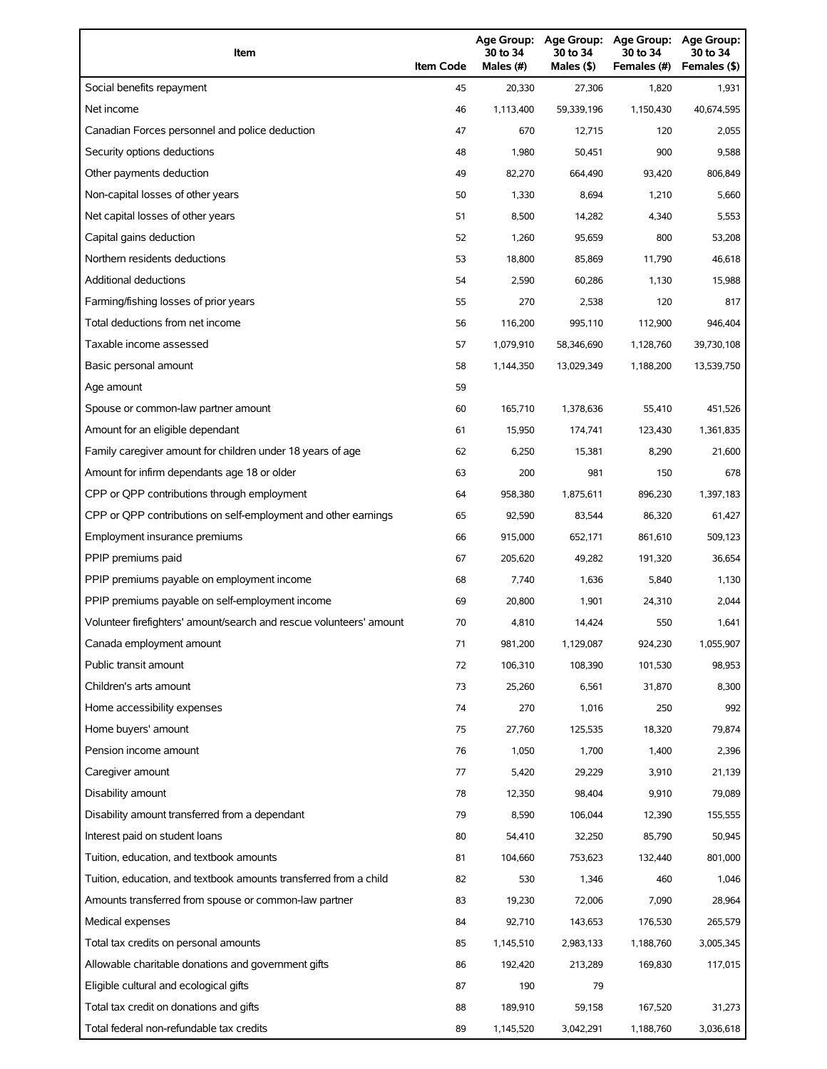| Item                                                                | <b>Item Code</b> | 30 to 34<br>Males (#) | 30 to 34<br>Males (\$) | Age Group: Age Group: Age Group:<br>30 to 34<br>Females (#) | Age Group:<br>30 to 34<br>Females (\$) |
|---------------------------------------------------------------------|------------------|-----------------------|------------------------|-------------------------------------------------------------|----------------------------------------|
| Social benefits repayment                                           | 45               | 20,330                | 27,306                 | 1,820                                                       | 1,931                                  |
| Net income                                                          | 46               | 1,113,400             | 59,339,196             | 1,150,430                                                   | 40,674,595                             |
| Canadian Forces personnel and police deduction                      | 47               | 670                   | 12,715                 | 120                                                         | 2,055                                  |
| Security options deductions                                         | 48               | 1,980                 | 50,451                 | 900                                                         | 9,588                                  |
| Other payments deduction                                            | 49               | 82,270                | 664,490                | 93,420                                                      | 806,849                                |
| Non-capital losses of other years                                   | 50               | 1,330                 | 8,694                  | 1,210                                                       | 5,660                                  |
| Net capital losses of other years                                   | 51               | 8,500                 | 14,282                 | 4,340                                                       | 5,553                                  |
| Capital gains deduction                                             | 52               | 1,260                 | 95,659                 | 800                                                         | 53,208                                 |
| Northern residents deductions                                       | 53               | 18,800                | 85,869                 | 11,790                                                      | 46,618                                 |
| Additional deductions                                               | 54               | 2,590                 | 60,286                 | 1,130                                                       | 15,988                                 |
| Farming/fishing losses of prior years                               | 55               | 270                   | 2,538                  | 120                                                         | 817                                    |
| Total deductions from net income                                    | 56               | 116,200               | 995,110                | 112,900                                                     | 946,404                                |
| Taxable income assessed                                             | 57               | 1,079,910             | 58,346,690             | 1,128,760                                                   | 39,730,108                             |
| Basic personal amount                                               | 58               | 1,144,350             | 13,029,349             | 1,188,200                                                   | 13,539,750                             |
| Age amount                                                          | 59               |                       |                        |                                                             |                                        |
| Spouse or common-law partner amount                                 | 60               | 165,710               | 1,378,636              | 55,410                                                      | 451,526                                |
| Amount for an eligible dependant                                    | 61               | 15,950                | 174,741                | 123,430                                                     | 1,361,835                              |
| Family caregiver amount for children under 18 years of age          | 62               | 6,250                 | 15,381                 | 8,290                                                       | 21,600                                 |
| Amount for infirm dependants age 18 or older                        | 63               | 200                   | 981                    | 150                                                         | 678                                    |
| CPP or QPP contributions through employment                         | 64               | 958,380               | 1,875,611              | 896,230                                                     | 1,397,183                              |
| CPP or QPP contributions on self-employment and other earnings      | 65               | 92,590                | 83,544                 | 86,320                                                      | 61,427                                 |
| Employment insurance premiums                                       | 66               | 915,000               | 652,171                | 861,610                                                     | 509,123                                |
| PPIP premiums paid                                                  | 67               | 205.620               | 49,282                 | 191,320                                                     | 36,654                                 |
| PPIP premiums payable on employment income                          | 68               | 7,740                 | 1,636                  | 5,840                                                       | 1,130                                  |
| PPIP premiums payable on self-employment income                     | 69               | 20,800                | 1,901                  | 24,310                                                      | 2,044                                  |
| Volunteer firefighters' amount/search and rescue volunteers' amount | 70               | 4,810                 | 14,424                 | 550                                                         | 1,641                                  |
| Canada employment amount                                            | 71               | 981,200               | 1,129,087              | 924,230                                                     | 1,055,907                              |
| Public transit amount                                               | 72               | 106,310               | 108,390                | 101,530                                                     | 98,953                                 |
| Children's arts amount                                              | 73               | 25,260                | 6,561                  | 31,870                                                      | 8,300                                  |
| Home accessibility expenses                                         | 74               | 270                   | 1,016                  | 250                                                         | 992                                    |
| Home buyers' amount                                                 | 75               | 27,760                | 125,535                | 18,320                                                      | 79,874                                 |
| Pension income amount                                               | 76               | 1,050                 | 1,700                  | 1,400                                                       | 2,396                                  |
| Caregiver amount                                                    | 77               | 5,420                 | 29,229                 | 3,910                                                       | 21,139                                 |
| Disability amount                                                   | 78               | 12,350                | 98,404                 | 9,910                                                       | 79,089                                 |
| Disability amount transferred from a dependant                      | 79               | 8,590                 | 106,044                | 12,390                                                      | 155,555                                |
| Interest paid on student loans                                      | 80               | 54,410                | 32,250                 | 85,790                                                      | 50,945                                 |
| Tuition, education, and textbook amounts                            | 81               | 104,660               | 753,623                | 132,440                                                     | 801,000                                |
| Tuition, education, and textbook amounts transferred from a child   | 82               | 530                   | 1,346                  | 460                                                         | 1,046                                  |
| Amounts transferred from spouse or common-law partner               | 83               | 19,230                | 72,006                 | 7,090                                                       | 28,964                                 |
| Medical expenses                                                    | 84               | 92,710                | 143,653                | 176,530                                                     | 265,579                                |
| Total tax credits on personal amounts                               | 85               | 1,145,510             | 2,983,133              | 1,188,760                                                   | 3,005,345                              |
| Allowable charitable donations and government gifts                 | 86               | 192,420               | 213,289                | 169,830                                                     | 117,015                                |
| Eligible cultural and ecological gifts                              | 87               | 190                   | 79                     |                                                             |                                        |
| Total tax credit on donations and gifts                             | 88               | 189,910               | 59,158                 | 167,520                                                     | 31,273                                 |
| Total federal non-refundable tax credits                            | 89               | 1,145,520             | 3,042,291              | 1,188,760                                                   | 3,036,618                              |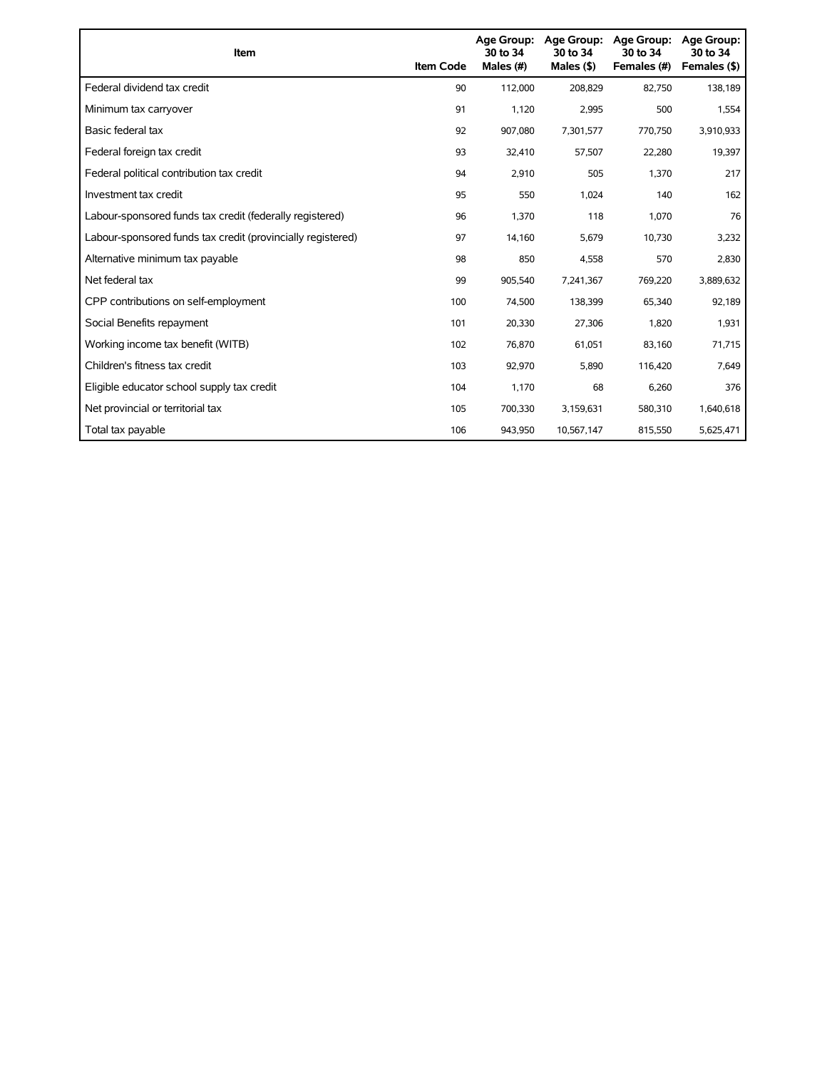| Item                                                        | <b>Item Code</b> | Age Group:<br>30 to 34<br>Males (#) | <b>Age Group:</b><br>30 to 34<br>Males $($ \$) | <b>Age Group:</b><br>30 to 34<br>Females (#) | <b>Age Group:</b><br>30 to 34<br>Females (\$) |
|-------------------------------------------------------------|------------------|-------------------------------------|------------------------------------------------|----------------------------------------------|-----------------------------------------------|
| Federal dividend tax credit                                 | 90               | 112,000                             | 208,829                                        | 82,750                                       | 138,189                                       |
| Minimum tax carryover                                       | 91               | 1,120                               | 2,995                                          | 500                                          | 1,554                                         |
| Basic federal tax                                           | 92               | 907,080                             | 7,301,577                                      | 770,750                                      | 3,910,933                                     |
| Federal foreign tax credit                                  | 93               | 32,410                              | 57,507                                         | 22,280                                       | 19,397                                        |
| Federal political contribution tax credit                   | 94               | 2.910                               | 505                                            | 1,370                                        | 217                                           |
| Investment tax credit                                       | 95               | 550                                 | 1,024                                          | 140                                          | 162                                           |
| Labour-sponsored funds tax credit (federally registered)    | 96               | 1,370                               | 118                                            | 1,070                                        | 76                                            |
| Labour-sponsored funds tax credit (provincially registered) | 97               | 14,160                              | 5,679                                          | 10,730                                       | 3,232                                         |
| Alternative minimum tax payable                             | 98               | 850                                 | 4,558                                          | 570                                          | 2,830                                         |
| Net federal tax                                             | 99               | 905,540                             | 7,241,367                                      | 769,220                                      | 3,889,632                                     |
| CPP contributions on self-employment                        | 100              | 74,500                              | 138,399                                        | 65,340                                       | 92,189                                        |
| Social Benefits repayment                                   | 101              | 20,330                              | 27,306                                         | 1,820                                        | 1,931                                         |
| Working income tax benefit (WITB)                           | 102              | 76,870                              | 61,051                                         | 83,160                                       | 71,715                                        |
| Children's fitness tax credit                               | 103              | 92,970                              | 5,890                                          | 116,420                                      | 7,649                                         |
| Eligible educator school supply tax credit                  | 104              | 1,170                               | 68                                             | 6,260                                        | 376                                           |
| Net provincial or territorial tax                           | 105              | 700,330                             | 3,159,631                                      | 580,310                                      | 1,640,618                                     |
| Total tax payable                                           | 106              | 943.950                             | 10,567,147                                     | 815,550                                      | 5,625,471                                     |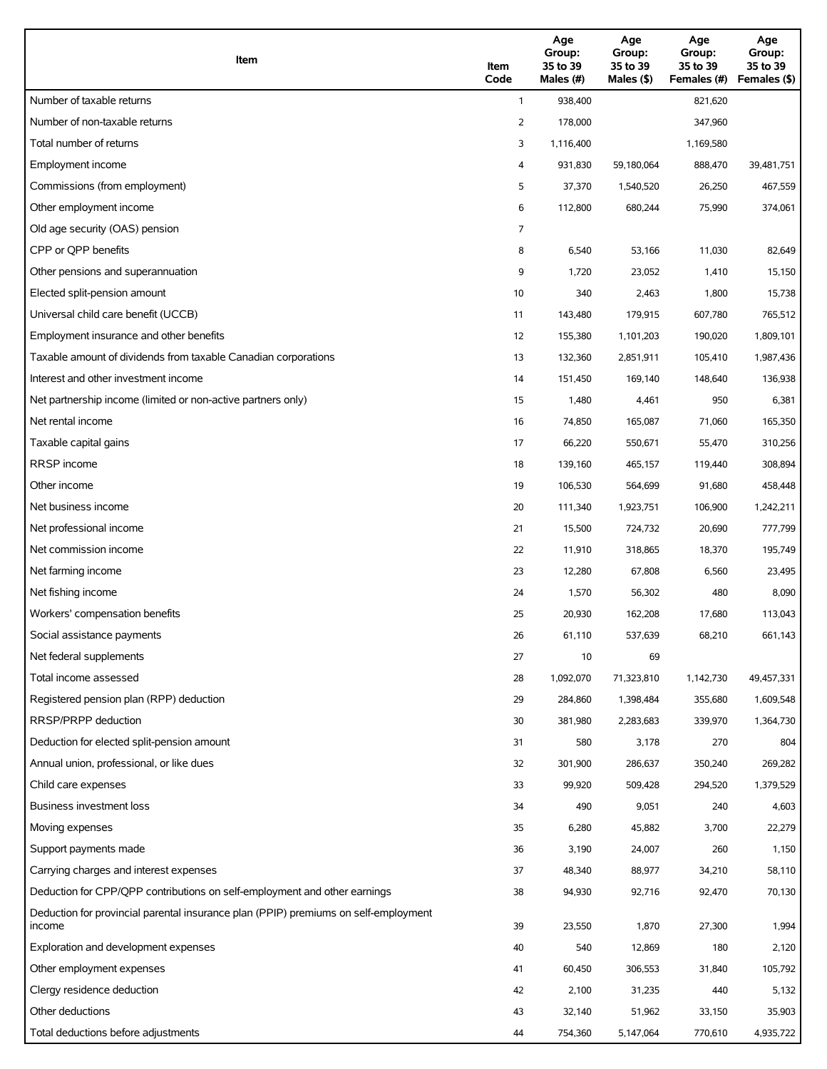| Item                                                                                          | Item<br>Code | Age<br>Group:<br>35 to 39<br>Males (#) | Age<br>Group:<br>35 to 39<br>Males (\$) | Age<br>Group:<br>35 to 39<br>Females (#) | Age<br>Group:<br>35 to 39<br>Females (\$) |
|-----------------------------------------------------------------------------------------------|--------------|----------------------------------------|-----------------------------------------|------------------------------------------|-------------------------------------------|
| Number of taxable returns                                                                     | $\mathbf{1}$ | 938,400                                |                                         | 821,620                                  |                                           |
| Number of non-taxable returns                                                                 | 2            | 178,000                                |                                         | 347,960                                  |                                           |
| Total number of returns                                                                       | 3            | 1,116,400                              |                                         | 1,169,580                                |                                           |
| Employment income                                                                             | 4            | 931,830                                | 59,180,064                              | 888,470                                  | 39,481,751                                |
| Commissions (from employment)                                                                 | 5            | 37,370                                 | 1,540,520                               | 26,250                                   | 467,559                                   |
| Other employment income                                                                       | 6            | 112,800                                | 680,244                                 | 75,990                                   | 374,061                                   |
| Old age security (OAS) pension                                                                | 7            |                                        |                                         |                                          |                                           |
| CPP or QPP benefits                                                                           | 8            | 6,540                                  | 53,166                                  | 11,030                                   | 82,649                                    |
| Other pensions and superannuation                                                             | 9            | 1,720                                  | 23,052                                  | 1,410                                    | 15,150                                    |
| Elected split-pension amount                                                                  | 10           | 340                                    | 2,463                                   | 1,800                                    | 15,738                                    |
| Universal child care benefit (UCCB)                                                           | 11           | 143,480                                | 179,915                                 | 607,780                                  | 765,512                                   |
| Employment insurance and other benefits                                                       | 12           | 155,380                                | 1,101,203                               | 190,020                                  | 1,809,101                                 |
| Taxable amount of dividends from taxable Canadian corporations                                | 13           | 132,360                                | 2,851,911                               | 105,410                                  | 1,987,436                                 |
| Interest and other investment income                                                          | 14           | 151,450                                | 169,140                                 | 148,640                                  | 136,938                                   |
| Net partnership income (limited or non-active partners only)                                  | 15           | 1,480                                  | 4,461                                   | 950                                      | 6,381                                     |
| Net rental income                                                                             | 16           | 74,850                                 | 165,087                                 | 71,060                                   | 165,350                                   |
| Taxable capital gains                                                                         | 17           | 66,220                                 | 550,671                                 | 55,470                                   | 310,256                                   |
| <b>RRSP</b> income                                                                            | 18           | 139,160                                | 465,157                                 | 119,440                                  | 308,894                                   |
| Other income                                                                                  | 19           | 106,530                                | 564,699                                 | 91,680                                   | 458,448                                   |
| Net business income                                                                           | 20           | 111,340                                | 1,923,751                               | 106,900                                  | 1,242,211                                 |
| Net professional income                                                                       | 21           | 15,500                                 | 724,732                                 | 20,690                                   | 777,799                                   |
| Net commission income                                                                         | 22           | 11,910                                 | 318,865                                 | 18,370                                   | 195,749                                   |
| Net farming income                                                                            | 23           | 12,280                                 | 67,808                                  | 6,560                                    | 23,495                                    |
| Net fishing income                                                                            | 24           | 1,570                                  | 56,302                                  | 480                                      | 8,090                                     |
| Workers' compensation benefits                                                                | 25           | 20,930                                 | 162,208                                 | 17,680                                   | 113,043                                   |
| Social assistance payments                                                                    | 26           | 61,110                                 | 537,639                                 | 68,210                                   | 661,143                                   |
| Net federal supplements                                                                       | 27           | 10                                     | 69                                      |                                          |                                           |
| Total income assessed                                                                         | 28           | 1,092,070                              | 71,323,810                              | 1,142,730                                | 49,457,331                                |
| Registered pension plan (RPP) deduction                                                       | 29           | 284,860                                | 1,398,484                               | 355,680                                  | 1,609,548                                 |
| RRSP/PRPP deduction                                                                           | 30           | 381,980                                | 2,283,683                               | 339,970                                  | 1,364,730                                 |
| Deduction for elected split-pension amount                                                    | 31           | 580                                    | 3,178                                   | 270                                      | 804                                       |
| Annual union, professional, or like dues                                                      | 32           | 301,900                                | 286,637                                 | 350,240                                  | 269,282                                   |
| Child care expenses                                                                           | 33           | 99,920                                 | 509,428                                 | 294,520                                  | 1,379,529                                 |
| Business investment loss                                                                      | 34           | 490                                    | 9,051                                   | 240                                      | 4,603                                     |
| Moving expenses                                                                               | 35           | 6,280                                  | 45,882                                  | 3,700                                    | 22,279                                    |
| Support payments made                                                                         | 36           | 3,190                                  | 24,007                                  | 260                                      | 1,150                                     |
| Carrying charges and interest expenses                                                        | 37           | 48,340                                 | 88,977                                  | 34,210                                   | 58,110                                    |
| Deduction for CPP/QPP contributions on self-employment and other earnings                     | 38           | 94,930                                 | 92,716                                  | 92,470                                   | 70,130                                    |
| Deduction for provincial parental insurance plan (PPIP) premiums on self-employment<br>income | 39           | 23,550                                 | 1,870                                   | 27,300                                   | 1,994                                     |
| Exploration and development expenses                                                          | 40           | 540                                    | 12,869                                  | 180                                      | 2,120                                     |
| Other employment expenses                                                                     | 41           | 60,450                                 | 306,553                                 | 31,840                                   | 105,792                                   |
| Clergy residence deduction                                                                    | 42           | 2,100                                  | 31,235                                  | 440                                      | 5,132                                     |
| Other deductions                                                                              | 43           | 32,140                                 | 51,962                                  | 33,150                                   | 35,903                                    |
| Total deductions before adjustments                                                           | 44           | 754,360                                | 5,147,064                               | 770,610                                  | 4,935,722                                 |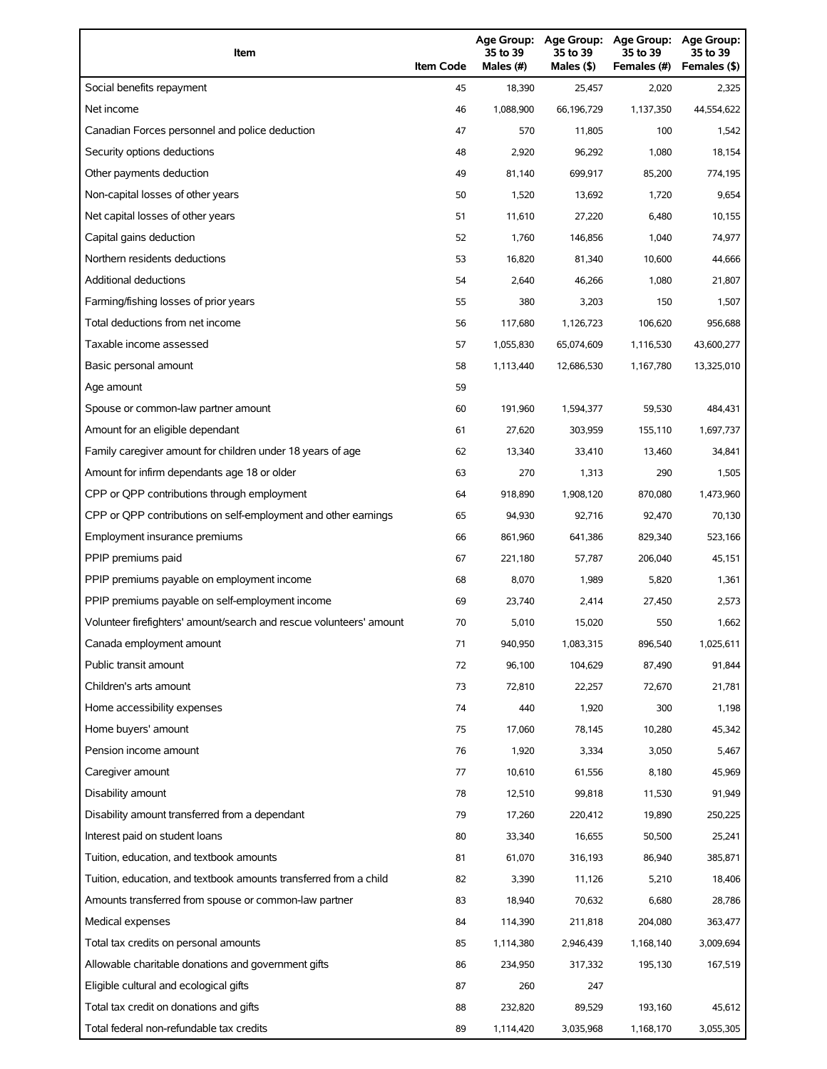| Item                                                                | <b>Item Code</b> | 35 to 39<br>Males (#) | 35 to 39<br>Males (\$) | Age Group: Age Group: Age Group:<br>35 to 39<br>Females (#) | Age Group:<br>35 to 39<br>Females (\$) |
|---------------------------------------------------------------------|------------------|-----------------------|------------------------|-------------------------------------------------------------|----------------------------------------|
| Social benefits repayment                                           | 45               | 18,390                | 25,457                 | 2,020                                                       | 2,325                                  |
| Net income                                                          | 46               | 1,088,900             | 66.196.729             | 1,137,350                                                   | 44,554,622                             |
| Canadian Forces personnel and police deduction                      | 47               | 570                   | 11,805                 | 100                                                         | 1,542                                  |
| Security options deductions                                         | 48               | 2,920                 | 96,292                 | 1,080                                                       | 18,154                                 |
| Other payments deduction                                            | 49               | 81,140                | 699,917                | 85,200                                                      | 774,195                                |
| Non-capital losses of other years                                   | 50               | 1,520                 | 13,692                 | 1,720                                                       | 9,654                                  |
| Net capital losses of other years                                   | 51               | 11,610                | 27,220                 | 6,480                                                       | 10,155                                 |
| Capital gains deduction                                             | 52               | 1,760                 | 146,856                | 1,040                                                       | 74,977                                 |
| Northern residents deductions                                       | 53               | 16,820                | 81,340                 | 10,600                                                      | 44,666                                 |
| Additional deductions                                               | 54               | 2,640                 | 46,266                 | 1,080                                                       | 21,807                                 |
| Farming/fishing losses of prior years                               | 55               | 380                   | 3,203                  | 150                                                         | 1,507                                  |
| Total deductions from net income                                    | 56               | 117,680               | 1,126,723              | 106,620                                                     | 956,688                                |
| Taxable income assessed                                             | 57               | 1,055,830             | 65,074,609             | 1,116,530                                                   | 43,600,277                             |
| Basic personal amount                                               | 58               | 1,113,440             | 12,686,530             | 1,167,780                                                   | 13,325,010                             |
| Age amount                                                          | 59               |                       |                        |                                                             |                                        |
| Spouse or common-law partner amount                                 | 60               | 191,960               | 1,594,377              | 59,530                                                      | 484,431                                |
| Amount for an eligible dependant                                    | 61               | 27,620                | 303,959                | 155,110                                                     | 1,697,737                              |
| Family caregiver amount for children under 18 years of age          | 62               | 13,340                | 33,410                 | 13,460                                                      | 34,841                                 |
| Amount for infirm dependants age 18 or older                        | 63               | 270                   | 1,313                  | 290                                                         | 1,505                                  |
| CPP or QPP contributions through employment                         | 64               | 918,890               | 1,908,120              | 870,080                                                     | 1,473,960                              |
| CPP or QPP contributions on self-employment and other earnings      | 65               | 94,930                | 92,716                 | 92,470                                                      | 70,130                                 |
| Employment insurance premiums                                       | 66               | 861,960               | 641,386                | 829,340                                                     | 523,166                                |
| PPIP premiums paid                                                  | 67               | 221,180               | 57,787                 | 206,040                                                     | 45,151                                 |
| PPIP premiums payable on employment income                          | 68               | 8,070                 | 1,989                  | 5,820                                                       | 1,361                                  |
| PPIP premiums payable on self-employment income                     | 69               | 23,740                | 2,414                  | 27,450                                                      | 2,573                                  |
| Volunteer firefighters' amount/search and rescue volunteers' amount | 70               | 5,010                 | 15,020                 | 550                                                         | 1,662                                  |
| Canada employment amount                                            | 71               | 940,950               | 1,083,315              | 896,540                                                     | 1,025,611                              |
| Public transit amount                                               | 72               | 96,100                | 104,629                | 87,490                                                      | 91,844                                 |
| Children's arts amount                                              | 73               | 72,810                | 22,257                 | 72,670                                                      | 21,781                                 |
| Home accessibility expenses                                         | 74               | 440                   | 1,920                  | 300                                                         | 1,198                                  |
| Home buyers' amount                                                 | 75               | 17,060                | 78,145                 | 10,280                                                      | 45,342                                 |
| Pension income amount                                               | 76               | 1,920                 | 3,334                  | 3,050                                                       | 5,467                                  |
| Caregiver amount                                                    | 77               | 10,610                | 61,556                 | 8,180                                                       | 45,969                                 |
| Disability amount                                                   | 78               | 12,510                | 99,818                 | 11,530                                                      | 91,949                                 |
| Disability amount transferred from a dependant                      | 79               | 17,260                | 220,412                | 19,890                                                      | 250,225                                |
| Interest paid on student loans                                      | 80               | 33,340                | 16,655                 | 50,500                                                      | 25,241                                 |
| Tuition, education, and textbook amounts                            | 81               | 61,070                | 316,193                | 86,940                                                      | 385,871                                |
| Tuition, education, and textbook amounts transferred from a child   | 82               | 3,390                 | 11,126                 | 5,210                                                       | 18,406                                 |
| Amounts transferred from spouse or common-law partner               | 83               | 18,940                | 70,632                 | 6,680                                                       | 28,786                                 |
| Medical expenses                                                    | 84               | 114,390               | 211,818                | 204,080                                                     | 363,477                                |
| Total tax credits on personal amounts                               | 85               | 1,114,380             | 2,946,439              | 1,168,140                                                   | 3,009,694                              |
| Allowable charitable donations and government gifts                 | 86               | 234,950               | 317,332                | 195,130                                                     | 167,519                                |
| Eligible cultural and ecological gifts                              | 87               | 260                   | 247                    |                                                             |                                        |
| Total tax credit on donations and gifts                             | 88               | 232,820               | 89,529                 | 193,160                                                     | 45,612                                 |
| Total federal non-refundable tax credits                            | 89               | 1,114,420             | 3,035,968              | 1,168,170                                                   | 3,055,305                              |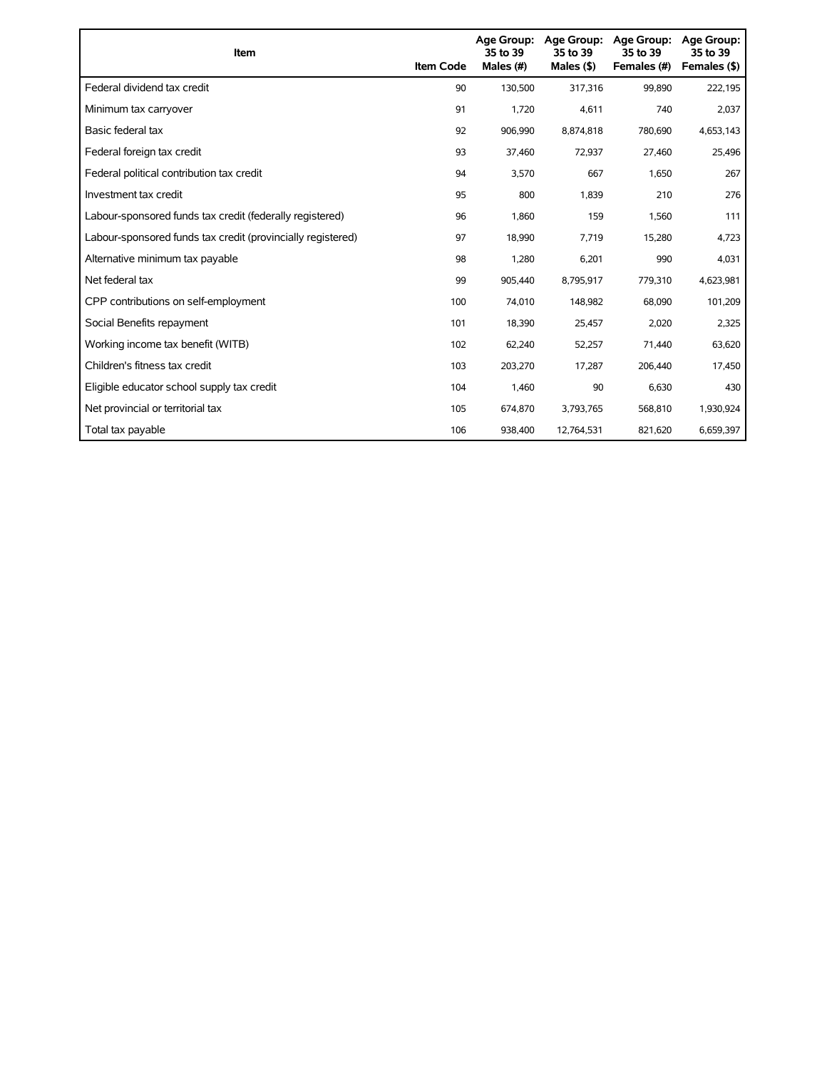| Item                                                        | <b>Item Code</b> | 35 to 39<br>Males (#) | Age Group: Age Group:<br>35 to 39<br>Males $($ \$) | <b>Age Group:</b><br>35 to 39<br>Females (#) | <b>Age Group:</b><br>35 to 39<br>Females (\$) |
|-------------------------------------------------------------|------------------|-----------------------|----------------------------------------------------|----------------------------------------------|-----------------------------------------------|
| Federal dividend tax credit                                 | 90               | 130,500               | 317,316                                            | 99,890                                       | 222,195                                       |
| Minimum tax carryover                                       | 91               | 1,720                 | 4,611                                              | 740                                          | 2,037                                         |
| Basic federal tax                                           | 92               | 906.990               | 8.874.818                                          | 780,690                                      | 4,653,143                                     |
| Federal foreign tax credit                                  | 93               | 37,460                | 72,937                                             | 27,460                                       | 25,496                                        |
| Federal political contribution tax credit                   | 94               | 3,570                 | 667                                                | 1,650                                        | 267                                           |
| Investment tax credit                                       | 95               | 800                   | 1,839                                              | 210                                          | 276                                           |
| Labour-sponsored funds tax credit (federally registered)    | 96               | 1,860                 | 159                                                | 1,560                                        | 111                                           |
| Labour-sponsored funds tax credit (provincially registered) | 97               | 18,990                | 7,719                                              | 15,280                                       | 4,723                                         |
| Alternative minimum tax payable                             | 98               | 1,280                 | 6,201                                              | 990                                          | 4,031                                         |
| Net federal tax                                             | 99               | 905,440               | 8,795,917                                          | 779,310                                      | 4,623,981                                     |
| CPP contributions on self-employment                        | 100              | 74,010                | 148,982                                            | 68,090                                       | 101,209                                       |
| Social Benefits repayment                                   | 101              | 18,390                | 25,457                                             | 2,020                                        | 2,325                                         |
| Working income tax benefit (WITB)                           | 102              | 62,240                | 52,257                                             | 71,440                                       | 63,620                                        |
| Children's fitness tax credit                               | 103              | 203,270               | 17,287                                             | 206,440                                      | 17,450                                        |
| Eligible educator school supply tax credit                  | 104              | 1,460                 | 90                                                 | 6,630                                        | 430                                           |
| Net provincial or territorial tax                           | 105              | 674,870               | 3,793,765                                          | 568,810                                      | 1,930,924                                     |
| Total tax payable                                           | 106              | 938,400               | 12.764.531                                         | 821,620                                      | 6,659,397                                     |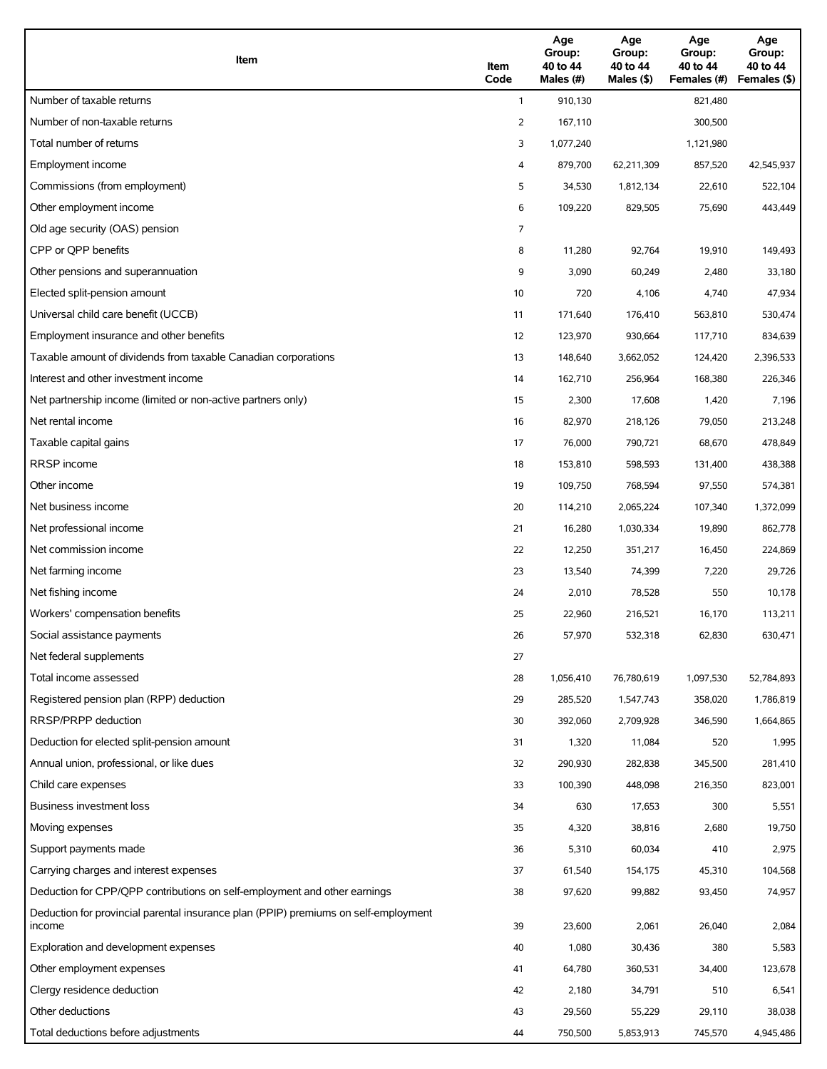| Item                                                                                          | Item<br>Code | Age<br>Group:<br>40 to 44<br>Males (#) | Age<br>Group:<br>40 to 44<br>Males (\$) | Age<br>Group:<br>40 to 44<br>Females (#) | Age<br>Group:<br>40 to 44<br>Females (\$) |
|-----------------------------------------------------------------------------------------------|--------------|----------------------------------------|-----------------------------------------|------------------------------------------|-------------------------------------------|
| Number of taxable returns                                                                     | $\mathbf{1}$ | 910,130                                |                                         | 821,480                                  |                                           |
| Number of non-taxable returns                                                                 | 2            | 167,110                                |                                         | 300,500                                  |                                           |
| Total number of returns                                                                       | 3            | 1,077,240                              |                                         | 1,121,980                                |                                           |
| Employment income                                                                             | 4            | 879,700                                | 62,211,309                              | 857,520                                  | 42,545,937                                |
| Commissions (from employment)                                                                 | 5            | 34,530                                 | 1,812,134                               | 22,610                                   | 522,104                                   |
| Other employment income                                                                       | 6            | 109,220                                | 829,505                                 | 75,690                                   | 443,449                                   |
| Old age security (OAS) pension                                                                | 7            |                                        |                                         |                                          |                                           |
| CPP or QPP benefits                                                                           | 8            | 11,280                                 | 92,764                                  | 19,910                                   | 149,493                                   |
| Other pensions and superannuation                                                             | 9            | 3,090                                  | 60,249                                  | 2,480                                    | 33,180                                    |
| Elected split-pension amount                                                                  | 10           | 720                                    | 4,106                                   | 4,740                                    | 47,934                                    |
| Universal child care benefit (UCCB)                                                           | 11           | 171,640                                | 176,410                                 | 563,810                                  | 530,474                                   |
| Employment insurance and other benefits                                                       | 12           | 123,970                                | 930,664                                 | 117,710                                  | 834,639                                   |
| Taxable amount of dividends from taxable Canadian corporations                                | 13           | 148,640                                | 3,662,052                               | 124,420                                  | 2,396,533                                 |
| Interest and other investment income                                                          | 14           | 162,710                                | 256,964                                 | 168,380                                  | 226,346                                   |
| Net partnership income (limited or non-active partners only)                                  | 15           | 2,300                                  | 17,608                                  | 1,420                                    | 7,196                                     |
| Net rental income                                                                             | 16           | 82,970                                 | 218,126                                 | 79,050                                   | 213,248                                   |
| Taxable capital gains                                                                         | 17           | 76,000                                 | 790,721                                 | 68,670                                   | 478,849                                   |
| <b>RRSP</b> income                                                                            | 18           | 153,810                                | 598,593                                 | 131,400                                  | 438,388                                   |
| Other income                                                                                  | 19           | 109,750                                | 768,594                                 | 97,550                                   | 574,381                                   |
| Net business income                                                                           | 20           | 114,210                                | 2,065,224                               | 107,340                                  | 1,372,099                                 |
| Net professional income                                                                       | 21           | 16,280                                 | 1,030,334                               | 19,890                                   | 862,778                                   |
| Net commission income                                                                         | 22           | 12,250                                 | 351,217                                 | 16,450                                   | 224,869                                   |
| Net farming income                                                                            | 23           | 13,540                                 | 74,399                                  | 7,220                                    | 29,726                                    |
| Net fishing income                                                                            | 24           | 2,010                                  | 78,528                                  | 550                                      | 10,178                                    |
| Workers' compensation benefits                                                                | 25           | 22,960                                 | 216,521                                 | 16,170                                   | 113,211                                   |
| Social assistance payments                                                                    | 26           | 57,970                                 | 532,318                                 | 62,830                                   | 630,471                                   |
| Net federal supplements                                                                       | 27           |                                        |                                         |                                          |                                           |
| Total income assessed                                                                         | 28           | 1,056,410                              | 76,780,619                              | 1,097,530                                | 52,784,893                                |
| Registered pension plan (RPP) deduction                                                       | 29           | 285,520                                | 1,547,743                               | 358,020                                  | 1,786,819                                 |
| RRSP/PRPP deduction                                                                           | 30           | 392,060                                | 2,709,928                               | 346,590                                  | 1,664,865                                 |
| Deduction for elected split-pension amount                                                    | 31           | 1,320                                  | 11,084                                  | 520                                      | 1,995                                     |
| Annual union, professional, or like dues                                                      | 32           | 290,930                                | 282,838                                 | 345,500                                  | 281,410                                   |
| Child care expenses                                                                           | 33           | 100,390                                | 448,098                                 | 216,350                                  | 823,001                                   |
| Business investment loss                                                                      | 34           | 630                                    | 17,653                                  | 300                                      | 5,551                                     |
| Moving expenses                                                                               | 35           | 4,320                                  | 38,816                                  | 2,680                                    | 19,750                                    |
| Support payments made                                                                         | 36           | 5,310                                  | 60,034                                  | 410                                      | 2,975                                     |
| Carrying charges and interest expenses                                                        | 37           | 61,540                                 | 154,175                                 | 45,310                                   | 104,568                                   |
| Deduction for CPP/QPP contributions on self-employment and other earnings                     | 38           | 97,620                                 | 99,882                                  | 93,450                                   | 74,957                                    |
| Deduction for provincial parental insurance plan (PPIP) premiums on self-employment<br>income | 39           | 23,600                                 | 2,061                                   | 26,040                                   | 2,084                                     |
| Exploration and development expenses                                                          | 40           | 1,080                                  | 30,436                                  | 380                                      | 5,583                                     |
| Other employment expenses                                                                     | 41           | 64,780                                 | 360,531                                 | 34,400                                   | 123,678                                   |
| Clergy residence deduction                                                                    | 42           | 2,180                                  | 34,791                                  | 510                                      | 6,541                                     |
| Other deductions                                                                              | 43           | 29,560                                 | 55,229                                  | 29,110                                   | 38,038                                    |
| Total deductions before adjustments                                                           | 44           | 750,500                                | 5,853,913                               | 745,570                                  | 4,945,486                                 |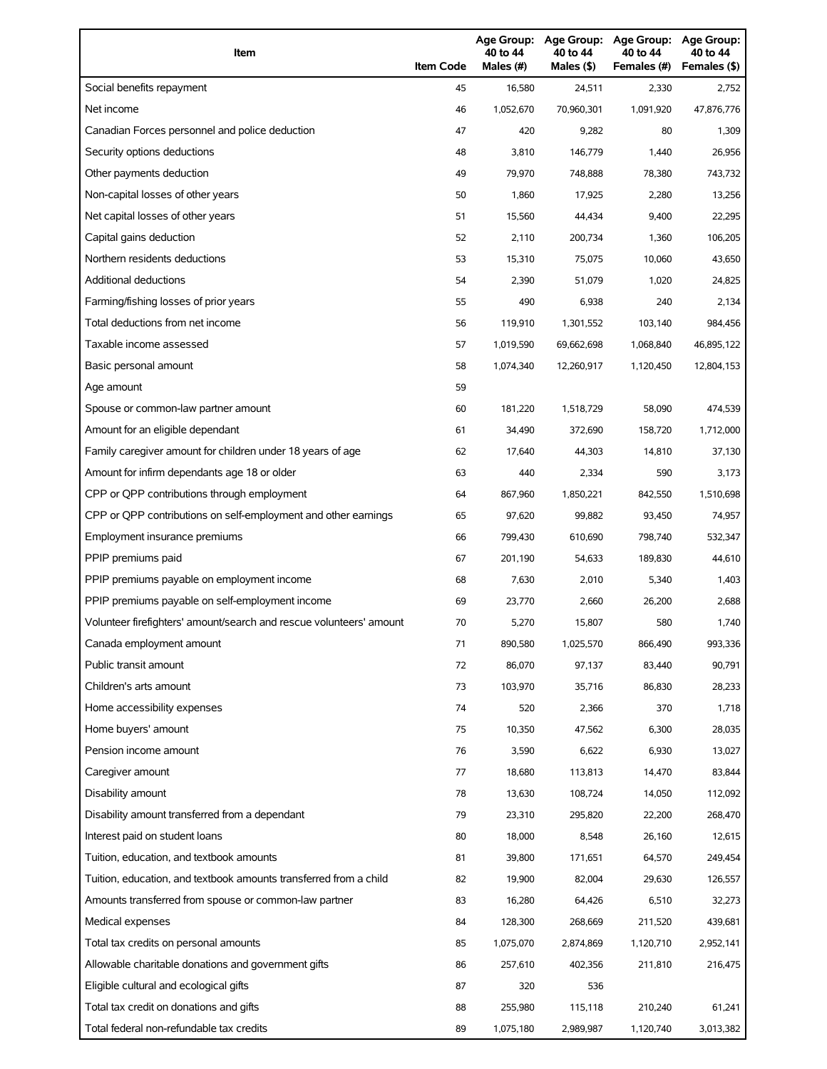| Item                                                                | <b>Item Code</b> | 40 to 44<br>Males (#) | 40 to 44<br>Males (\$) | Age Group: Age Group: Age Group:<br>40 to 44<br>Females (#) | Age Group:<br>40 to 44<br>Females (\$) |
|---------------------------------------------------------------------|------------------|-----------------------|------------------------|-------------------------------------------------------------|----------------------------------------|
| Social benefits repayment                                           | 45               | 16,580                | 24,511                 | 2,330                                                       | 2,752                                  |
| Net income                                                          | 46               | 1,052,670             | 70,960,301             | 1,091,920                                                   | 47,876,776                             |
| Canadian Forces personnel and police deduction                      | 47               | 420                   | 9,282                  | 80                                                          | 1,309                                  |
| Security options deductions                                         | 48               | 3,810                 | 146,779                | 1,440                                                       | 26,956                                 |
| Other payments deduction                                            | 49               | 79,970                | 748,888                | 78,380                                                      | 743,732                                |
| Non-capital losses of other years                                   | 50               | 1,860                 | 17,925                 | 2,280                                                       | 13,256                                 |
| Net capital losses of other years                                   | 51               | 15,560                | 44,434                 | 9,400                                                       | 22,295                                 |
| Capital gains deduction                                             | 52               | 2,110                 | 200,734                | 1,360                                                       | 106,205                                |
| Northern residents deductions                                       | 53               | 15,310                | 75,075                 | 10,060                                                      | 43,650                                 |
| Additional deductions                                               | 54               | 2,390                 | 51,079                 | 1,020                                                       | 24,825                                 |
| Farming/fishing losses of prior years                               | 55               | 490                   | 6,938                  | 240                                                         | 2,134                                  |
| Total deductions from net income                                    | 56               | 119,910               | 1,301,552              | 103,140                                                     | 984,456                                |
| Taxable income assessed                                             | 57               | 1,019,590             | 69,662,698             | 1,068,840                                                   | 46,895,122                             |
| Basic personal amount                                               | 58               | 1,074,340             | 12,260,917             | 1,120,450                                                   | 12,804,153                             |
| Age amount                                                          | 59               |                       |                        |                                                             |                                        |
| Spouse or common-law partner amount                                 | 60               | 181,220               | 1,518,729              | 58,090                                                      | 474,539                                |
| Amount for an eligible dependant                                    | 61               | 34,490                | 372,690                | 158,720                                                     | 1,712,000                              |
| Family caregiver amount for children under 18 years of age          | 62               | 17,640                | 44,303                 | 14,810                                                      | 37,130                                 |
| Amount for infirm dependants age 18 or older                        | 63               | 440                   | 2,334                  | 590                                                         | 3,173                                  |
| CPP or QPP contributions through employment                         | 64               | 867,960               | 1,850,221              | 842,550                                                     | 1,510,698                              |
| CPP or QPP contributions on self-employment and other earnings      | 65               | 97,620                | 99,882                 | 93,450                                                      | 74,957                                 |
| Employment insurance premiums                                       | 66               | 799,430               | 610,690                | 798,740                                                     | 532,347                                |
| PPIP premiums paid                                                  | 67               | 201,190               | 54,633                 | 189,830                                                     | 44,610                                 |
| PPIP premiums payable on employment income                          | 68               | 7,630                 | 2,010                  | 5,340                                                       | 1,403                                  |
| PPIP premiums payable on self-employment income                     | 69               | 23,770                | 2,660                  | 26,200                                                      | 2,688                                  |
| Volunteer firefighters' amount/search and rescue volunteers' amount | 70               | 5,270                 | 15,807                 | 580                                                         | 1,740                                  |
| Canada employment amount                                            | 71               | 890,580               | 1,025,570              | 866,490                                                     | 993,336                                |
| Public transit amount                                               | 72               | 86,070                | 97,137                 | 83,440                                                      | 90,791                                 |
| Children's arts amount                                              | 73               | 103,970               | 35,716                 | 86,830                                                      | 28,233                                 |
| Home accessibility expenses                                         | 74               | 520                   | 2,366                  | 370                                                         | 1,718                                  |
| Home buyers' amount                                                 | 75               | 10,350                | 47,562                 | 6,300                                                       | 28,035                                 |
| Pension income amount                                               | 76               | 3,590                 | 6,622                  | 6,930                                                       | 13,027                                 |
| Caregiver amount                                                    | 77               | 18,680                | 113,813                | 14,470                                                      | 83,844                                 |
| Disability amount                                                   | 78               | 13,630                | 108,724                | 14,050                                                      | 112,092                                |
| Disability amount transferred from a dependant                      | 79               | 23,310                | 295,820                | 22,200                                                      | 268,470                                |
| Interest paid on student loans                                      | 80               | 18,000                | 8,548                  | 26,160                                                      | 12,615                                 |
| Tuition, education, and textbook amounts                            | 81               | 39,800                | 171,651                | 64,570                                                      | 249,454                                |
| Tuition, education, and textbook amounts transferred from a child   | 82               | 19,900                | 82,004                 | 29,630                                                      | 126,557                                |
| Amounts transferred from spouse or common-law partner               | 83               | 16,280                | 64,426                 | 6,510                                                       | 32,273                                 |
| Medical expenses                                                    | 84               | 128,300               | 268,669                | 211,520                                                     | 439,681                                |
| Total tax credits on personal amounts                               | 85               | 1,075,070             | 2,874,869              | 1,120,710                                                   | 2,952,141                              |
| Allowable charitable donations and government gifts                 | 86               | 257,610               | 402,356                | 211,810                                                     | 216,475                                |
| Eligible cultural and ecological gifts                              | 87               | 320                   | 536                    |                                                             |                                        |
| Total tax credit on donations and gifts                             | 88               | 255,980               | 115,118                | 210,240                                                     | 61,241                                 |
| Total federal non-refundable tax credits                            | 89               | 1,075,180             | 2,989,987              | 1,120,740                                                   | 3,013,382                              |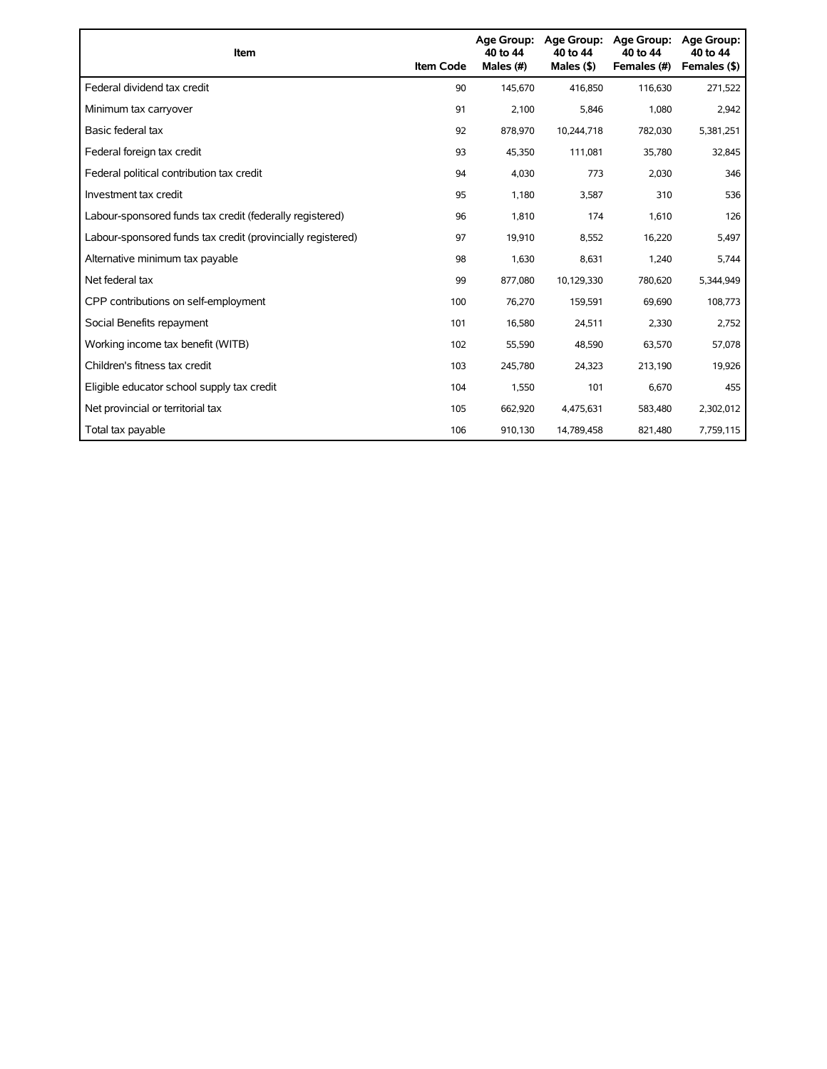| Item                                                        | <b>Item Code</b> | Age Group:<br>40 to 44<br>Males (#) | Age Group:<br>40 to 44<br>Males (\$) | <b>Age Group:</b><br>40 to 44<br>Females (#) | Age Group:<br>40 to 44<br>Females (\$) |
|-------------------------------------------------------------|------------------|-------------------------------------|--------------------------------------|----------------------------------------------|----------------------------------------|
| Federal dividend tax credit                                 | 90               | 145,670                             | 416,850                              | 116,630                                      | 271,522                                |
| Minimum tax carryover                                       | 91               | 2,100                               | 5,846                                | 1,080                                        | 2,942                                  |
| Basic federal tax                                           | 92               | 878,970                             | 10,244,718                           | 782,030                                      | 5,381,251                              |
| Federal foreign tax credit                                  | 93               | 45,350                              | 111,081                              | 35,780                                       | 32,845                                 |
| Federal political contribution tax credit                   | 94               | 4,030                               | 773                                  | 2,030                                        | 346                                    |
| Investment tax credit                                       | 95               | 1,180                               | 3,587                                | 310                                          | 536                                    |
| Labour-sponsored funds tax credit (federally registered)    | 96               | 1,810                               | 174                                  | 1,610                                        | 126                                    |
| Labour-sponsored funds tax credit (provincially registered) | 97               | 19,910                              | 8,552                                | 16,220                                       | 5,497                                  |
| Alternative minimum tax payable                             | 98               | 1,630                               | 8,631                                | 1,240                                        | 5,744                                  |
| Net federal tax                                             | 99               | 877,080                             | 10,129,330                           | 780,620                                      | 5,344,949                              |
| CPP contributions on self-employment                        | 100              | 76,270                              | 159,591                              | 69,690                                       | 108,773                                |
| Social Benefits repayment                                   | 101              | 16,580                              | 24,511                               | 2,330                                        | 2,752                                  |
| Working income tax benefit (WITB)                           | 102              | 55,590                              | 48,590                               | 63,570                                       | 57,078                                 |
| Children's fitness tax credit                               | 103              | 245,780                             | 24,323                               | 213,190                                      | 19,926                                 |
| Eligible educator school supply tax credit                  | 104              | 1,550                               | 101                                  | 6.670                                        | 455                                    |
| Net provincial or territorial tax                           | 105              | 662,920                             | 4,475,631                            | 583,480                                      | 2,302,012                              |
| Total tax payable                                           | 106              | 910,130                             | 14,789,458                           | 821,480                                      | 7,759,115                              |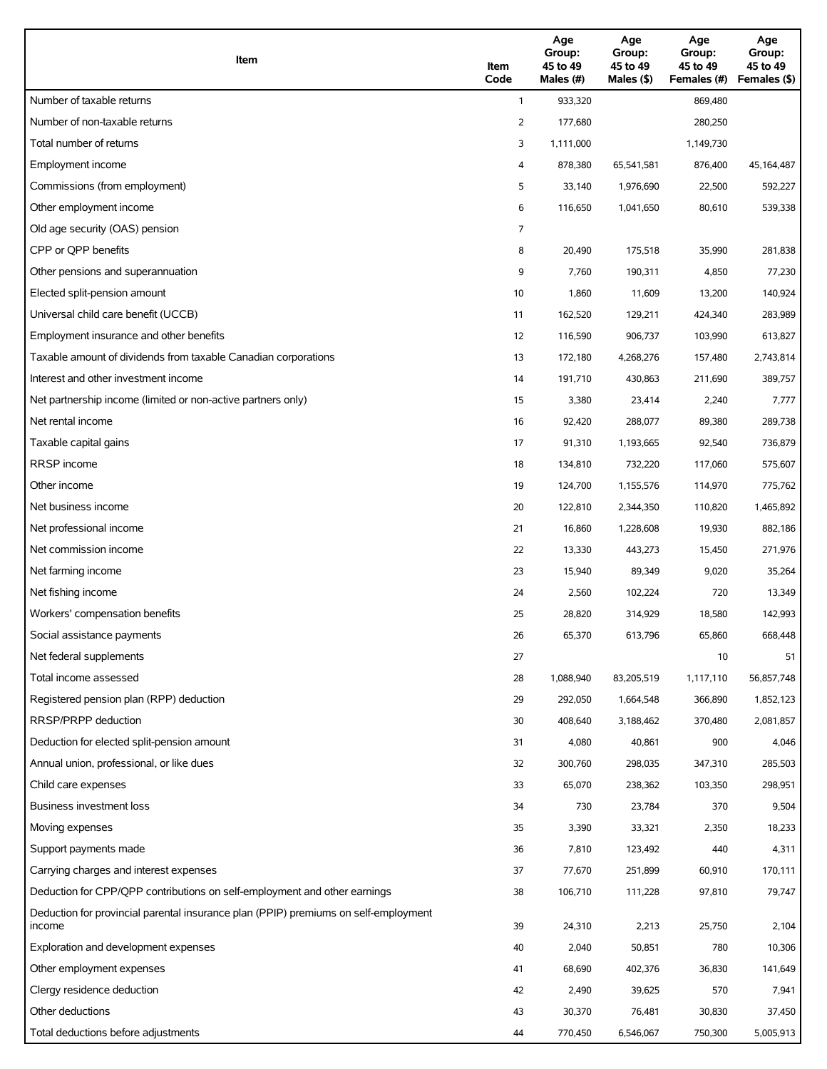| Item                                                                                          | Item<br>Code | Age<br>Group:<br>45 to 49<br>Males (#) | Age<br>Group:<br>45 to 49<br>Males (\$) | Age<br>Group:<br>45 to 49<br>Females (#) | Age<br>Group:<br>45 to 49<br>Females (\$) |
|-----------------------------------------------------------------------------------------------|--------------|----------------------------------------|-----------------------------------------|------------------------------------------|-------------------------------------------|
| Number of taxable returns                                                                     | $\mathbf{1}$ | 933,320                                |                                         | 869,480                                  |                                           |
| Number of non-taxable returns                                                                 | 2            | 177,680                                |                                         | 280,250                                  |                                           |
| Total number of returns                                                                       | 3            | 1,111,000                              |                                         | 1,149,730                                |                                           |
| Employment income                                                                             | 4            | 878,380                                | 65,541,581                              | 876,400                                  | 45,164,487                                |
| Commissions (from employment)                                                                 | 5            | 33,140                                 | 1,976,690                               | 22,500                                   | 592,227                                   |
| Other employment income                                                                       | 6            | 116,650                                | 1,041,650                               | 80,610                                   | 539,338                                   |
| Old age security (OAS) pension                                                                | 7            |                                        |                                         |                                          |                                           |
| CPP or QPP benefits                                                                           | 8            | 20,490                                 | 175,518                                 | 35,990                                   | 281,838                                   |
| Other pensions and superannuation                                                             | 9            | 7,760                                  | 190,311                                 | 4,850                                    | 77,230                                    |
| Elected split-pension amount                                                                  | 10           | 1,860                                  | 11,609                                  | 13,200                                   | 140,924                                   |
| Universal child care benefit (UCCB)                                                           | 11           | 162,520                                | 129,211                                 | 424,340                                  | 283,989                                   |
| Employment insurance and other benefits                                                       | 12           | 116,590                                | 906,737                                 | 103,990                                  | 613,827                                   |
| Taxable amount of dividends from taxable Canadian corporations                                | 13           | 172,180                                | 4,268,276                               | 157,480                                  | 2,743,814                                 |
| Interest and other investment income                                                          | 14           | 191,710                                | 430,863                                 | 211,690                                  | 389,757                                   |
| Net partnership income (limited or non-active partners only)                                  | 15           | 3,380                                  | 23,414                                  | 2,240                                    | 7,777                                     |
| Net rental income                                                                             | 16           | 92,420                                 | 288,077                                 | 89,380                                   | 289,738                                   |
| Taxable capital gains                                                                         | 17           | 91,310                                 | 1,193,665                               | 92,540                                   | 736,879                                   |
| RRSP income                                                                                   | 18           | 134,810                                | 732,220                                 | 117,060                                  | 575,607                                   |
| Other income                                                                                  | 19           | 124,700                                | 1,155,576                               | 114,970                                  | 775,762                                   |
| Net business income                                                                           | 20           | 122,810                                | 2,344,350                               | 110,820                                  | 1,465,892                                 |
| Net professional income                                                                       | 21           | 16,860                                 | 1,228,608                               | 19,930                                   | 882,186                                   |
| Net commission income                                                                         | 22           | 13,330                                 | 443,273                                 | 15,450                                   | 271,976                                   |
| Net farming income                                                                            | 23           | 15,940                                 | 89,349                                  | 9,020                                    | 35,264                                    |
| Net fishing income                                                                            | 24           | 2,560                                  | 102,224                                 | 720                                      | 13,349                                    |
| Workers' compensation benefits                                                                | 25           | 28,820                                 | 314,929                                 | 18,580                                   | 142,993                                   |
| Social assistance payments                                                                    | 26           | 65,370                                 | 613,796                                 | 65,860                                   | 668,448                                   |
| Net federal supplements                                                                       | 27           |                                        |                                         | 10                                       | 51                                        |
| Total income assessed                                                                         | 28           | 1,088,940                              | 83,205,519                              | 1,117,110                                | 56,857,748                                |
| Registered pension plan (RPP) deduction                                                       | 29           | 292,050                                | 1,664,548                               | 366,890                                  | 1,852,123                                 |
| RRSP/PRPP deduction                                                                           | 30           | 408,640                                | 3,188,462                               | 370,480                                  | 2,081,857                                 |
| Deduction for elected split-pension amount                                                    | 31           | 4,080                                  | 40,861                                  | 900                                      | 4,046                                     |
| Annual union, professional, or like dues                                                      | 32           | 300,760                                | 298,035                                 | 347,310                                  | 285,503                                   |
| Child care expenses                                                                           | 33           | 65,070                                 | 238,362                                 | 103,350                                  | 298,951                                   |
| Business investment loss                                                                      | 34           | 730                                    | 23,784                                  | 370                                      | 9,504                                     |
| Moving expenses                                                                               | 35           | 3,390                                  | 33,321                                  | 2,350                                    | 18,233                                    |
| Support payments made                                                                         | 36           | 7,810                                  | 123,492                                 | 440                                      | 4,311                                     |
| Carrying charges and interest expenses                                                        | 37           | 77,670                                 | 251,899                                 | 60,910                                   | 170,111                                   |
| Deduction for CPP/QPP contributions on self-employment and other earnings                     | 38           | 106,710                                | 111,228                                 | 97,810                                   | 79,747                                    |
| Deduction for provincial parental insurance plan (PPIP) premiums on self-employment<br>income | 39           | 24,310                                 | 2,213                                   | 25,750                                   | 2,104                                     |
| Exploration and development expenses                                                          | 40           | 2,040                                  | 50,851                                  | 780                                      | 10,306                                    |
| Other employment expenses                                                                     | 41           | 68,690                                 | 402,376                                 | 36,830                                   | 141,649                                   |
| Clergy residence deduction                                                                    | 42           | 2,490                                  | 39,625                                  | 570                                      | 7,941                                     |
| Other deductions                                                                              | 43           | 30,370                                 | 76,481                                  | 30,830                                   | 37,450                                    |
| Total deductions before adjustments                                                           | 44           | 770,450                                | 6,546,067                               | 750,300                                  | 5,005,913                                 |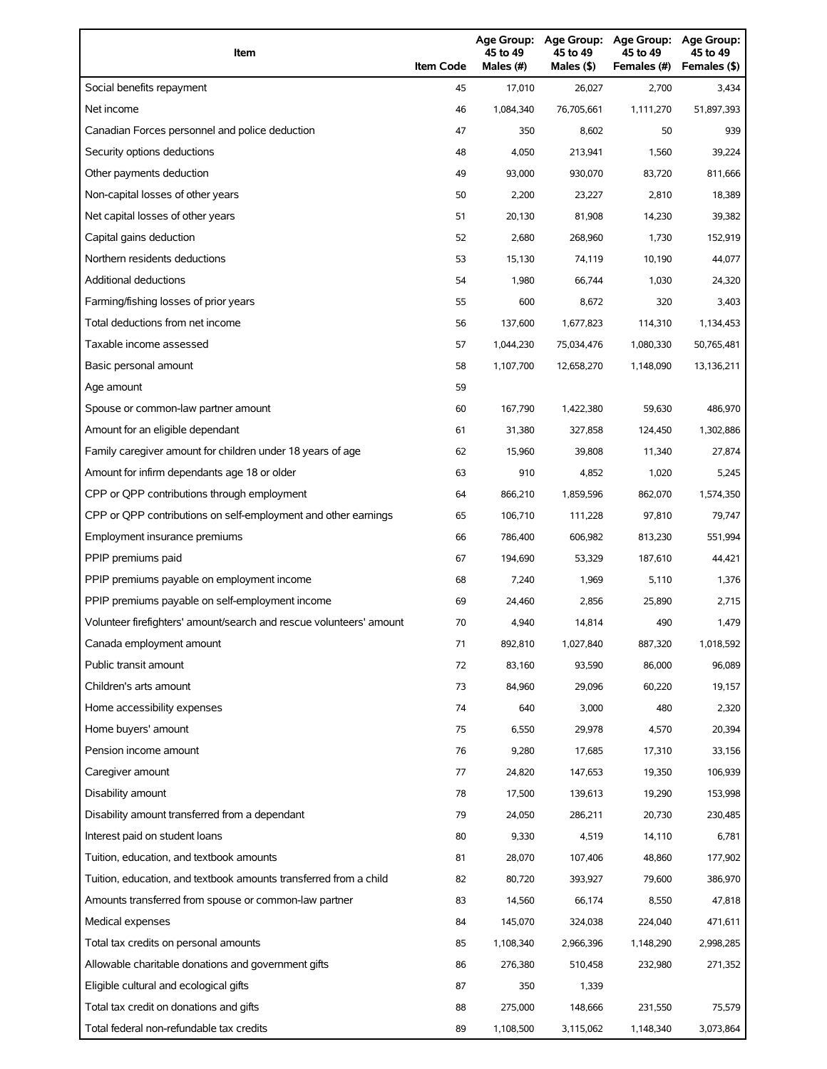| Item                                                                | <b>Item Code</b> | 45 to 49<br>Males (#) | 45 to 49<br>Males (\$) | Age Group: Age Group: Age Group:<br>45 to 49<br>Females (#) | Age Group:<br>45 to 49<br>Females (\$) |
|---------------------------------------------------------------------|------------------|-----------------------|------------------------|-------------------------------------------------------------|----------------------------------------|
| Social benefits repayment                                           | 45               | 17,010                | 26,027                 | 2,700                                                       | 3,434                                  |
| Net income                                                          | 46               | 1,084,340             | 76,705,661             | 1,111,270                                                   | 51,897,393                             |
| Canadian Forces personnel and police deduction                      | 47               | 350                   | 8,602                  | 50                                                          | 939                                    |
| Security options deductions                                         | 48               | 4,050                 | 213,941                | 1,560                                                       | 39,224                                 |
| Other payments deduction                                            | 49               | 93,000                | 930,070                | 83,720                                                      | 811,666                                |
| Non-capital losses of other years                                   | 50               | 2,200                 | 23,227                 | 2,810                                                       | 18,389                                 |
| Net capital losses of other years                                   | 51               | 20,130                | 81,908                 | 14,230                                                      | 39,382                                 |
| Capital gains deduction                                             | 52               | 2,680                 | 268,960                | 1,730                                                       | 152,919                                |
| Northern residents deductions                                       | 53               | 15,130                | 74,119                 | 10,190                                                      | 44,077                                 |
| Additional deductions                                               | 54               | 1,980                 | 66,744                 | 1,030                                                       | 24,320                                 |
| Farming/fishing losses of prior years                               | 55               | 600                   | 8,672                  | 320                                                         | 3,403                                  |
| Total deductions from net income                                    | 56               | 137,600               | 1,677,823              | 114,310                                                     | 1,134,453                              |
| Taxable income assessed                                             | 57               | 1,044,230             | 75,034,476             | 1,080,330                                                   | 50,765,481                             |
| Basic personal amount                                               | 58               | 1,107,700             | 12,658,270             | 1,148,090                                                   | 13,136,211                             |
| Age amount                                                          | 59               |                       |                        |                                                             |                                        |
| Spouse or common-law partner amount                                 | 60               | 167,790               | 1,422,380              | 59,630                                                      | 486,970                                |
| Amount for an eligible dependant                                    | 61               | 31,380                | 327,858                | 124,450                                                     | 1,302,886                              |
| Family caregiver amount for children under 18 years of age          | 62               | 15,960                | 39,808                 | 11,340                                                      | 27,874                                 |
| Amount for infirm dependants age 18 or older                        | 63               | 910                   | 4,852                  | 1,020                                                       | 5,245                                  |
| CPP or QPP contributions through employment                         | 64               | 866,210               | 1,859,596              | 862,070                                                     | 1,574,350                              |
| CPP or QPP contributions on self-employment and other earnings      | 65               | 106,710               | 111,228                | 97,810                                                      | 79,747                                 |
| Employment insurance premiums                                       | 66               | 786,400               | 606,982                | 813,230                                                     | 551,994                                |
| PPIP premiums paid                                                  | 67               | 194,690               | 53.329                 | 187,610                                                     | 44,421                                 |
| PPIP premiums payable on employment income                          | 68               | 7,240                 | 1,969                  | 5,110                                                       | 1,376                                  |
| PPIP premiums payable on self-employment income                     | 69               | 24,460                | 2,856                  | 25,890                                                      | 2,715                                  |
| Volunteer firefighters' amount/search and rescue volunteers' amount | 70               | 4,940                 | 14,814                 | 490                                                         | 1,479                                  |
| Canada employment amount                                            | 71               | 892,810               | 1,027,840              | 887,320                                                     | 1,018,592                              |
| Public transit amount                                               | 72               | 83,160                | 93,590                 | 86,000                                                      | 96,089                                 |
| Children's arts amount                                              | 73               | 84,960                | 29,096                 | 60,220                                                      | 19,157                                 |
| Home accessibility expenses                                         | 74               | 640                   | 3,000                  | 480                                                         | 2,320                                  |
| Home buyers' amount                                                 | 75               | 6,550                 | 29,978                 | 4,570                                                       | 20,394                                 |
| Pension income amount                                               | 76               | 9,280                 | 17,685                 | 17,310                                                      | 33,156                                 |
| Caregiver amount                                                    | 77               | 24,820                | 147,653                | 19,350                                                      | 106,939                                |
| Disability amount                                                   | 78               | 17,500                | 139,613                | 19,290                                                      | 153,998                                |
| Disability amount transferred from a dependant                      | 79               | 24,050                | 286,211                | 20,730                                                      | 230,485                                |
| Interest paid on student loans                                      | 80               | 9,330                 | 4,519                  | 14,110                                                      | 6,781                                  |
| Tuition, education, and textbook amounts                            | 81               | 28,070                | 107,406                | 48,860                                                      | 177,902                                |
| Tuition, education, and textbook amounts transferred from a child   | 82               | 80,720                | 393,927                | 79,600                                                      | 386,970                                |
| Amounts transferred from spouse or common-law partner               | 83               | 14,560                | 66,174                 | 8,550                                                       | 47,818                                 |
| Medical expenses                                                    | 84               | 145,070               | 324,038                | 224,040                                                     | 471,611                                |
| Total tax credits on personal amounts                               | 85               | 1,108,340             | 2,966,396              | 1,148,290                                                   | 2,998,285                              |
| Allowable charitable donations and government gifts                 | 86               | 276,380               | 510,458                | 232,980                                                     | 271,352                                |
| Eligible cultural and ecological gifts                              | 87               | 350                   | 1,339                  |                                                             |                                        |
| Total tax credit on donations and gifts                             | 88               | 275,000               | 148,666                | 231,550                                                     | 75,579                                 |
| Total federal non-refundable tax credits                            | 89               | 1,108,500             | 3,115,062              | 1,148,340                                                   | 3,073,864                              |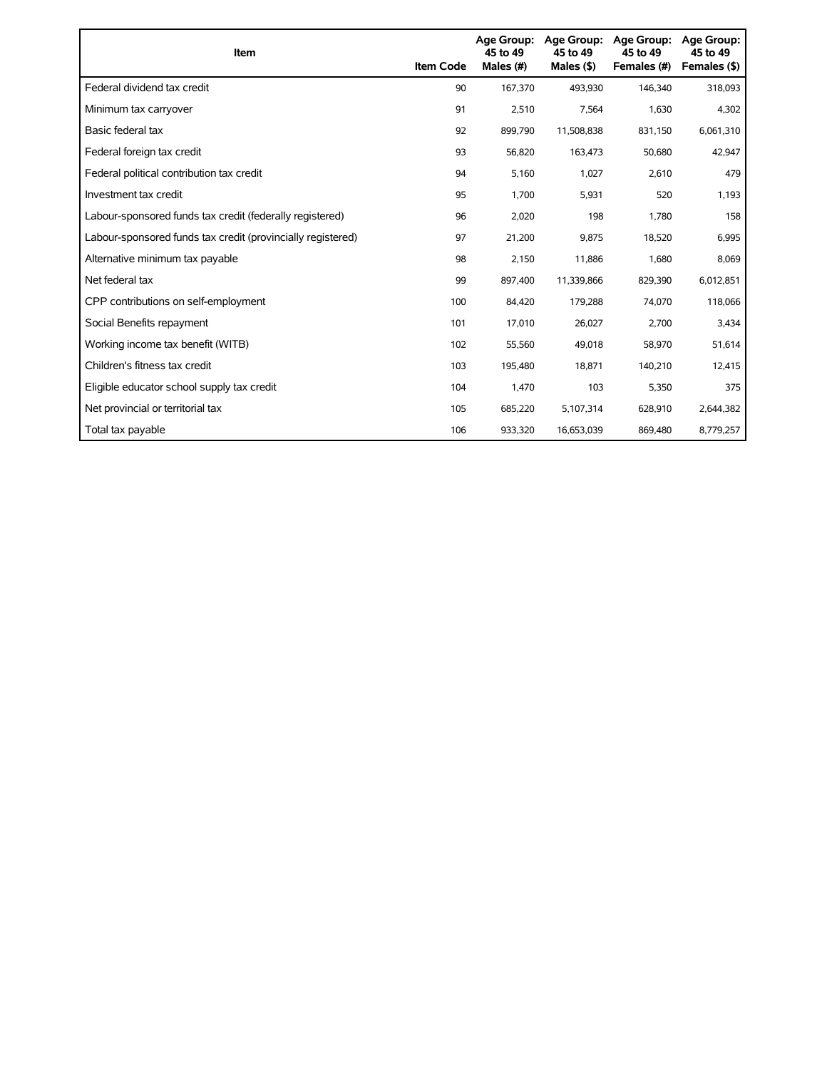| Item                                                        | <b>Item Code</b> | 45 to 49<br>Males (#) | Age Group: Age Group:<br>45 to 49<br>Males (\$) | Age Group:<br>45 to 49<br>Females (#) | Age Group:<br>45 to 49<br>Females (\$) |
|-------------------------------------------------------------|------------------|-----------------------|-------------------------------------------------|---------------------------------------|----------------------------------------|
| Federal dividend tax credit                                 | 90               | 167,370               | 493.930                                         | 146,340                               | 318,093                                |
| Minimum tax carryover                                       | 91               | 2,510                 | 7,564                                           | 1,630                                 | 4,302                                  |
| Basic federal tax                                           | 92               | 899,790               | 11,508,838                                      | 831,150                               | 6,061,310                              |
| Federal foreign tax credit                                  | 93               | 56,820                | 163,473                                         | 50,680                                | 42,947                                 |
| Federal political contribution tax credit                   | 94               | 5,160                 | 1,027                                           | 2,610                                 | 479                                    |
| Investment tax credit                                       | 95               | 1,700                 | 5,931                                           | 520                                   | 1,193                                  |
| Labour-sponsored funds tax credit (federally registered)    | 96               | 2,020                 | 198                                             | 1,780                                 | 158                                    |
| Labour-sponsored funds tax credit (provincially registered) | 97               | 21,200                | 9,875                                           | 18,520                                | 6,995                                  |
| Alternative minimum tax payable                             | 98               | 2,150                 | 11,886                                          | 1,680                                 | 8,069                                  |
| Net federal tax                                             | 99               | 897,400               | 11,339,866                                      | 829,390                               | 6,012,851                              |
| CPP contributions on self-employment                        | 100              | 84,420                | 179,288                                         | 74,070                                | 118,066                                |
| Social Benefits repayment                                   | 101              | 17,010                | 26,027                                          | 2,700                                 | 3,434                                  |
| Working income tax benefit (WITB)                           | 102              | 55,560                | 49,018                                          | 58,970                                | 51,614                                 |
| Children's fitness tax credit                               | 103              | 195,480               | 18,871                                          | 140,210                               | 12,415                                 |
| Eligible educator school supply tax credit                  | 104              | 1,470                 | 103                                             | 5,350                                 | 375                                    |
| Net provincial or territorial tax                           | 105              | 685,220               | 5,107,314                                       | 628,910                               | 2,644,382                              |
| Total tax payable                                           | 106              | 933,320               | 16,653,039                                      | 869,480                               | 8,779,257                              |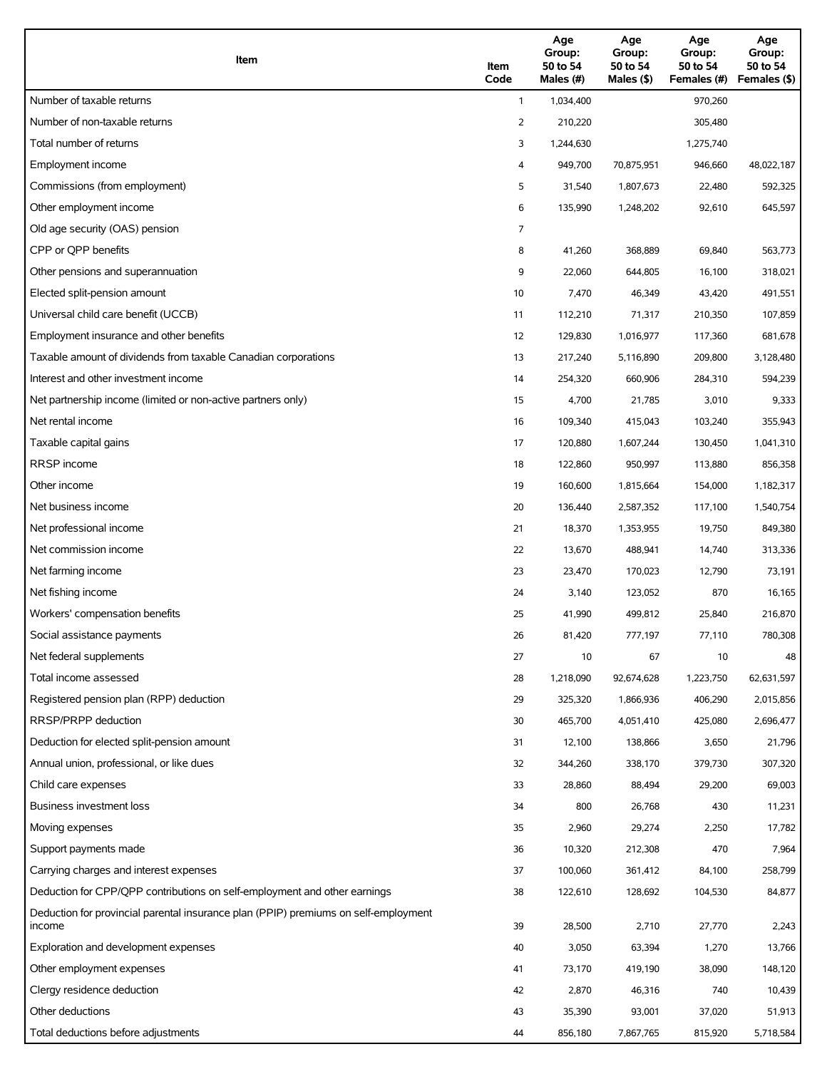| Item                                                                                          | Item<br>Code | Age<br>Group:<br>50 to 54<br>Males (#) | Age<br>Group:<br>50 to 54<br>Males (\$) | Age<br>Group:<br>50 to 54<br>Females (#) | Age<br>Group:<br>50 to 54<br>Females (\$) |
|-----------------------------------------------------------------------------------------------|--------------|----------------------------------------|-----------------------------------------|------------------------------------------|-------------------------------------------|
| Number of taxable returns                                                                     | $\mathbf{1}$ | 1,034,400                              |                                         | 970,260                                  |                                           |
| Number of non-taxable returns                                                                 | 2            | 210,220                                |                                         | 305,480                                  |                                           |
| Total number of returns                                                                       | 3            | 1,244,630                              |                                         | 1,275,740                                |                                           |
| Employment income                                                                             | 4            | 949,700                                | 70,875,951                              | 946,660                                  | 48,022,187                                |
| Commissions (from employment)                                                                 | 5            | 31,540                                 | 1,807,673                               | 22,480                                   | 592,325                                   |
| Other employment income                                                                       | 6            | 135,990                                | 1,248,202                               | 92,610                                   | 645,597                                   |
| Old age security (OAS) pension                                                                | 7            |                                        |                                         |                                          |                                           |
| CPP or QPP benefits                                                                           | 8            | 41,260                                 | 368,889                                 | 69,840                                   | 563,773                                   |
| Other pensions and superannuation                                                             | 9            | 22,060                                 | 644,805                                 | 16,100                                   | 318,021                                   |
| Elected split-pension amount                                                                  | 10           | 7,470                                  | 46,349                                  | 43,420                                   | 491,551                                   |
| Universal child care benefit (UCCB)                                                           | 11           | 112,210                                | 71,317                                  | 210,350                                  | 107,859                                   |
| Employment insurance and other benefits                                                       | 12           | 129,830                                | 1,016,977                               | 117,360                                  | 681,678                                   |
| Taxable amount of dividends from taxable Canadian corporations                                | 13           | 217,240                                | 5,116,890                               | 209,800                                  | 3,128,480                                 |
| Interest and other investment income                                                          | 14           | 254,320                                | 660,906                                 | 284,310                                  | 594,239                                   |
| Net partnership income (limited or non-active partners only)                                  | 15           | 4,700                                  | 21,785                                  | 3,010                                    | 9,333                                     |
| Net rental income                                                                             | 16           | 109,340                                | 415,043                                 | 103,240                                  | 355,943                                   |
| Taxable capital gains                                                                         | 17           | 120,880                                | 1,607,244                               | 130,450                                  | 1,041,310                                 |
| <b>RRSP</b> income                                                                            | 18           | 122,860                                | 950,997                                 | 113,880                                  | 856,358                                   |
| Other income                                                                                  | 19           | 160,600                                | 1,815,664                               | 154,000                                  | 1,182,317                                 |
| Net business income                                                                           | 20           | 136,440                                | 2,587,352                               | 117,100                                  | 1,540,754                                 |
| Net professional income                                                                       | 21           | 18,370                                 | 1,353,955                               | 19,750                                   | 849,380                                   |
| Net commission income                                                                         | 22           | 13,670                                 | 488,941                                 | 14,740                                   | 313,336                                   |
| Net farming income                                                                            | 23           | 23,470                                 | 170,023                                 | 12,790                                   | 73,191                                    |
| Net fishing income                                                                            | 24           | 3,140                                  | 123,052                                 | 870                                      | 16,165                                    |
| Workers' compensation benefits                                                                | 25           | 41,990                                 | 499,812                                 | 25,840                                   | 216,870                                   |
| Social assistance payments                                                                    | 26           | 81,420                                 | 777,197                                 | 77,110                                   | 780,308                                   |
| Net federal supplements                                                                       | 27           | 10                                     | 67                                      | 10                                       | 48                                        |
| Total income assessed                                                                         | 28           | 1,218,090                              | 92,674,628                              | 1,223,750                                | 62,631,597                                |
| Registered pension plan (RPP) deduction                                                       | 29           | 325,320                                | 1,866,936                               | 406,290                                  | 2,015,856                                 |
| RRSP/PRPP deduction                                                                           | 30           | 465,700                                | 4,051,410                               | 425,080                                  | 2,696,477                                 |
| Deduction for elected split-pension amount                                                    | 31           | 12,100                                 | 138,866                                 | 3,650                                    | 21,796                                    |
| Annual union, professional, or like dues                                                      | 32           | 344,260                                | 338,170                                 | 379,730                                  | 307,320                                   |
| Child care expenses                                                                           | 33           | 28,860                                 | 88,494                                  | 29,200                                   | 69,003                                    |
| Business investment loss                                                                      | 34           | 800                                    | 26,768                                  | 430                                      | 11,231                                    |
| Moving expenses                                                                               | 35           | 2,960                                  | 29,274                                  | 2,250                                    | 17,782                                    |
| Support payments made                                                                         | 36           | 10,320                                 | 212,308                                 | 470                                      | 7,964                                     |
| Carrying charges and interest expenses                                                        | 37           | 100,060                                | 361,412                                 | 84,100                                   | 258,799                                   |
| Deduction for CPP/QPP contributions on self-employment and other earnings                     | 38           | 122,610                                | 128,692                                 | 104,530                                  | 84,877                                    |
| Deduction for provincial parental insurance plan (PPIP) premiums on self-employment<br>income | 39           | 28,500                                 | 2,710                                   | 27,770                                   | 2,243                                     |
| Exploration and development expenses                                                          | 40           | 3,050                                  | 63,394                                  | 1,270                                    | 13,766                                    |
| Other employment expenses                                                                     | 41           | 73,170                                 | 419,190                                 | 38,090                                   | 148,120                                   |
| Clergy residence deduction                                                                    | 42           | 2,870                                  | 46,316                                  | 740                                      | 10,439                                    |
| Other deductions                                                                              | 43           | 35,390                                 | 93,001                                  | 37,020                                   | 51,913                                    |
| Total deductions before adjustments                                                           | 44           | 856,180                                | 7,867,765                               | 815,920                                  | 5,718,584                                 |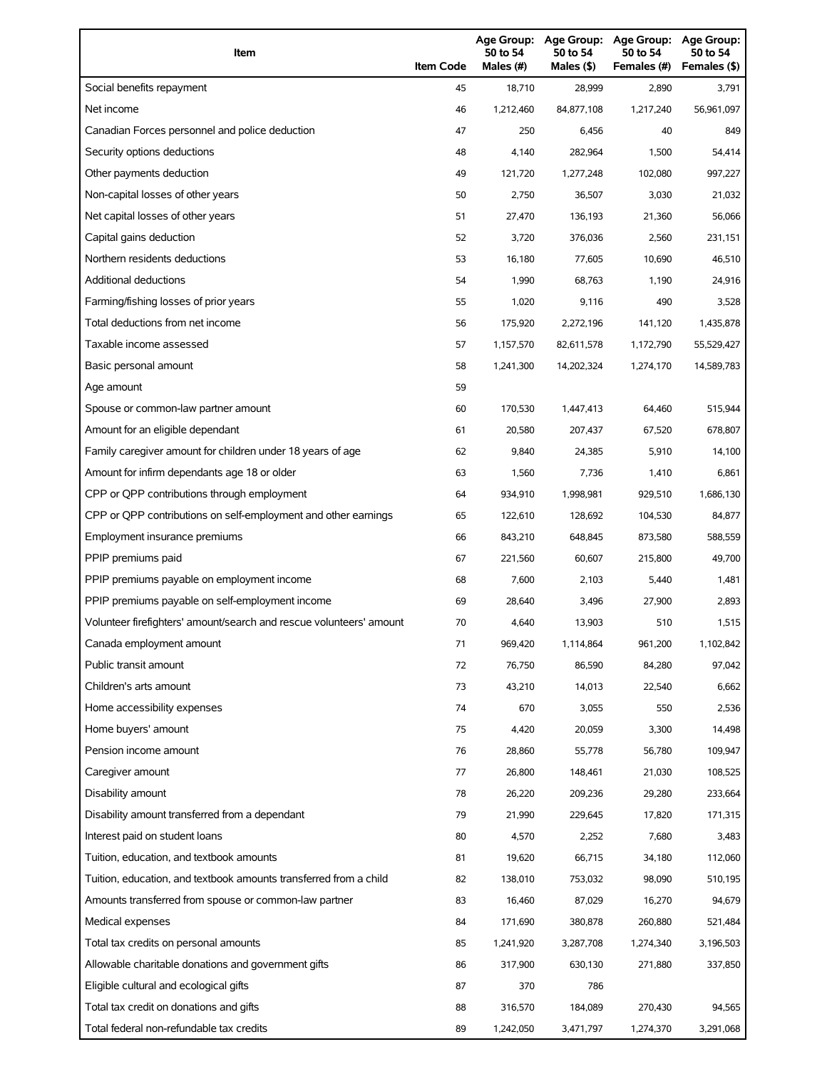| Item                                                                | <b>Item Code</b> | 50 to 54<br>Males (#) | 50 to 54<br>Males (\$) | Age Group: Age Group: Age Group:<br>50 to 54<br>Females (#) | Age Group:<br>50 to 54<br>Females (\$) |
|---------------------------------------------------------------------|------------------|-----------------------|------------------------|-------------------------------------------------------------|----------------------------------------|
| Social benefits repayment                                           | 45               | 18,710                | 28,999                 | 2,890                                                       | 3,791                                  |
| Net income                                                          | 46               | 1,212,460             | 84,877,108             | 1,217,240                                                   | 56,961,097                             |
| Canadian Forces personnel and police deduction                      | 47               | 250                   | 6,456                  | 40                                                          | 849                                    |
| Security options deductions                                         | 48               | 4,140                 | 282,964                | 1,500                                                       | 54,414                                 |
| Other payments deduction                                            | 49               | 121,720               | 1,277,248              | 102,080                                                     | 997,227                                |
| Non-capital losses of other years                                   | 50               | 2,750                 | 36,507                 | 3,030                                                       | 21,032                                 |
| Net capital losses of other years                                   | 51               | 27,470                | 136,193                | 21,360                                                      | 56,066                                 |
| Capital gains deduction                                             | 52               | 3,720                 | 376,036                | 2,560                                                       | 231,151                                |
| Northern residents deductions                                       | 53               | 16,180                | 77,605                 | 10,690                                                      | 46,510                                 |
| Additional deductions                                               | 54               | 1,990                 | 68,763                 | 1,190                                                       | 24,916                                 |
| Farming/fishing losses of prior years                               | 55               | 1,020                 | 9,116                  | 490                                                         | 3,528                                  |
| Total deductions from net income                                    | 56               | 175,920               | 2,272,196              | 141,120                                                     | 1,435,878                              |
| Taxable income assessed                                             | 57               | 1,157,570             | 82,611,578             | 1,172,790                                                   | 55,529,427                             |
| Basic personal amount                                               | 58               | 1,241,300             | 14,202,324             | 1,274,170                                                   | 14,589,783                             |
| Age amount                                                          | 59               |                       |                        |                                                             |                                        |
| Spouse or common-law partner amount                                 | 60               | 170,530               | 1,447,413              | 64,460                                                      | 515,944                                |
| Amount for an eligible dependant                                    | 61               | 20,580                | 207,437                | 67,520                                                      | 678,807                                |
| Family caregiver amount for children under 18 years of age          | 62               | 9,840                 | 24,385                 | 5,910                                                       | 14,100                                 |
| Amount for infirm dependants age 18 or older                        | 63               | 1,560                 | 7,736                  | 1,410                                                       | 6,861                                  |
| CPP or QPP contributions through employment                         | 64               | 934,910               | 1,998,981              | 929,510                                                     | 1,686,130                              |
| CPP or QPP contributions on self-employment and other earnings      | 65               | 122,610               | 128,692                | 104,530                                                     | 84,877                                 |
| Employment insurance premiums                                       | 66               | 843,210               | 648,845                | 873,580                                                     | 588,559                                |
| PPIP premiums paid                                                  | 67               | 221,560               | 60.607                 | 215,800                                                     | 49,700                                 |
| PPIP premiums payable on employment income                          | 68               | 7,600                 | 2,103                  | 5,440                                                       | 1,481                                  |
| PPIP premiums payable on self-employment income                     | 69               | 28,640                | 3,496                  | 27,900                                                      | 2,893                                  |
| Volunteer firefighters' amount/search and rescue volunteers' amount | 70               | 4,640                 | 13,903                 | 510                                                         | 1,515                                  |
| Canada employment amount                                            | 71               | 969,420               | 1,114,864              | 961,200                                                     | 1,102,842                              |
| Public transit amount                                               | 72               | 76,750                | 86,590                 | 84,280                                                      | 97,042                                 |
| Children's arts amount                                              | 73               | 43,210                | 14,013                 | 22,540                                                      | 6,662                                  |
| Home accessibility expenses                                         | 74               | 670                   | 3,055                  | 550                                                         | 2,536                                  |
| Home buyers' amount                                                 | 75               | 4,420                 | 20,059                 | 3,300                                                       | 14,498                                 |
| Pension income amount                                               | 76               | 28,860                | 55,778                 | 56,780                                                      | 109,947                                |
| Caregiver amount                                                    | 77               | 26,800                | 148,461                | 21,030                                                      | 108,525                                |
| Disability amount                                                   | 78               | 26,220                | 209,236                | 29,280                                                      | 233,664                                |
| Disability amount transferred from a dependant                      | 79               | 21,990                | 229,645                | 17,820                                                      | 171,315                                |
| Interest paid on student loans                                      | 80               | 4,570                 | 2,252                  | 7,680                                                       | 3,483                                  |
| Tuition, education, and textbook amounts                            | 81               | 19,620                | 66,715                 | 34,180                                                      | 112,060                                |
| Tuition, education, and textbook amounts transferred from a child   | 82               | 138,010               | 753,032                | 98,090                                                      | 510,195                                |
| Amounts transferred from spouse or common-law partner               | 83               | 16,460                | 87,029                 | 16,270                                                      | 94,679                                 |
| Medical expenses                                                    | 84               | 171,690               | 380,878                | 260,880                                                     | 521,484                                |
| Total tax credits on personal amounts                               | 85               | 1,241,920             | 3,287,708              | 1,274,340                                                   | 3,196,503                              |
| Allowable charitable donations and government gifts                 | 86               | 317,900               | 630,130                | 271,880                                                     | 337,850                                |
| Eligible cultural and ecological gifts                              | 87               | 370                   | 786                    |                                                             |                                        |
| Total tax credit on donations and gifts                             | 88               | 316,570               | 184,089                | 270,430                                                     | 94,565                                 |
| Total federal non-refundable tax credits                            | 89               | 1,242,050             | 3,471,797              | 1,274,370                                                   | 3,291,068                              |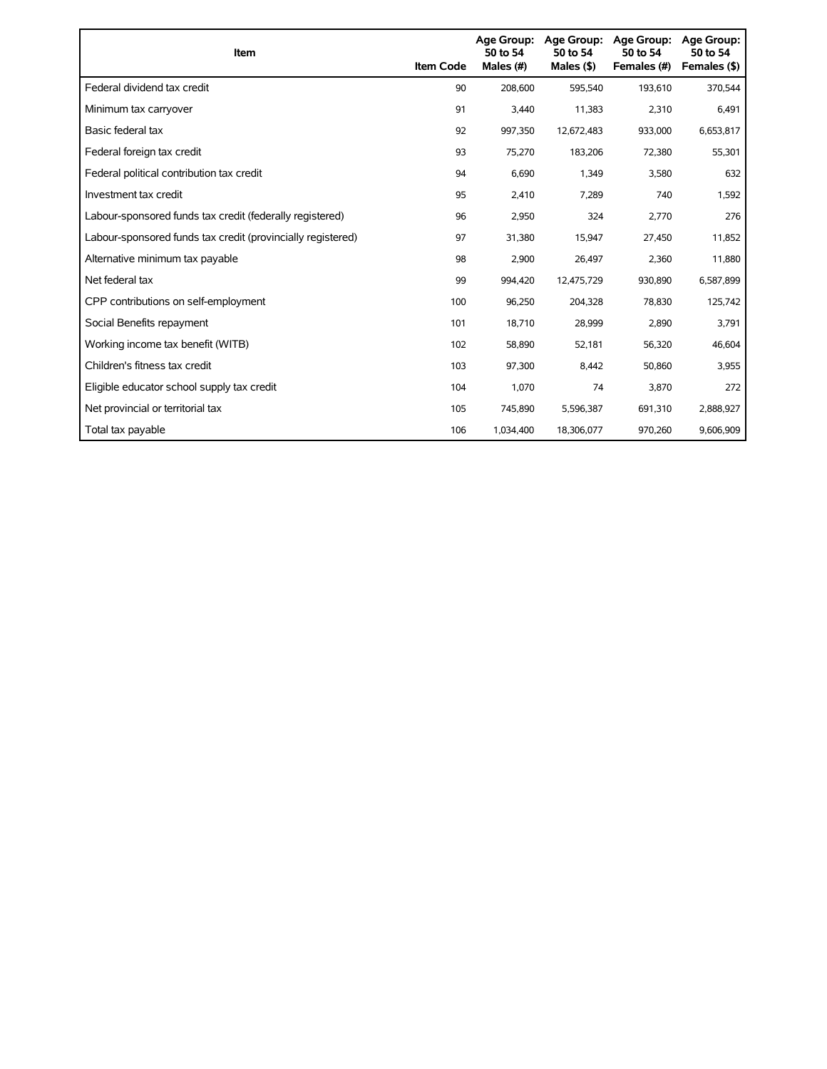| Item                                                        | <b>Item Code</b> | <b>Age Group:</b><br>50 to 54<br>Males (#) | Age Group:<br>50 to 54<br>Males $(§)$ | <b>Age Group:</b><br>50 to 54<br>Females (#) | <b>Age Group:</b><br>50 to 54<br>Females (\$) |
|-------------------------------------------------------------|------------------|--------------------------------------------|---------------------------------------|----------------------------------------------|-----------------------------------------------|
| Federal dividend tax credit                                 | 90               | 208,600                                    | 595,540                               | 193,610                                      | 370,544                                       |
| Minimum tax carryover                                       | 91               | 3,440                                      | 11,383                                | 2,310                                        | 6,491                                         |
| Basic federal tax                                           | 92               | 997,350                                    | 12,672,483                            | 933,000                                      | 6,653,817                                     |
| Federal foreign tax credit                                  | 93               | 75,270                                     | 183,206                               | 72,380                                       | 55,301                                        |
| Federal political contribution tax credit                   | 94               | 6,690                                      | 1,349                                 | 3,580                                        | 632                                           |
| Investment tax credit                                       | 95               | 2,410                                      | 7,289                                 | 740                                          | 1,592                                         |
| Labour-sponsored funds tax credit (federally registered)    | 96               | 2,950                                      | 324                                   | 2,770                                        | 276                                           |
| Labour-sponsored funds tax credit (provincially registered) | 97               | 31,380                                     | 15,947                                | 27,450                                       | 11,852                                        |
| Alternative minimum tax payable                             | 98               | 2,900                                      | 26,497                                | 2,360                                        | 11,880                                        |
| Net federal tax                                             | 99               | 994,420                                    | 12,475,729                            | 930,890                                      | 6,587,899                                     |
| CPP contributions on self-employment                        | 100              | 96,250                                     | 204,328                               | 78,830                                       | 125,742                                       |
| Social Benefits repayment                                   | 101              | 18,710                                     | 28,999                                | 2,890                                        | 3,791                                         |
| Working income tax benefit (WITB)                           | 102              | 58,890                                     | 52,181                                | 56,320                                       | 46,604                                        |
| Children's fitness tax credit                               | 103              | 97,300                                     | 8,442                                 | 50,860                                       | 3,955                                         |
| Eligible educator school supply tax credit                  | 104              | 1.070                                      | 74                                    | 3,870                                        | 272                                           |
| Net provincial or territorial tax                           | 105              | 745,890                                    | 5,596,387                             | 691,310                                      | 2,888,927                                     |
| Total tax payable                                           | 106              | 1,034,400                                  | 18,306,077                            | 970,260                                      | 9,606,909                                     |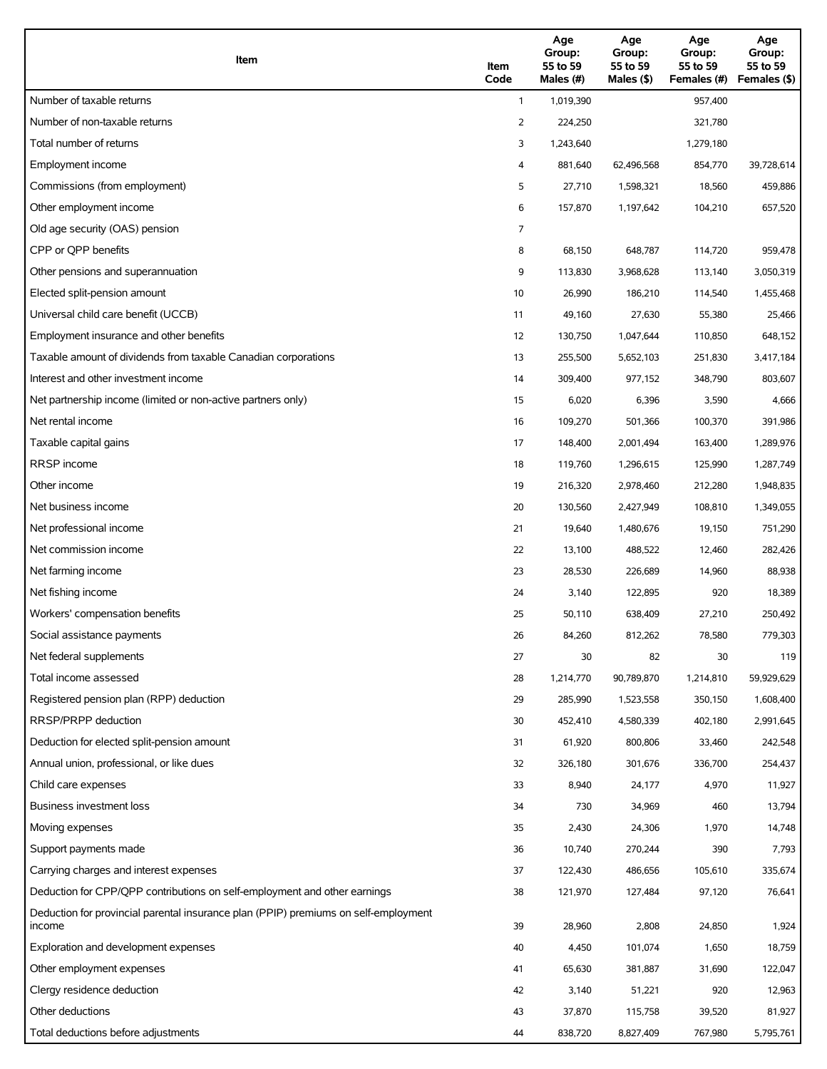| Item                                                                                          | Item<br>Code | Age<br>Group:<br>55 to 59<br>Males (#) | Age<br>Group:<br>55 to 59<br>Males (\$) | Age<br>Group:<br>55 to 59<br>Females (#) | Age<br>Group:<br>55 to 59<br>Females (\$) |
|-----------------------------------------------------------------------------------------------|--------------|----------------------------------------|-----------------------------------------|------------------------------------------|-------------------------------------------|
| Number of taxable returns                                                                     | $\mathbf{1}$ | 1,019,390                              |                                         | 957,400                                  |                                           |
| Number of non-taxable returns                                                                 | 2            | 224,250                                |                                         | 321,780                                  |                                           |
| Total number of returns                                                                       | 3            | 1,243,640                              |                                         | 1,279,180                                |                                           |
| Employment income                                                                             | 4            | 881,640                                | 62,496,568                              | 854,770                                  | 39,728,614                                |
| Commissions (from employment)                                                                 | 5            | 27,710                                 | 1,598,321                               | 18,560                                   | 459,886                                   |
| Other employment income                                                                       | 6            | 157,870                                | 1,197,642                               | 104,210                                  | 657,520                                   |
| Old age security (OAS) pension                                                                | 7            |                                        |                                         |                                          |                                           |
| CPP or QPP benefits                                                                           | 8            | 68,150                                 | 648,787                                 | 114,720                                  | 959,478                                   |
| Other pensions and superannuation                                                             | 9            | 113,830                                | 3,968,628                               | 113,140                                  | 3,050,319                                 |
| Elected split-pension amount                                                                  | 10           | 26,990                                 | 186,210                                 | 114,540                                  | 1,455,468                                 |
| Universal child care benefit (UCCB)                                                           | 11           | 49,160                                 | 27,630                                  | 55,380                                   | 25,466                                    |
| Employment insurance and other benefits                                                       | 12           | 130,750                                | 1,047,644                               | 110,850                                  | 648,152                                   |
| Taxable amount of dividends from taxable Canadian corporations                                | 13           | 255,500                                | 5,652,103                               | 251,830                                  | 3,417,184                                 |
| Interest and other investment income                                                          | 14           | 309,400                                | 977,152                                 | 348,790                                  | 803,607                                   |
| Net partnership income (limited or non-active partners only)                                  | 15           | 6,020                                  | 6,396                                   | 3,590                                    | 4,666                                     |
| Net rental income                                                                             | 16           | 109,270                                | 501,366                                 | 100,370                                  | 391,986                                   |
| Taxable capital gains                                                                         | 17           | 148,400                                | 2,001,494                               | 163,400                                  | 1,289,976                                 |
| <b>RRSP</b> income                                                                            | 18           | 119,760                                | 1,296,615                               | 125,990                                  | 1,287,749                                 |
| Other income                                                                                  | 19           | 216,320                                | 2,978,460                               | 212,280                                  | 1,948,835                                 |
| Net business income                                                                           | 20           | 130,560                                | 2,427,949                               | 108,810                                  | 1,349,055                                 |
| Net professional income                                                                       | 21           | 19,640                                 | 1,480,676                               | 19,150                                   | 751,290                                   |
| Net commission income                                                                         | 22           | 13,100                                 | 488,522                                 | 12,460                                   | 282,426                                   |
| Net farming income                                                                            | 23           | 28,530                                 | 226,689                                 | 14,960                                   | 88,938                                    |
| Net fishing income                                                                            | 24           | 3,140                                  | 122,895                                 | 920                                      | 18,389                                    |
| Workers' compensation benefits                                                                | 25           | 50,110                                 | 638,409                                 | 27,210                                   | 250,492                                   |
| Social assistance payments                                                                    | 26           | 84,260                                 | 812,262                                 | 78,580                                   | 779,303                                   |
| Net federal supplements                                                                       | 27           | 30                                     | 82                                      | 30                                       | 119                                       |
| Total income assessed                                                                         | 28           | 1,214,770                              | 90,789,870                              | 1,214,810                                | 59,929,629                                |
| Registered pension plan (RPP) deduction                                                       | 29           | 285,990                                | 1,523,558                               | 350,150                                  | 1,608,400                                 |
| RRSP/PRPP deduction                                                                           | 30           | 452,410                                | 4,580,339                               | 402,180                                  | 2,991,645                                 |
| Deduction for elected split-pension amount                                                    | 31           | 61,920                                 | 800,806                                 | 33,460                                   | 242,548                                   |
| Annual union, professional, or like dues                                                      | 32           | 326,180                                | 301,676                                 | 336,700                                  | 254,437                                   |
| Child care expenses                                                                           | 33           | 8,940                                  | 24,177                                  | 4,970                                    | 11,927                                    |
| Business investment loss                                                                      | 34           | 730                                    | 34,969                                  | 460                                      | 13,794                                    |
| Moving expenses                                                                               | 35           | 2,430                                  | 24,306                                  | 1,970                                    | 14,748                                    |
| Support payments made                                                                         | 36           | 10,740                                 | 270,244                                 | 390                                      | 7,793                                     |
| Carrying charges and interest expenses                                                        | 37           | 122,430                                | 486,656                                 | 105,610                                  | 335,674                                   |
| Deduction for CPP/QPP contributions on self-employment and other earnings                     | 38           | 121,970                                | 127,484                                 | 97,120                                   | 76,641                                    |
| Deduction for provincial parental insurance plan (PPIP) premiums on self-employment<br>income | 39           | 28,960                                 | 2,808                                   | 24,850                                   | 1,924                                     |
| Exploration and development expenses                                                          | 40           | 4,450                                  | 101,074                                 | 1,650                                    | 18,759                                    |
| Other employment expenses                                                                     | 41           | 65,630                                 | 381,887                                 | 31,690                                   | 122,047                                   |
| Clergy residence deduction                                                                    | 42           | 3,140                                  | 51,221                                  | 920                                      | 12,963                                    |
| Other deductions                                                                              | 43           | 37,870                                 | 115,758                                 | 39,520                                   | 81,927                                    |
| Total deductions before adjustments                                                           | 44           | 838,720                                | 8,827,409                               | 767,980                                  | 5,795,761                                 |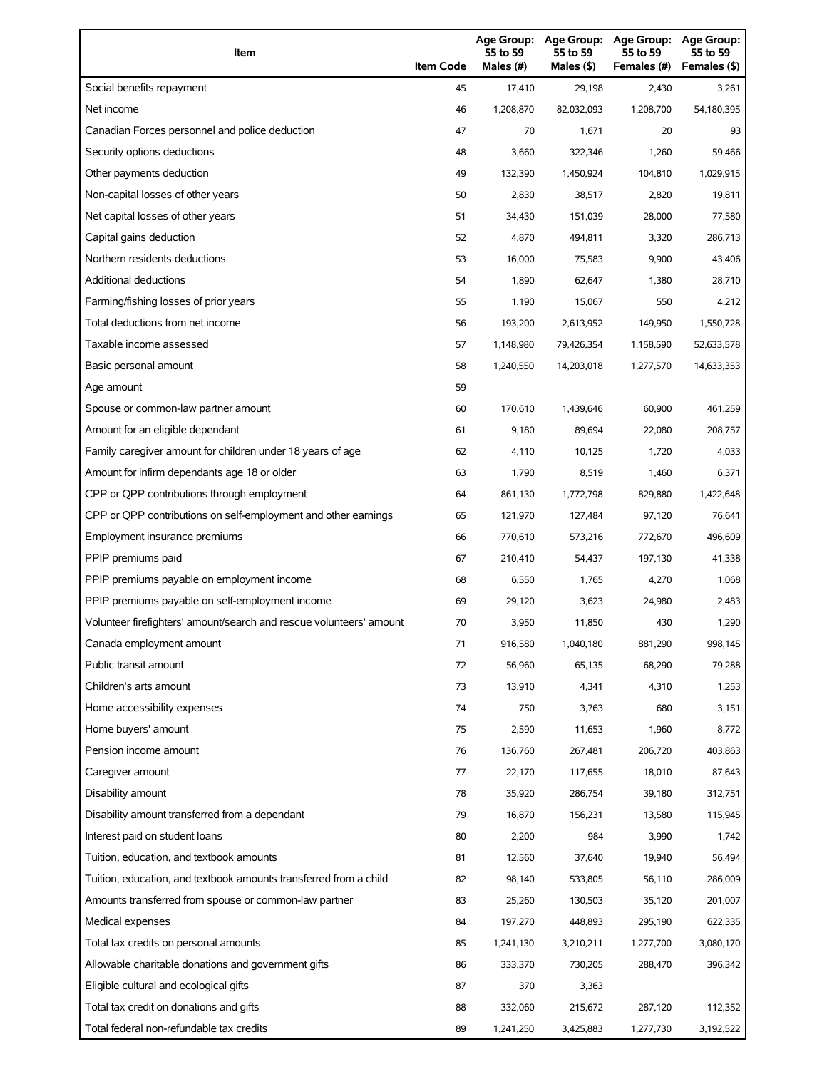| Item                                                                | <b>Item Code</b> | 55 to 59<br>Males (#) | 55 to 59<br>Males (\$) | Age Group: Age Group: Age Group:<br>55 to 59<br>Females (#) | Age Group:<br>55 to 59<br>Females (\$) |
|---------------------------------------------------------------------|------------------|-----------------------|------------------------|-------------------------------------------------------------|----------------------------------------|
| Social benefits repayment                                           | 45               | 17,410                | 29,198                 | 2,430                                                       | 3,261                                  |
| Net income                                                          | 46               | 1,208,870             | 82,032,093             | 1,208,700                                                   | 54,180,395                             |
| Canadian Forces personnel and police deduction                      | 47               | 70                    | 1,671                  | 20                                                          | 93                                     |
| Security options deductions                                         | 48               | 3,660                 | 322,346                | 1,260                                                       | 59,466                                 |
| Other payments deduction                                            | 49               | 132,390               | 1,450,924              | 104,810                                                     | 1,029,915                              |
| Non-capital losses of other years                                   | 50               | 2,830                 | 38,517                 | 2,820                                                       | 19,811                                 |
| Net capital losses of other years                                   | 51               | 34,430                | 151,039                | 28,000                                                      | 77,580                                 |
| Capital gains deduction                                             | 52               | 4,870                 | 494,811                | 3,320                                                       | 286,713                                |
| Northern residents deductions                                       | 53               | 16,000                | 75,583                 | 9,900                                                       | 43,406                                 |
| Additional deductions                                               | 54               | 1,890                 | 62,647                 | 1,380                                                       | 28,710                                 |
| Farming/fishing losses of prior years                               | 55               | 1,190                 | 15,067                 | 550                                                         | 4,212                                  |
| Total deductions from net income                                    | 56               | 193,200               | 2,613,952              | 149,950                                                     | 1,550,728                              |
| Taxable income assessed                                             | 57               | 1,148,980             | 79,426,354             | 1,158,590                                                   | 52,633,578                             |
| Basic personal amount                                               | 58               | 1,240,550             | 14,203,018             | 1,277,570                                                   | 14,633,353                             |
| Age amount                                                          | 59               |                       |                        |                                                             |                                        |
| Spouse or common-law partner amount                                 | 60               | 170,610               | 1,439,646              | 60,900                                                      | 461,259                                |
| Amount for an eligible dependant                                    | 61               | 9,180                 | 89,694                 | 22,080                                                      | 208,757                                |
| Family caregiver amount for children under 18 years of age          | 62               | 4,110                 | 10,125                 | 1,720                                                       | 4,033                                  |
| Amount for infirm dependants age 18 or older                        | 63               | 1,790                 | 8,519                  | 1,460                                                       | 6,371                                  |
| CPP or QPP contributions through employment                         | 64               | 861,130               | 1,772,798              | 829,880                                                     | 1,422,648                              |
| CPP or QPP contributions on self-employment and other earnings      | 65               | 121,970               | 127,484                | 97,120                                                      | 76,641                                 |
| Employment insurance premiums                                       | 66               | 770,610               | 573,216                | 772,670                                                     | 496,609                                |
| PPIP premiums paid                                                  | 67               | 210,410               | 54,437                 | 197,130                                                     | 41,338                                 |
| PPIP premiums payable on employment income                          | 68               | 6,550                 | 1,765                  | 4,270                                                       | 1,068                                  |
| PPIP premiums payable on self-employment income                     | 69               | 29,120                | 3,623                  | 24,980                                                      | 2,483                                  |
| Volunteer firefighters' amount/search and rescue volunteers' amount | 70               | 3,950                 | 11,850                 | 430                                                         | 1,290                                  |
| Canada employment amount                                            | 71               | 916,580               | 1,040,180              | 881,290                                                     | 998,145                                |
| Public transit amount                                               | 72               | 56,960                | 65,135                 | 68,290                                                      | 79,288                                 |
| Children's arts amount                                              | 73               | 13,910                | 4,341                  | 4,310                                                       | 1,253                                  |
| Home accessibility expenses                                         | 74               | 750                   | 3,763                  | 680                                                         | 3,151                                  |
| Home buyers' amount                                                 | 75               | 2,590                 | 11,653                 | 1,960                                                       | 8,772                                  |
| Pension income amount                                               | 76               | 136,760               | 267,481                | 206,720                                                     | 403,863                                |
| Caregiver amount                                                    | 77               | 22,170                | 117,655                | 18,010                                                      | 87,643                                 |
| Disability amount                                                   | 78               | 35,920                | 286,754                | 39,180                                                      | 312,751                                |
| Disability amount transferred from a dependant                      | 79               | 16,870                | 156,231                | 13,580                                                      | 115,945                                |
| Interest paid on student loans                                      | 80               | 2,200                 | 984                    | 3,990                                                       | 1,742                                  |
| Tuition, education, and textbook amounts                            | 81               | 12,560                | 37,640                 | 19,940                                                      | 56,494                                 |
| Tuition, education, and textbook amounts transferred from a child   | 82               | 98,140                | 533,805                | 56,110                                                      | 286,009                                |
| Amounts transferred from spouse or common-law partner               | 83               | 25,260                | 130,503                | 35,120                                                      | 201,007                                |
| Medical expenses                                                    | 84               | 197,270               | 448,893                | 295,190                                                     | 622,335                                |
| Total tax credits on personal amounts                               | 85               | 1,241,130             | 3,210,211              | 1,277,700                                                   | 3,080,170                              |
| Allowable charitable donations and government gifts                 | 86               | 333,370               | 730,205                | 288,470                                                     | 396,342                                |
| Eligible cultural and ecological gifts                              | 87               | 370                   | 3,363                  |                                                             |                                        |
| Total tax credit on donations and gifts                             | 88               | 332,060               | 215,672                | 287,120                                                     | 112,352                                |
| Total federal non-refundable tax credits                            | 89               | 1,241,250             | 3,425,883              | 1,277,730                                                   | 3,192,522                              |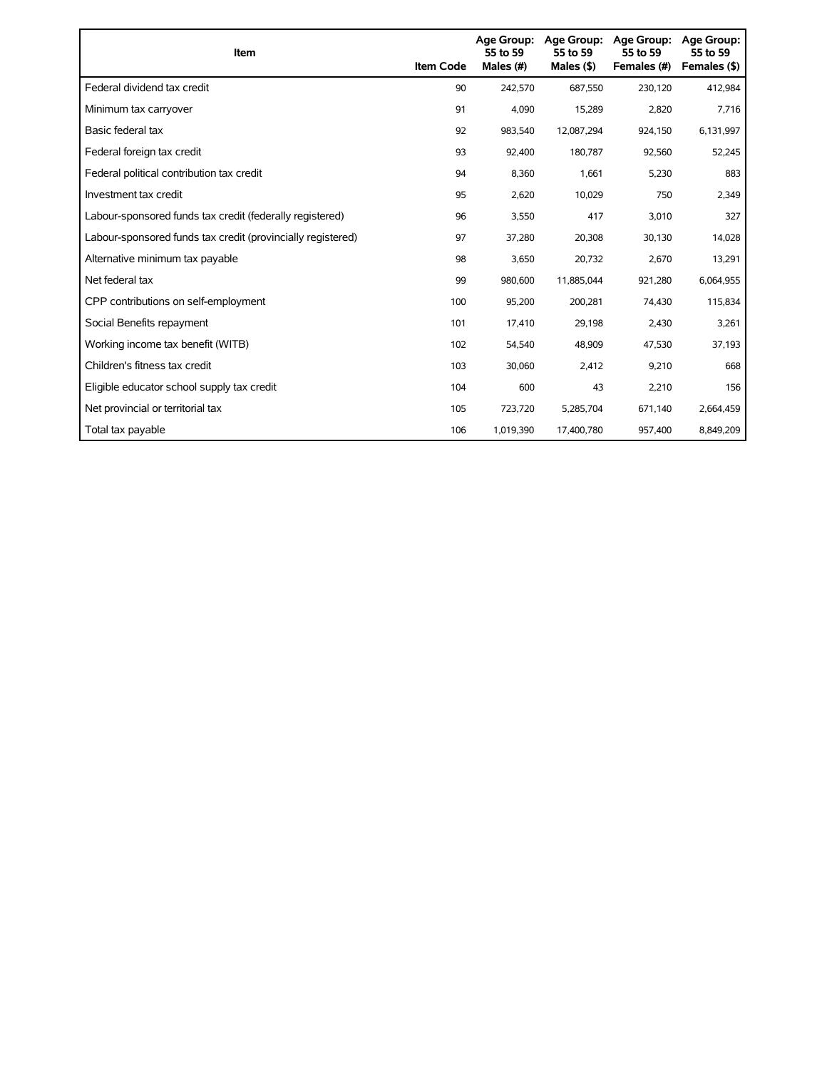| Item                                                        | <b>Item Code</b> | Age Group:<br>55 to 59<br>Males (#) | <b>Age Group:</b><br>55 to 59<br>Males (\$) | <b>Age Group:</b><br>55 to 59<br>Females (#) | Age Group:<br>55 to 59<br>Females (\$) |
|-------------------------------------------------------------|------------------|-------------------------------------|---------------------------------------------|----------------------------------------------|----------------------------------------|
| Federal dividend tax credit                                 | 90               | 242,570                             | 687,550                                     | 230,120                                      | 412,984                                |
| Minimum tax carryover                                       | 91               | 4,090                               | 15,289                                      | 2,820                                        | 7,716                                  |
| Basic federal tax                                           | 92               | 983,540                             | 12,087,294                                  | 924,150                                      | 6,131,997                              |
| Federal foreign tax credit                                  | 93               | 92,400                              | 180,787                                     | 92,560                                       | 52,245                                 |
| Federal political contribution tax credit                   | 94               | 8,360                               | 1,661                                       | 5,230                                        | 883                                    |
| Investment tax credit                                       | 95               | 2,620                               | 10,029                                      | 750                                          | 2,349                                  |
| Labour-sponsored funds tax credit (federally registered)    | 96               | 3,550                               | 417                                         | 3,010                                        | 327                                    |
| Labour-sponsored funds tax credit (provincially registered) | 97               | 37,280                              | 20,308                                      | 30,130                                       | 14,028                                 |
| Alternative minimum tax payable                             | 98               | 3,650                               | 20,732                                      | 2,670                                        | 13,291                                 |
| Net federal tax                                             | 99               | 980,600                             | 11,885,044                                  | 921,280                                      | 6,064,955                              |
| CPP contributions on self-employment                        | 100              | 95,200                              | 200,281                                     | 74,430                                       | 115,834                                |
| Social Benefits repayment                                   | 101              | 17,410                              | 29,198                                      | 2,430                                        | 3,261                                  |
| Working income tax benefit (WITB)                           | 102              | 54,540                              | 48,909                                      | 47,530                                       | 37,193                                 |
| Children's fitness tax credit                               | 103              | 30,060                              | 2,412                                       | 9,210                                        | 668                                    |
| Eligible educator school supply tax credit                  | 104              | 600                                 | 43                                          | 2,210                                        | 156                                    |
| Net provincial or territorial tax                           | 105              | 723,720                             | 5,285,704                                   | 671,140                                      | 2,664,459                              |
| Total tax payable                                           | 106              | 1,019,390                           | 17,400,780                                  | 957,400                                      | 8,849,209                              |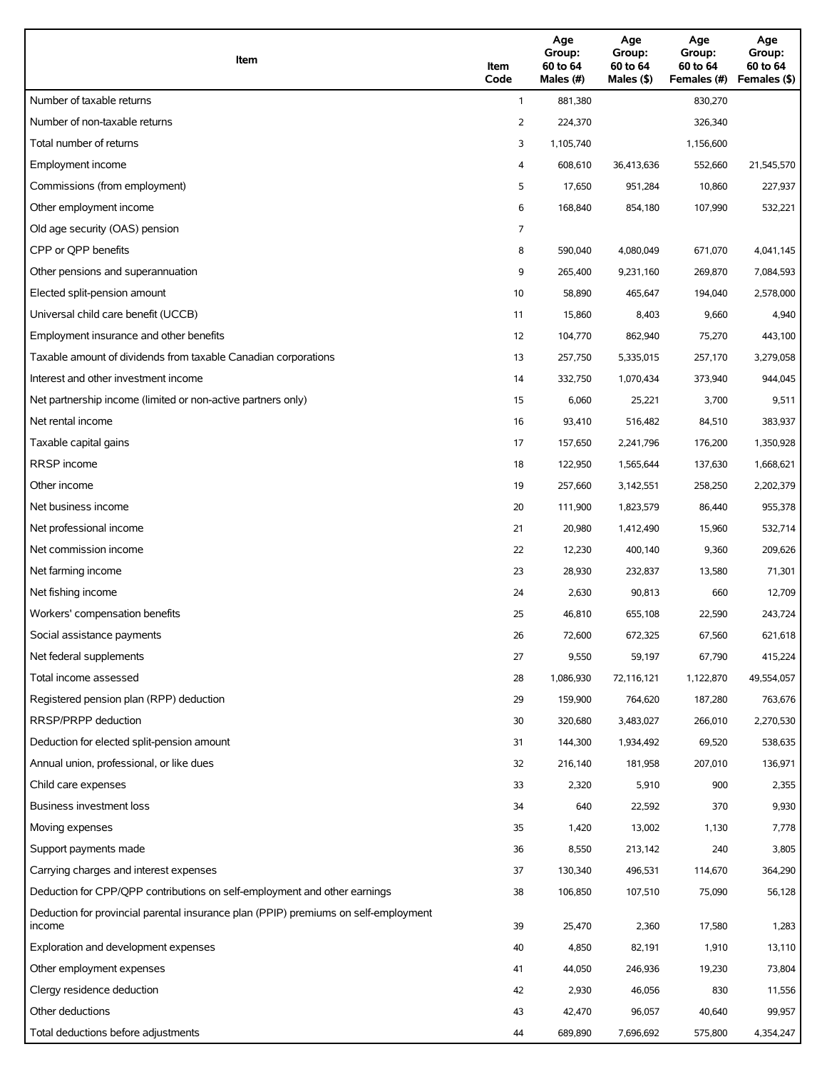| Item                                                                                          | Item<br>Code | Age<br>Group:<br>60 to 64<br>Males (#) | Age<br>Group:<br>60 to 64<br>Males (\$) | Age<br>Group:<br>60 to 64<br>Females (#) | Age<br>Group:<br>60 to 64<br>Females (\$) |
|-----------------------------------------------------------------------------------------------|--------------|----------------------------------------|-----------------------------------------|------------------------------------------|-------------------------------------------|
| Number of taxable returns                                                                     | $\mathbf{1}$ | 881,380                                |                                         | 830,270                                  |                                           |
| Number of non-taxable returns                                                                 | 2            | 224,370                                |                                         | 326,340                                  |                                           |
| Total number of returns                                                                       | 3            | 1,105,740                              |                                         | 1,156,600                                |                                           |
| Employment income                                                                             | 4            | 608,610                                | 36,413,636                              | 552,660                                  | 21,545,570                                |
| Commissions (from employment)                                                                 | 5            | 17,650                                 | 951,284                                 | 10,860                                   | 227,937                                   |
| Other employment income                                                                       | 6            | 168,840                                | 854,180                                 | 107,990                                  | 532,221                                   |
| Old age security (OAS) pension                                                                | 7            |                                        |                                         |                                          |                                           |
| CPP or QPP benefits                                                                           | 8            | 590,040                                | 4,080,049                               | 671,070                                  | 4,041,145                                 |
| Other pensions and superannuation                                                             | 9            | 265,400                                | 9,231,160                               | 269,870                                  | 7,084,593                                 |
| Elected split-pension amount                                                                  | 10           | 58,890                                 | 465,647                                 | 194,040                                  | 2,578,000                                 |
| Universal child care benefit (UCCB)                                                           | 11           | 15,860                                 | 8,403                                   | 9,660                                    | 4,940                                     |
| Employment insurance and other benefits                                                       | 12           | 104,770                                | 862,940                                 | 75,270                                   | 443,100                                   |
| Taxable amount of dividends from taxable Canadian corporations                                | 13           | 257,750                                | 5,335,015                               | 257,170                                  | 3,279,058                                 |
| Interest and other investment income                                                          | 14           | 332,750                                | 1,070,434                               | 373,940                                  | 944,045                                   |
| Net partnership income (limited or non-active partners only)                                  | 15           | 6,060                                  | 25,221                                  | 3,700                                    | 9,511                                     |
| Net rental income                                                                             | 16           | 93,410                                 | 516,482                                 | 84,510                                   | 383,937                                   |
| Taxable capital gains                                                                         | 17           | 157,650                                | 2,241,796                               | 176,200                                  | 1,350,928                                 |
| <b>RRSP</b> income                                                                            | 18           | 122,950                                | 1,565,644                               | 137,630                                  | 1,668,621                                 |
| Other income                                                                                  | 19           | 257,660                                | 3,142,551                               | 258,250                                  | 2,202,379                                 |
| Net business income                                                                           | 20           | 111,900                                | 1,823,579                               | 86,440                                   | 955,378                                   |
| Net professional income                                                                       | 21           | 20,980                                 | 1,412,490                               | 15,960                                   | 532,714                                   |
| Net commission income                                                                         | 22           | 12,230                                 | 400,140                                 | 9,360                                    | 209,626                                   |
| Net farming income                                                                            | 23           | 28,930                                 | 232,837                                 | 13,580                                   | 71,301                                    |
| Net fishing income                                                                            | 24           | 2,630                                  | 90,813                                  | 660                                      | 12,709                                    |
| Workers' compensation benefits                                                                | 25           | 46,810                                 | 655,108                                 | 22,590                                   | 243,724                                   |
| Social assistance payments                                                                    | 26           | 72,600                                 | 672,325                                 | 67,560                                   | 621,618                                   |
| Net federal supplements                                                                       | 27           | 9,550                                  | 59,197                                  | 67,790                                   | 415,224                                   |
| Total income assessed                                                                         | 28           | 1,086,930                              | 72,116,121                              | 1,122,870                                | 49,554,057                                |
| Registered pension plan (RPP) deduction                                                       | 29           | 159,900                                | 764,620                                 | 187,280                                  | 763,676                                   |
| RRSP/PRPP deduction                                                                           | 30           | 320,680                                | 3,483,027                               | 266,010                                  | 2,270,530                                 |
| Deduction for elected split-pension amount                                                    | 31           | 144,300                                | 1,934,492                               | 69,520                                   | 538,635                                   |
| Annual union, professional, or like dues                                                      | 32           | 216,140                                | 181,958                                 | 207,010                                  | 136,971                                   |
| Child care expenses                                                                           | 33           | 2,320                                  | 5,910                                   | 900                                      | 2,355                                     |
| Business investment loss                                                                      | 34           | 640                                    | 22,592                                  | 370                                      | 9,930                                     |
| Moving expenses                                                                               | 35           | 1,420                                  | 13,002                                  | 1,130                                    | 7,778                                     |
| Support payments made                                                                         | 36           | 8,550                                  | 213,142                                 | 240                                      | 3,805                                     |
| Carrying charges and interest expenses                                                        | 37           | 130,340                                | 496,531                                 | 114,670                                  | 364,290                                   |
| Deduction for CPP/QPP contributions on self-employment and other earnings                     | 38           | 106,850                                | 107,510                                 | 75,090                                   | 56,128                                    |
| Deduction for provincial parental insurance plan (PPIP) premiums on self-employment<br>income | 39           | 25,470                                 | 2,360                                   | 17,580                                   | 1,283                                     |
| Exploration and development expenses                                                          | 40           | 4,850                                  | 82,191                                  | 1,910                                    | 13,110                                    |
| Other employment expenses                                                                     | 41           | 44,050                                 | 246,936                                 | 19,230                                   | 73,804                                    |
| Clergy residence deduction                                                                    | 42           | 2,930                                  | 46,056                                  | 830                                      | 11,556                                    |
| Other deductions                                                                              | 43           | 42,470                                 | 96,057                                  | 40,640                                   | 99,957                                    |
| Total deductions before adjustments                                                           | 44           | 689,890                                | 7,696,692                               | 575,800                                  | 4,354,247                                 |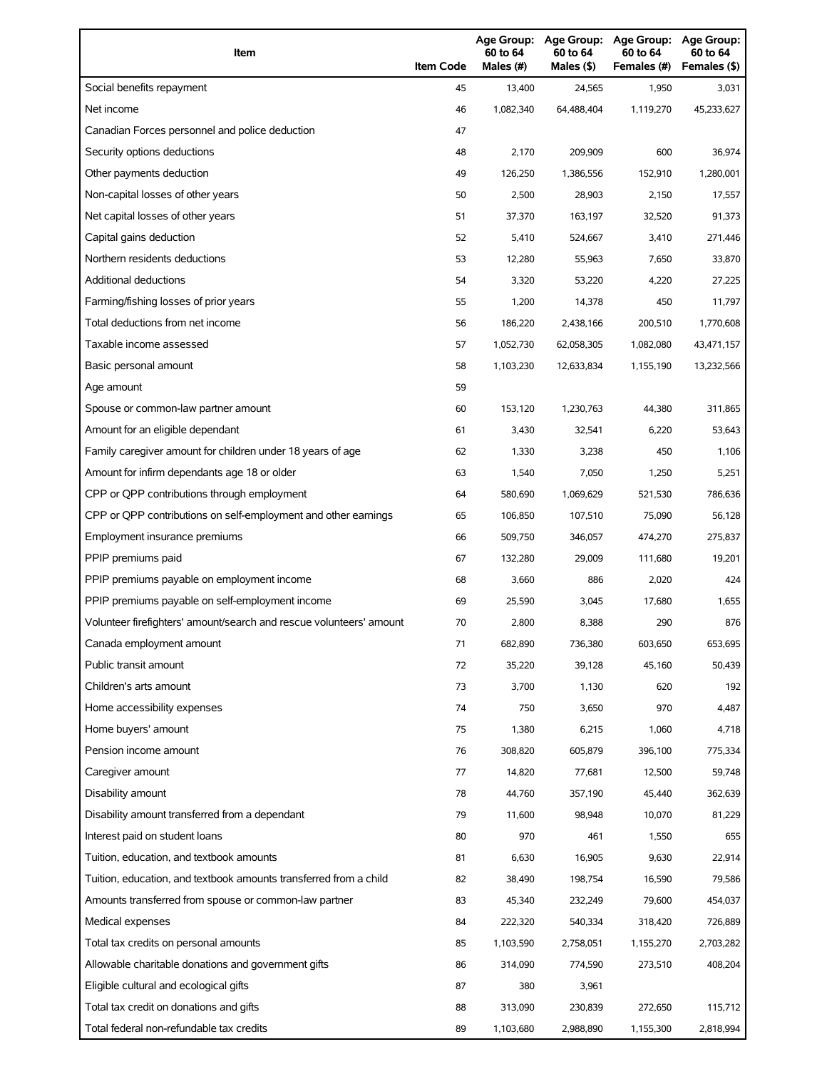| Item                                                                | <b>Item Code</b> | 60 to 64<br>Males (#) | 60 to 64<br>Males (\$) | Age Group: Age Group: Age Group:<br>60 to 64<br>Females (#) | Age Group:<br>60 to 64<br>Females (\$) |
|---------------------------------------------------------------------|------------------|-----------------------|------------------------|-------------------------------------------------------------|----------------------------------------|
| Social benefits repayment                                           | 45               | 13,400                | 24,565                 | 1,950                                                       | 3,031                                  |
| Net income                                                          | 46               | 1,082,340             | 64,488,404             | 1,119,270                                                   | 45,233,627                             |
| Canadian Forces personnel and police deduction                      | 47               |                       |                        |                                                             |                                        |
| Security options deductions                                         | 48               | 2,170                 | 209,909                | 600                                                         | 36,974                                 |
| Other payments deduction                                            | 49               | 126,250               | 1,386,556              | 152,910                                                     | 1,280,001                              |
| Non-capital losses of other years                                   | 50               | 2,500                 | 28,903                 | 2,150                                                       | 17,557                                 |
| Net capital losses of other years                                   | 51               | 37,370                | 163,197                | 32,520                                                      | 91,373                                 |
| Capital gains deduction                                             | 52               | 5,410                 | 524,667                | 3,410                                                       | 271,446                                |
| Northern residents deductions                                       | 53               | 12,280                | 55,963                 | 7,650                                                       | 33,870                                 |
| Additional deductions                                               | 54               | 3,320                 | 53,220                 | 4,220                                                       | 27,225                                 |
| Farming/fishing losses of prior years                               | 55               | 1,200                 | 14,378                 | 450                                                         | 11,797                                 |
| Total deductions from net income                                    | 56               | 186,220               | 2,438,166              | 200,510                                                     | 1,770,608                              |
| Taxable income assessed                                             | 57               | 1,052,730             | 62,058,305             | 1,082,080                                                   | 43,471,157                             |
| Basic personal amount                                               | 58               | 1,103,230             | 12,633,834             | 1,155,190                                                   | 13,232,566                             |
| Age amount                                                          | 59               |                       |                        |                                                             |                                        |
| Spouse or common-law partner amount                                 | 60               | 153,120               | 1,230,763              | 44,380                                                      | 311,865                                |
| Amount for an eligible dependant                                    | 61               | 3,430                 | 32,541                 | 6,220                                                       | 53,643                                 |
| Family caregiver amount for children under 18 years of age          | 62               | 1,330                 | 3,238                  | 450                                                         | 1,106                                  |
| Amount for infirm dependants age 18 or older                        | 63               | 1,540                 | 7,050                  | 1,250                                                       | 5,251                                  |
| CPP or QPP contributions through employment                         | 64               | 580,690               | 1,069,629              | 521,530                                                     | 786,636                                |
| CPP or QPP contributions on self-employment and other earnings      | 65               | 106,850               | 107,510                | 75,090                                                      | 56,128                                 |
| Employment insurance premiums                                       | 66               | 509,750               | 346,057                | 474,270                                                     | 275,837                                |
| PPIP premiums paid                                                  | 67               | 132,280               | 29,009                 | 111,680                                                     | 19,201                                 |
| PPIP premiums payable on employment income                          | 68               | 3,660                 | 886                    | 2,020                                                       | 424                                    |
| PPIP premiums payable on self-employment income                     | 69               | 25,590                | 3,045                  | 17,680                                                      | 1,655                                  |
| Volunteer firefighters' amount/search and rescue volunteers' amount | 70               | 2,800                 | 8,388                  | 290                                                         | 876                                    |
| Canada employment amount                                            | 71               | 682,890               | 736,380                | 603,650                                                     | 653,695                                |
| Public transit amount                                               | 72               | 35,220                | 39,128                 | 45,160                                                      | 50,439                                 |
| Children's arts amount                                              | 73               | 3,700                 | 1,130                  | 620                                                         | 192                                    |
| Home accessibility expenses                                         | 74               | 750                   | 3,650                  | 970                                                         | 4,487                                  |
| Home buyers' amount                                                 | 75               | 1,380                 | 6,215                  | 1,060                                                       | 4,718                                  |
| Pension income amount                                               | 76               | 308,820               | 605,879                | 396,100                                                     | 775,334                                |
| Caregiver amount                                                    | 77               | 14,820                | 77,681                 | 12,500                                                      | 59,748                                 |
| Disability amount                                                   | 78               | 44,760                | 357,190                | 45,440                                                      | 362,639                                |
| Disability amount transferred from a dependant                      | 79               | 11,600                | 98,948                 | 10,070                                                      | 81,229                                 |
| Interest paid on student loans                                      | 80               | 970                   | 461                    | 1,550                                                       | 655                                    |
| Tuition, education, and textbook amounts                            | 81               | 6,630                 | 16,905                 | 9,630                                                       | 22,914                                 |
| Tuition, education, and textbook amounts transferred from a child   | 82               | 38,490                | 198,754                | 16,590                                                      | 79,586                                 |
| Amounts transferred from spouse or common-law partner               | 83               | 45,340                | 232,249                | 79,600                                                      | 454,037                                |
| Medical expenses                                                    | 84               | 222,320               | 540,334                | 318,420                                                     | 726,889                                |
| Total tax credits on personal amounts                               | 85               | 1,103,590             | 2,758,051              | 1,155,270                                                   | 2,703,282                              |
| Allowable charitable donations and government gifts                 | 86               | 314,090               | 774,590                | 273,510                                                     | 408,204                                |
| Eligible cultural and ecological gifts                              | 87               | 380                   | 3,961                  |                                                             |                                        |
| Total tax credit on donations and gifts                             | 88               | 313,090               | 230,839                | 272,650                                                     | 115,712                                |
| Total federal non-refundable tax credits                            | 89               | 1,103,680             | 2,988,890              | 1,155,300                                                   | 2,818,994                              |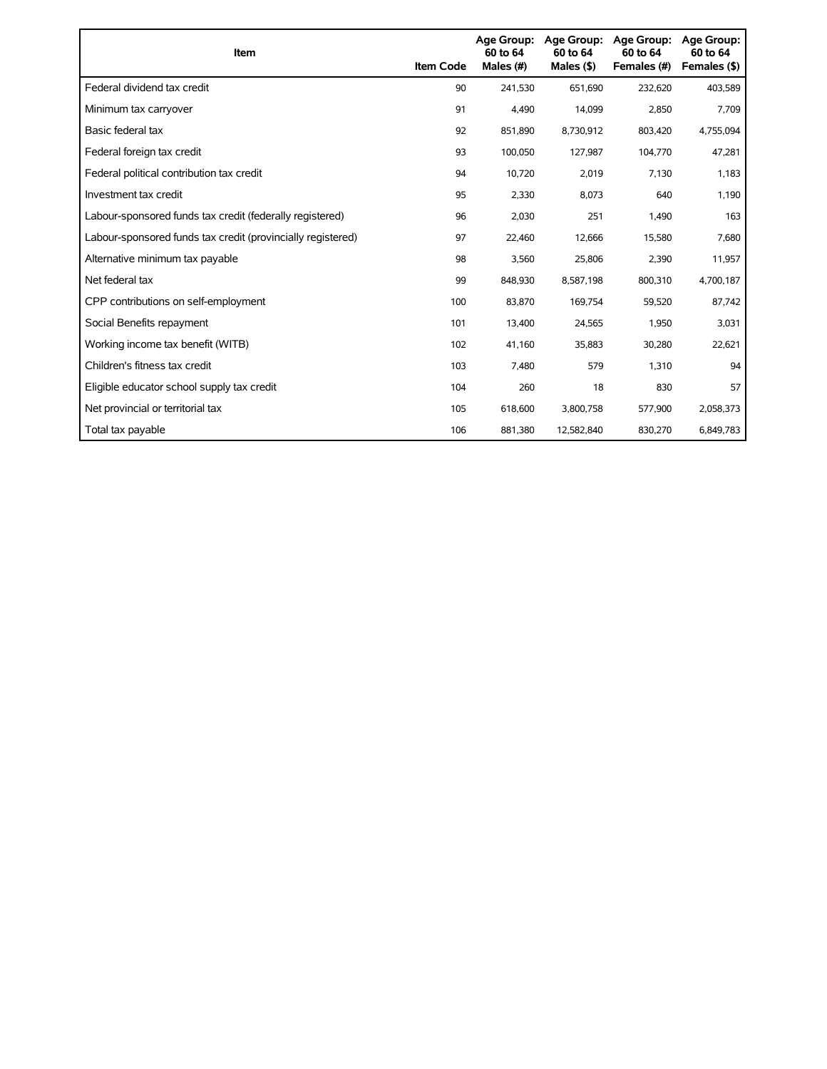| Item                                                        | <b>Item Code</b> | Age Group:<br>60 to 64<br>Males (#) | Age Group:<br>60 to 64<br>Males (\$) | <b>Age Group:</b><br>60 to 64<br>Females (#) | Age Group:<br>60 to 64<br>Females (\$) |
|-------------------------------------------------------------|------------------|-------------------------------------|--------------------------------------|----------------------------------------------|----------------------------------------|
| Federal dividend tax credit                                 | 90               | 241,530                             | 651,690                              | 232,620                                      | 403,589                                |
| Minimum tax carryover                                       | 91               | 4,490                               | 14,099                               | 2,850                                        | 7,709                                  |
| Basic federal tax                                           | 92               | 851,890                             | 8,730,912                            | 803,420                                      | 4,755,094                              |
| Federal foreign tax credit                                  | 93               | 100,050                             | 127,987                              | 104,770                                      | 47,281                                 |
| Federal political contribution tax credit                   | 94               | 10,720                              | 2,019                                | 7,130                                        | 1,183                                  |
| Investment tax credit                                       | 95               | 2,330                               | 8,073                                | 640                                          | 1,190                                  |
| Labour-sponsored funds tax credit (federally registered)    | 96               | 2,030                               | 251                                  | 1,490                                        | 163                                    |
| Labour-sponsored funds tax credit (provincially registered) | 97               | 22,460                              | 12,666                               | 15,580                                       | 7,680                                  |
| Alternative minimum tax payable                             | 98               | 3,560                               | 25,806                               | 2,390                                        | 11,957                                 |
| Net federal tax                                             | 99               | 848,930                             | 8,587,198                            | 800,310                                      | 4,700,187                              |
| CPP contributions on self-employment                        | 100              | 83,870                              | 169,754                              | 59,520                                       | 87,742                                 |
| Social Benefits repayment                                   | 101              | 13,400                              | 24,565                               | 1,950                                        | 3,031                                  |
| Working income tax benefit (WITB)                           | 102              | 41,160                              | 35,883                               | 30,280                                       | 22,621                                 |
| Children's fitness tax credit                               | 103              | 7,480                               | 579                                  | 1,310                                        | 94                                     |
| Eligible educator school supply tax credit                  | 104              | 260                                 | 18                                   | 830                                          | 57                                     |
| Net provincial or territorial tax                           | 105              | 618,600                             | 3,800,758                            | 577,900                                      | 2,058,373                              |
| Total tax payable                                           | 106              | 881,380                             | 12,582,840                           | 830,270                                      | 6,849,783                              |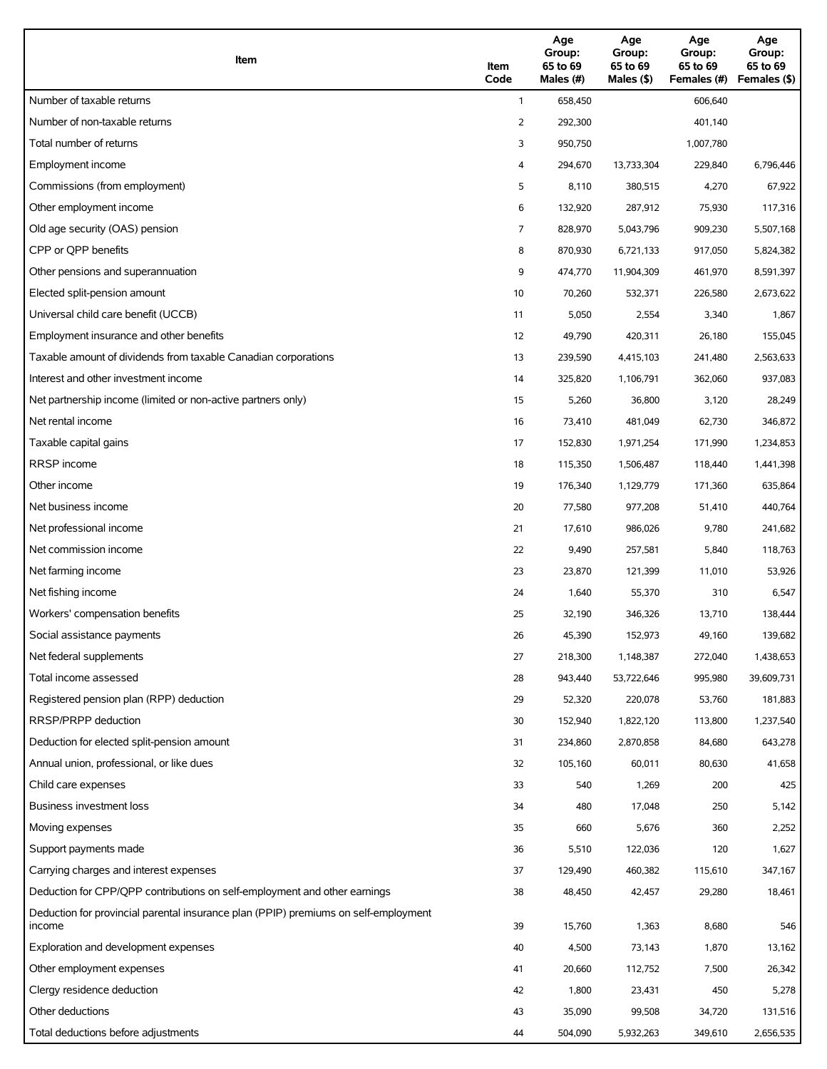| Item                                                                                          | Item<br>Code | Age<br>Group:<br>65 to 69<br>Males (#) | Age<br>Group:<br>65 to 69<br>Males (\$) | Age<br>Group:<br>65 to 69<br>Females (#) | Age<br>Group:<br>65 to 69<br>Females (\$) |
|-----------------------------------------------------------------------------------------------|--------------|----------------------------------------|-----------------------------------------|------------------------------------------|-------------------------------------------|
| Number of taxable returns                                                                     | $\mathbf{1}$ | 658,450                                |                                         | 606,640                                  |                                           |
| Number of non-taxable returns                                                                 | 2            | 292,300                                |                                         | 401,140                                  |                                           |
| Total number of returns                                                                       | 3            | 950,750                                |                                         | 1,007,780                                |                                           |
| Employment income                                                                             | 4            | 294,670                                | 13,733,304                              | 229,840                                  | 6,796,446                                 |
| Commissions (from employment)                                                                 | 5            | 8,110                                  | 380,515                                 | 4,270                                    | 67,922                                    |
| Other employment income                                                                       | 6            | 132,920                                | 287,912                                 | 75,930                                   | 117,316                                   |
| Old age security (OAS) pension                                                                | 7            | 828,970                                | 5,043,796                               | 909,230                                  | 5,507,168                                 |
| CPP or QPP benefits                                                                           | 8            | 870,930                                | 6,721,133                               | 917,050                                  | 5,824,382                                 |
| Other pensions and superannuation                                                             | 9            | 474,770                                | 11,904,309                              | 461,970                                  | 8,591,397                                 |
| Elected split-pension amount                                                                  | 10           | 70,260                                 | 532,371                                 | 226,580                                  | 2,673,622                                 |
| Universal child care benefit (UCCB)                                                           | 11           | 5,050                                  | 2,554                                   | 3,340                                    | 1,867                                     |
| Employment insurance and other benefits                                                       | 12           | 49,790                                 | 420,311                                 | 26,180                                   | 155,045                                   |
| Taxable amount of dividends from taxable Canadian corporations                                | 13           | 239,590                                | 4,415,103                               | 241,480                                  | 2,563,633                                 |
| Interest and other investment income                                                          | 14           | 325,820                                | 1,106,791                               | 362,060                                  | 937,083                                   |
| Net partnership income (limited or non-active partners only)                                  | 15           | 5,260                                  | 36,800                                  | 3,120                                    | 28,249                                    |
| Net rental income                                                                             | 16           | 73,410                                 | 481,049                                 | 62,730                                   | 346,872                                   |
| Taxable capital gains                                                                         | 17           | 152,830                                | 1,971,254                               | 171,990                                  | 1,234,853                                 |
| <b>RRSP</b> income                                                                            | 18           | 115,350                                | 1,506,487                               | 118,440                                  | 1,441,398                                 |
| Other income                                                                                  | 19           | 176,340                                | 1,129,779                               | 171,360                                  | 635,864                                   |
| Net business income                                                                           | 20           | 77,580                                 | 977,208                                 | 51,410                                   | 440,764                                   |
| Net professional income                                                                       | 21           | 17,610                                 | 986,026                                 | 9,780                                    | 241,682                                   |
| Net commission income                                                                         | 22           | 9,490                                  | 257,581                                 | 5,840                                    | 118,763                                   |
| Net farming income                                                                            | 23           | 23,870                                 | 121,399                                 | 11,010                                   | 53,926                                    |
| Net fishing income                                                                            | 24           | 1,640                                  | 55,370                                  | 310                                      | 6,547                                     |
| Workers' compensation benefits                                                                | 25           | 32,190                                 | 346,326                                 | 13,710                                   | 138,444                                   |
| Social assistance payments                                                                    | 26           | 45,390                                 | 152,973                                 | 49,160                                   | 139,682                                   |
| Net federal supplements                                                                       | 27           | 218,300                                | 1,148,387                               | 272,040                                  | 1,438,653                                 |
| Total income assessed                                                                         | 28           | 943,440                                | 53,722,646                              | 995,980                                  | 39,609,731                                |
| Registered pension plan (RPP) deduction                                                       | 29           | 52,320                                 | 220,078                                 | 53,760                                   | 181,883                                   |
| RRSP/PRPP deduction                                                                           | 30           | 152,940                                | 1,822,120                               | 113,800                                  | 1,237,540                                 |
| Deduction for elected split-pension amount                                                    | 31           | 234,860                                | 2,870,858                               | 84,680                                   | 643,278                                   |
| Annual union, professional, or like dues                                                      | 32           | 105,160                                | 60,011                                  | 80,630                                   | 41,658                                    |
| Child care expenses                                                                           | 33           | 540                                    | 1,269                                   | 200                                      | 425                                       |
| Business investment loss                                                                      | 34           | 480                                    | 17,048                                  | 250                                      | 5,142                                     |
| Moving expenses                                                                               | 35           | 660                                    | 5,676                                   | 360                                      | 2,252                                     |
| Support payments made                                                                         | 36           | 5,510                                  | 122,036                                 | 120                                      | 1,627                                     |
| Carrying charges and interest expenses                                                        | 37           | 129,490                                | 460,382                                 | 115,610                                  | 347,167                                   |
| Deduction for CPP/QPP contributions on self-employment and other earnings                     | 38           | 48,450                                 | 42,457                                  | 29,280                                   | 18,461                                    |
| Deduction for provincial parental insurance plan (PPIP) premiums on self-employment<br>income | 39           | 15,760                                 | 1,363                                   | 8,680                                    | 546                                       |
| Exploration and development expenses                                                          | 40           | 4,500                                  | 73,143                                  | 1,870                                    | 13,162                                    |
| Other employment expenses                                                                     | 41           | 20,660                                 | 112,752                                 | 7,500                                    | 26,342                                    |
| Clergy residence deduction                                                                    | 42           | 1,800                                  | 23,431                                  | 450                                      | 5,278                                     |
| Other deductions                                                                              | 43           | 35,090                                 | 99,508                                  | 34,720                                   | 131,516                                   |
| Total deductions before adjustments                                                           | 44           | 504,090                                | 5,932,263                               | 349,610                                  | 2,656,535                                 |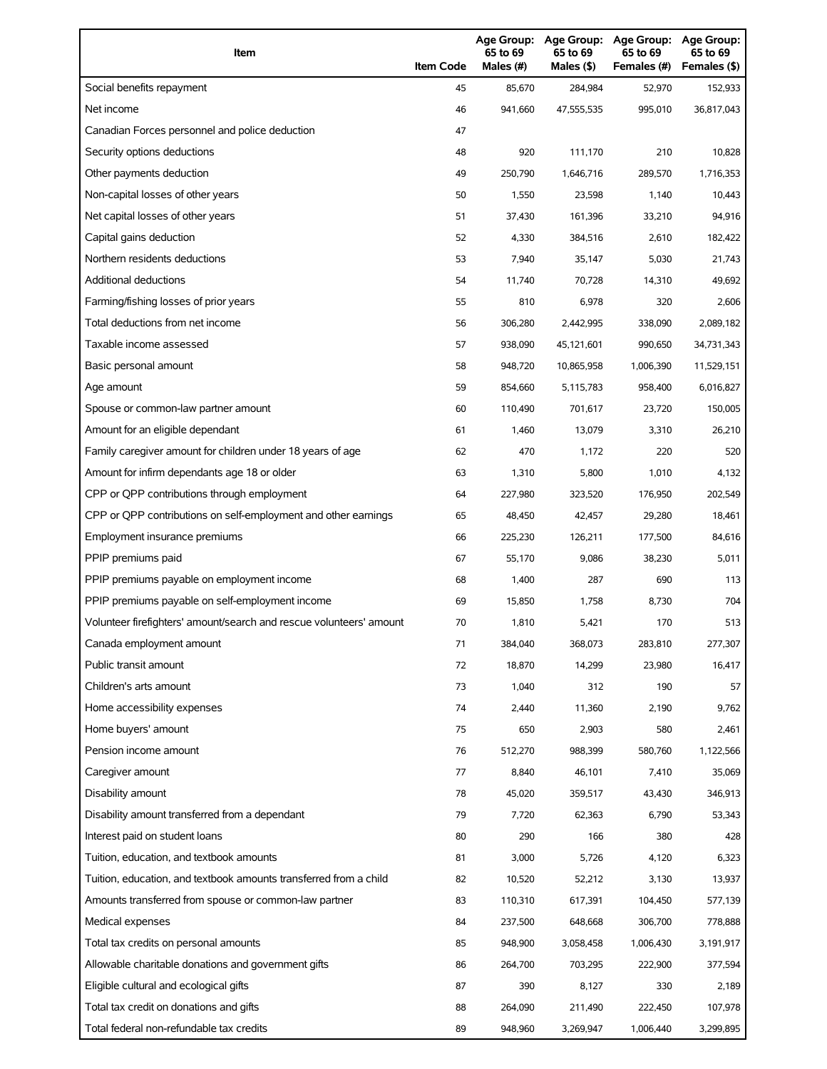| Item                                                                | <b>Item Code</b> | 65 to 69<br>Males (#) | 65 to 69<br>Males (\$) | Age Group: Age Group: Age Group:<br>65 to 69<br>Females (#) | Age Group:<br>65 to 69<br>Females (\$) |
|---------------------------------------------------------------------|------------------|-----------------------|------------------------|-------------------------------------------------------------|----------------------------------------|
| Social benefits repayment                                           | 45               | 85,670                | 284,984                | 52,970                                                      | 152,933                                |
| Net income                                                          | 46               | 941,660               | 47,555,535             | 995,010                                                     | 36,817,043                             |
| Canadian Forces personnel and police deduction                      | 47               |                       |                        |                                                             |                                        |
| Security options deductions                                         | 48               | 920                   | 111,170                | 210                                                         | 10,828                                 |
| Other payments deduction                                            | 49               | 250,790               | 1,646,716              | 289,570                                                     | 1,716,353                              |
| Non-capital losses of other years                                   | 50               | 1,550                 | 23,598                 | 1,140                                                       | 10,443                                 |
| Net capital losses of other years                                   | 51               | 37,430                | 161,396                | 33,210                                                      | 94,916                                 |
| Capital gains deduction                                             | 52               | 4,330                 | 384,516                | 2,610                                                       | 182,422                                |
| Northern residents deductions                                       | 53               | 7,940                 | 35,147                 | 5,030                                                       | 21,743                                 |
| Additional deductions                                               | 54               | 11,740                | 70,728                 | 14,310                                                      | 49,692                                 |
| Farming/fishing losses of prior years                               | 55               | 810                   | 6,978                  | 320                                                         | 2,606                                  |
| Total deductions from net income                                    | 56               | 306,280               | 2,442,995              | 338,090                                                     | 2,089,182                              |
| Taxable income assessed                                             | 57               | 938,090               | 45,121,601             | 990,650                                                     | 34,731,343                             |
| Basic personal amount                                               | 58               | 948.720               | 10,865,958             | 1,006,390                                                   | 11,529,151                             |
| Age amount                                                          | 59               | 854,660               | 5,115,783              | 958,400                                                     | 6,016,827                              |
| Spouse or common-law partner amount                                 | 60               | 110,490               | 701,617                | 23,720                                                      | 150,005                                |
| Amount for an eligible dependant                                    | 61               | 1,460                 | 13,079                 | 3,310                                                       | 26,210                                 |
| Family caregiver amount for children under 18 years of age          | 62               | 470                   | 1,172                  | 220                                                         | 520                                    |
| Amount for infirm dependants age 18 or older                        | 63               | 1,310                 | 5,800                  | 1,010                                                       | 4,132                                  |
| CPP or QPP contributions through employment                         | 64               | 227,980               | 323,520                | 176,950                                                     | 202,549                                |
| CPP or QPP contributions on self-employment and other earnings      | 65               | 48,450                | 42,457                 | 29,280                                                      | 18,461                                 |
| Employment insurance premiums                                       | 66               | 225,230               | 126,211                | 177,500                                                     | 84,616                                 |
| PPIP premiums paid                                                  | 67               | 55.170                | 9,086                  | 38,230                                                      | 5,011                                  |
| PPIP premiums payable on employment income                          | 68               | 1,400                 | 287                    | 690                                                         | 113                                    |
| PPIP premiums payable on self-employment income                     | 69               | 15,850                | 1,758                  | 8,730                                                       | 704                                    |
| Volunteer firefighters' amount/search and rescue volunteers' amount | 70               | 1,810                 | 5,421                  | 170                                                         | 513                                    |
| Canada employment amount                                            | 71               | 384,040               | 368,073                | 283,810                                                     | 277,307                                |
| Public transit amount                                               | 72               | 18,870                | 14,299                 | 23,980                                                      | 16,417                                 |
| Children's arts amount                                              | 73               | 1,040                 | 312                    | 190                                                         | 57                                     |
| Home accessibility expenses                                         | 74               | 2,440                 | 11,360                 | 2,190                                                       | 9,762                                  |
| Home buyers' amount                                                 | 75               | 650                   | 2,903                  | 580                                                         | 2,461                                  |
| Pension income amount                                               | 76               | 512,270               | 988,399                | 580,760                                                     | 1,122,566                              |
| Caregiver amount                                                    | 77               | 8,840                 | 46,101                 | 7,410                                                       | 35,069                                 |
| Disability amount                                                   | 78               | 45,020                | 359,517                | 43,430                                                      | 346,913                                |
| Disability amount transferred from a dependant                      | 79               | 7,720                 | 62,363                 | 6,790                                                       | 53,343                                 |
| Interest paid on student loans                                      | 80               | 290                   | 166                    | 380                                                         | 428                                    |
| Tuition, education, and textbook amounts                            | 81               | 3,000                 | 5,726                  | 4,120                                                       | 6,323                                  |
| Tuition, education, and textbook amounts transferred from a child   | 82               | 10,520                | 52,212                 | 3,130                                                       | 13,937                                 |
| Amounts transferred from spouse or common-law partner               | 83               | 110,310               | 617,391                | 104,450                                                     | 577,139                                |
| Medical expenses                                                    | 84               | 237,500               | 648,668                | 306,700                                                     | 778,888                                |
| Total tax credits on personal amounts                               | 85               | 948,900               | 3,058,458              | 1,006,430                                                   | 3,191,917                              |
| Allowable charitable donations and government gifts                 | 86               | 264,700               | 703,295                | 222,900                                                     | 377,594                                |
| Eligible cultural and ecological gifts                              | 87               | 390                   | 8,127                  | 330                                                         | 2,189                                  |
| Total tax credit on donations and gifts                             | 88               | 264,090               | 211,490                | 222,450                                                     | 107,978                                |
| Total federal non-refundable tax credits                            | 89               | 948,960               | 3,269,947              | 1,006,440                                                   | 3,299,895                              |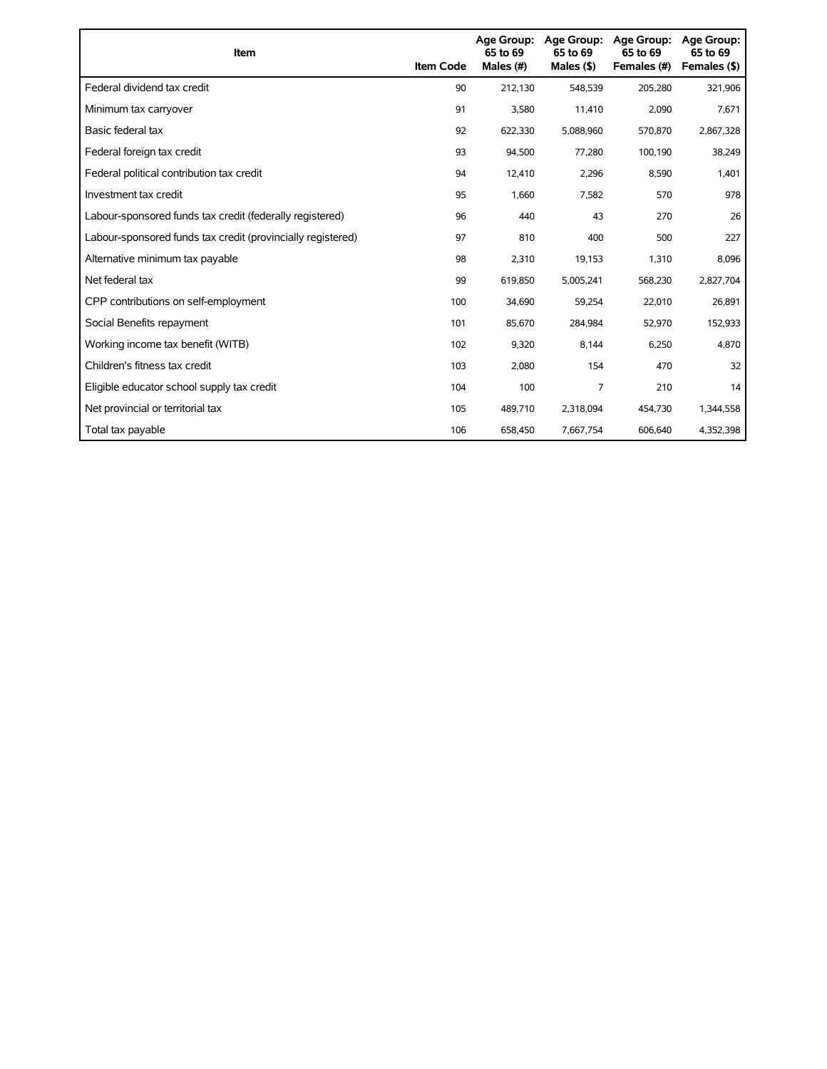| Item                                                        | <b>Item Code</b> | 65 to 69<br>Males (#) | Age Group: Age Group:<br>65 to 69<br>Males $(§)$ | Age Group:<br>65 to 69<br>Females (#) | <b>Age Group:</b><br>65 to 69<br>Females (\$) |
|-------------------------------------------------------------|------------------|-----------------------|--------------------------------------------------|---------------------------------------|-----------------------------------------------|
| Federal dividend tax credit                                 | 90               | 212,130               | 548,539                                          | 205,280                               | 321,906                                       |
| Minimum tax carryover                                       | 91               | 3,580                 | 11,410                                           | 2,090                                 | 7,671                                         |
| Basic federal tax                                           | 92               | 622,330               | 5,088,960                                        | 570,870                               | 2,867,328                                     |
| Federal foreign tax credit                                  | 93               | 94,500                | 77,280                                           | 100,190                               | 38,249                                        |
| Federal political contribution tax credit                   | 94               | 12,410                | 2,296                                            | 8,590                                 | 1,401                                         |
| Investment tax credit                                       | 95               | 1,660                 | 7,582                                            | 570                                   | 978                                           |
| Labour-sponsored funds tax credit (federally registered)    | 96               | 440                   | 43                                               | 270                                   | 26                                            |
| Labour-sponsored funds tax credit (provincially registered) | 97               | 810                   | 400                                              | 500                                   | 227                                           |
| Alternative minimum tax payable                             | 98               | 2,310                 | 19,153                                           | 1,310                                 | 8,096                                         |
| Net federal tax                                             | 99               | 619,850               | 5,005,241                                        | 568,230                               | 2,827,704                                     |
| CPP contributions on self-employment                        | 100              | 34,690                | 59,254                                           | 22,010                                | 26,891                                        |
| Social Benefits repayment                                   | 101              | 85,670                | 284,984                                          | 52,970                                | 152,933                                       |
| Working income tax benefit (WITB)                           | 102              | 9,320                 | 8,144                                            | 6,250                                 | 4,870                                         |
| Children's fitness tax credit                               | 103              | 2,080                 | 154                                              | 470                                   | 32                                            |
| Eligible educator school supply tax credit                  | 104              | 100                   | 7                                                | 210                                   | 14                                            |
| Net provincial or territorial tax                           | 105              | 489,710               | 2,318,094                                        | 454,730                               | 1,344,558                                     |
| Total tax payable                                           | 106              | 658,450               | 7,667,754                                        | 606,640                               | 4,352,398                                     |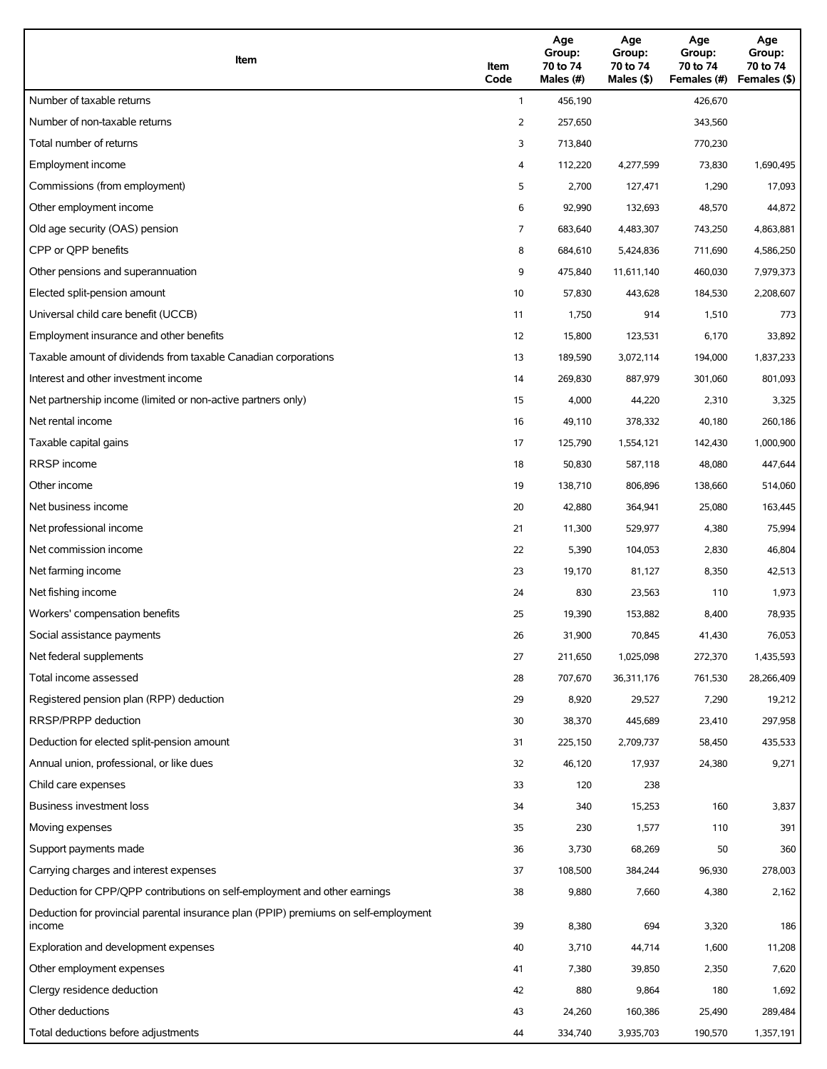| Item                                                                                          | Item<br>Code            | Age<br>Group:<br>70 to 74<br>Males (#) | Age<br>Group:<br>70 to 74<br>Males (\$) | Age<br>Group:<br>70 to 74<br>Females (#) | Age<br>Group:<br>70 to 74<br>Females (\$) |
|-----------------------------------------------------------------------------------------------|-------------------------|----------------------------------------|-----------------------------------------|------------------------------------------|-------------------------------------------|
| Number of taxable returns                                                                     | $\mathbf{1}$            | 456,190                                |                                         | 426,670                                  |                                           |
| Number of non-taxable returns                                                                 | 2                       | 257,650                                |                                         | 343,560                                  |                                           |
| Total number of returns                                                                       | 3                       | 713,840                                |                                         | 770,230                                  |                                           |
| Employment income                                                                             | $\overline{\mathbf{4}}$ | 112,220                                | 4,277,599                               | 73,830                                   | 1,690,495                                 |
| Commissions (from employment)                                                                 | 5                       | 2,700                                  | 127,471                                 | 1,290                                    | 17,093                                    |
| Other employment income                                                                       | 6                       | 92,990                                 | 132,693                                 | 48,570                                   | 44,872                                    |
| Old age security (OAS) pension                                                                | 7                       | 683,640                                | 4,483,307                               | 743,250                                  | 4,863,881                                 |
| CPP or QPP benefits                                                                           | 8                       | 684,610                                | 5,424,836                               | 711,690                                  | 4,586,250                                 |
| Other pensions and superannuation                                                             | 9                       | 475,840                                | 11,611,140                              | 460,030                                  | 7,979,373                                 |
| Elected split-pension amount                                                                  | 10                      | 57,830                                 | 443,628                                 | 184,530                                  | 2,208,607                                 |
| Universal child care benefit (UCCB)                                                           | 11                      | 1,750                                  | 914                                     | 1,510                                    | 773                                       |
| Employment insurance and other benefits                                                       | 12                      | 15,800                                 | 123,531                                 | 6,170                                    | 33,892                                    |
| Taxable amount of dividends from taxable Canadian corporations                                | 13                      | 189,590                                | 3,072,114                               | 194,000                                  | 1,837,233                                 |
| Interest and other investment income                                                          | 14                      | 269,830                                | 887,979                                 | 301,060                                  | 801,093                                   |
| Net partnership income (limited or non-active partners only)                                  | 15                      | 4,000                                  | 44,220                                  | 2,310                                    | 3,325                                     |
| Net rental income                                                                             | 16                      | 49,110                                 | 378,332                                 | 40,180                                   | 260,186                                   |
| Taxable capital gains                                                                         | 17                      | 125,790                                | 1,554,121                               | 142,430                                  | 1,000,900                                 |
| <b>RRSP</b> income                                                                            | 18                      | 50,830                                 | 587,118                                 | 48,080                                   | 447,644                                   |
| Other income                                                                                  | 19                      | 138,710                                | 806,896                                 | 138,660                                  | 514,060                                   |
| Net business income                                                                           | 20                      | 42,880                                 | 364,941                                 | 25,080                                   | 163,445                                   |
| Net professional income                                                                       | 21                      | 11,300                                 | 529,977                                 | 4,380                                    | 75,994                                    |
| Net commission income                                                                         | 22                      | 5,390                                  | 104,053                                 | 2,830                                    | 46,804                                    |
| Net farming income                                                                            | 23                      | 19,170                                 | 81,127                                  | 8,350                                    | 42,513                                    |
| Net fishing income                                                                            | 24                      | 830                                    | 23,563                                  | 110                                      | 1,973                                     |
| Workers' compensation benefits                                                                | 25                      | 19,390                                 | 153,882                                 | 8,400                                    | 78,935                                    |
| Social assistance payments                                                                    | 26                      | 31,900                                 | 70,845                                  | 41,430                                   | 76,053                                    |
| Net federal supplements                                                                       | 27                      | 211,650                                | 1,025,098                               | 272,370                                  | 1,435,593                                 |
| Total income assessed                                                                         | 28                      | 707,670                                | 36,311,176                              | 761,530                                  | 28,266,409                                |
| Registered pension plan (RPP) deduction                                                       | 29                      | 8,920                                  | 29,527                                  | 7,290                                    | 19,212                                    |
| RRSP/PRPP deduction                                                                           | 30                      | 38,370                                 | 445,689                                 | 23,410                                   | 297,958                                   |
| Deduction for elected split-pension amount                                                    | 31                      | 225,150                                | 2,709,737                               | 58,450                                   | 435,533                                   |
| Annual union, professional, or like dues                                                      | 32                      | 46,120                                 | 17,937                                  | 24,380                                   | 9,271                                     |
| Child care expenses                                                                           | 33                      | 120                                    | 238                                     |                                          |                                           |
| Business investment loss                                                                      | 34                      | 340                                    | 15,253                                  | 160                                      | 3,837                                     |
| Moving expenses                                                                               | 35                      | 230                                    | 1,577                                   | 110                                      | 391                                       |
| Support payments made                                                                         | 36                      | 3,730                                  | 68,269                                  | 50                                       | 360                                       |
| Carrying charges and interest expenses                                                        | 37                      | 108,500                                | 384,244                                 | 96,930                                   | 278,003                                   |
| Deduction for CPP/QPP contributions on self-employment and other earnings                     | 38                      | 9,880                                  | 7,660                                   | 4,380                                    | 2,162                                     |
| Deduction for provincial parental insurance plan (PPIP) premiums on self-employment<br>income | 39                      | 8,380                                  | 694                                     | 3,320                                    | 186                                       |
| Exploration and development expenses                                                          | 40                      | 3,710                                  | 44,714                                  | 1,600                                    | 11,208                                    |
| Other employment expenses                                                                     | 41                      | 7,380                                  | 39,850                                  | 2,350                                    | 7,620                                     |
| Clergy residence deduction                                                                    | 42                      | 880                                    | 9,864                                   | 180                                      | 1,692                                     |
| Other deductions                                                                              | 43                      | 24,260                                 | 160,386                                 | 25,490                                   | 289,484                                   |
| Total deductions before adjustments                                                           | 44                      | 334,740                                | 3,935,703                               | 190,570                                  | 1,357,191                                 |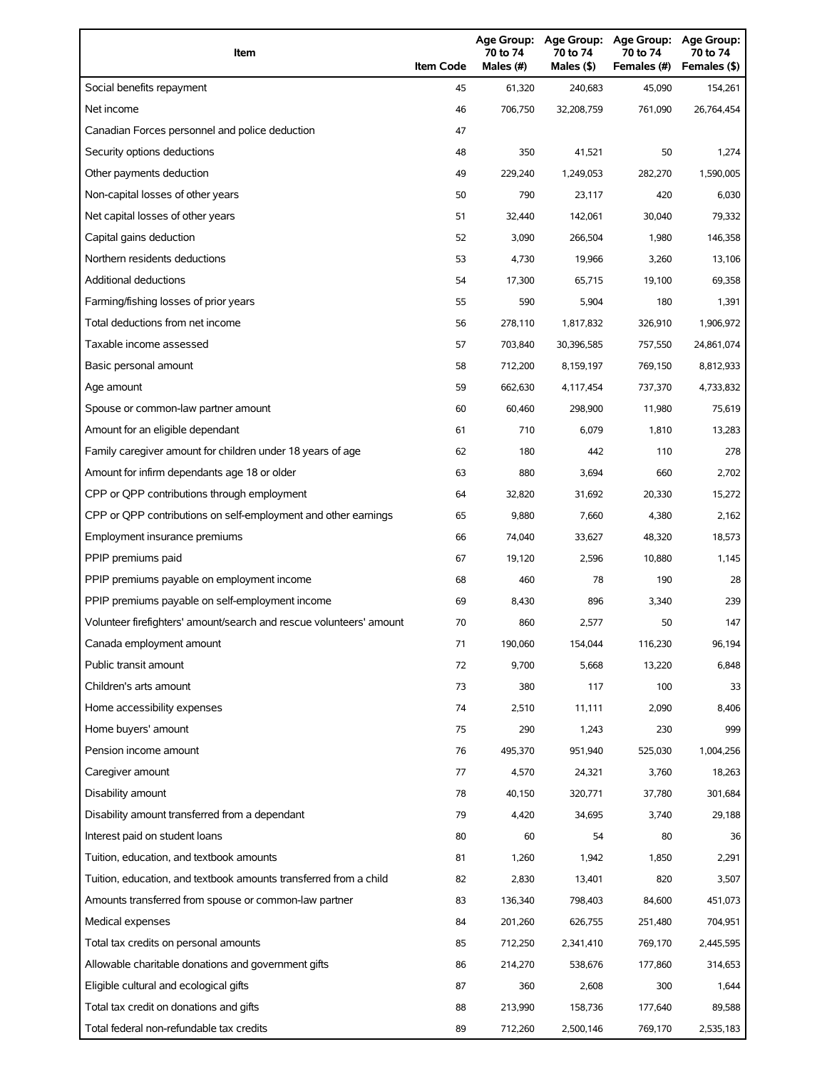| Item                                                                | <b>Item Code</b> | 70 to 74<br>Males (#) | 70 to 74<br>Males (\$) | Age Group: Age Group: Age Group:<br>70 to 74<br>Females (#) | Age Group:<br>70 to 74<br>Females (\$) |
|---------------------------------------------------------------------|------------------|-----------------------|------------------------|-------------------------------------------------------------|----------------------------------------|
| Social benefits repayment                                           | 45               | 61,320                | 240,683                | 45,090                                                      | 154,261                                |
| Net income                                                          | 46               | 706,750               | 32,208,759             | 761,090                                                     | 26,764,454                             |
| Canadian Forces personnel and police deduction                      | 47               |                       |                        |                                                             |                                        |
| Security options deductions                                         | 48               | 350                   | 41,521                 | 50                                                          | 1,274                                  |
| Other payments deduction                                            | 49               | 229,240               | 1,249,053              | 282,270                                                     | 1,590,005                              |
| Non-capital losses of other years                                   | 50               | 790                   | 23,117                 | 420                                                         | 6,030                                  |
| Net capital losses of other years                                   | 51               | 32,440                | 142,061                | 30,040                                                      | 79,332                                 |
| Capital gains deduction                                             | 52               | 3,090                 | 266,504                | 1,980                                                       | 146,358                                |
| Northern residents deductions                                       | 53               | 4,730                 | 19,966                 | 3,260                                                       | 13,106                                 |
| Additional deductions                                               | 54               | 17,300                | 65,715                 | 19,100                                                      | 69,358                                 |
| Farming/fishing losses of prior years                               | 55               | 590                   | 5,904                  | 180                                                         | 1,391                                  |
| Total deductions from net income                                    | 56               | 278,110               | 1,817,832              | 326,910                                                     | 1,906,972                              |
| Taxable income assessed                                             | 57               | 703,840               | 30,396,585             | 757,550                                                     | 24,861,074                             |
| Basic personal amount                                               | 58               | 712,200               | 8,159,197              | 769,150                                                     | 8,812,933                              |
| Age amount                                                          | 59               | 662,630               | 4,117,454              | 737,370                                                     | 4,733,832                              |
| Spouse or common-law partner amount                                 | 60               | 60,460                | 298,900                | 11,980                                                      | 75,619                                 |
| Amount for an eligible dependant                                    | 61               | 710                   | 6,079                  | 1,810                                                       | 13,283                                 |
| Family caregiver amount for children under 18 years of age          | 62               | 180                   | 442                    | 110                                                         | 278                                    |
| Amount for infirm dependants age 18 or older                        | 63               | 880                   | 3,694                  | 660                                                         | 2,702                                  |
| CPP or QPP contributions through employment                         | 64               | 32,820                | 31,692                 | 20,330                                                      | 15,272                                 |
| CPP or QPP contributions on self-employment and other earnings      | 65               | 9,880                 | 7,660                  | 4,380                                                       | 2,162                                  |
| Employment insurance premiums                                       | 66               | 74,040                | 33,627                 | 48,320                                                      | 18,573                                 |
| PPIP premiums paid                                                  | 67               | 19,120                | 2,596                  | 10,880                                                      | 1,145                                  |
| PPIP premiums payable on employment income                          | 68               | 460                   | 78                     | 190                                                         | 28                                     |
| PPIP premiums payable on self-employment income                     | 69               | 8,430                 | 896                    | 3,340                                                       | 239                                    |
| Volunteer firefighters' amount/search and rescue volunteers' amount | 70               | 860                   | 2,577                  | 50                                                          | 147                                    |
| Canada employment amount                                            | 71               | 190,060               | 154,044                | 116,230                                                     | 96,194                                 |
| Public transit amount                                               | 72               | 9,700                 | 5,668                  | 13,220                                                      | 6,848                                  |
| Children's arts amount                                              | 73               | 380                   | 117                    | 100                                                         | 33                                     |
| Home accessibility expenses                                         | 74               | 2,510                 | 11,111                 | 2,090                                                       | 8,406                                  |
| Home buyers' amount                                                 | 75               | 290                   | 1,243                  | 230                                                         | 999                                    |
| Pension income amount                                               | 76               | 495,370               | 951,940                | 525,030                                                     | 1,004,256                              |
| Caregiver amount                                                    | 77               | 4,570                 | 24,321                 | 3,760                                                       | 18,263                                 |
| Disability amount                                                   | 78               | 40,150                | 320,771                | 37,780                                                      | 301,684                                |
| Disability amount transferred from a dependant                      | 79               | 4,420                 | 34,695                 | 3,740                                                       | 29,188                                 |
| Interest paid on student loans                                      | 80               | 60                    | 54                     | 80                                                          | 36                                     |
| Tuition, education, and textbook amounts                            | 81               | 1,260                 | 1,942                  | 1,850                                                       | 2,291                                  |
| Tuition, education, and textbook amounts transferred from a child   | 82               | 2,830                 | 13,401                 | 820                                                         | 3,507                                  |
| Amounts transferred from spouse or common-law partner               | 83               | 136,340               | 798,403                | 84,600                                                      | 451,073                                |
| Medical expenses                                                    | 84               | 201,260               | 626,755                | 251,480                                                     | 704,951                                |
| Total tax credits on personal amounts                               | 85               | 712,250               | 2,341,410              | 769,170                                                     | 2,445,595                              |
| Allowable charitable donations and government gifts                 | 86               | 214,270               | 538,676                | 177,860                                                     | 314,653                                |
| Eligible cultural and ecological gifts                              | 87               | 360                   | 2,608                  | 300                                                         | 1,644                                  |
| Total tax credit on donations and gifts                             | 88               | 213,990               | 158,736                | 177,640                                                     | 89,588                                 |
| Total federal non-refundable tax credits                            | 89               | 712,260               | 2,500,146              | 769,170                                                     | 2,535,183                              |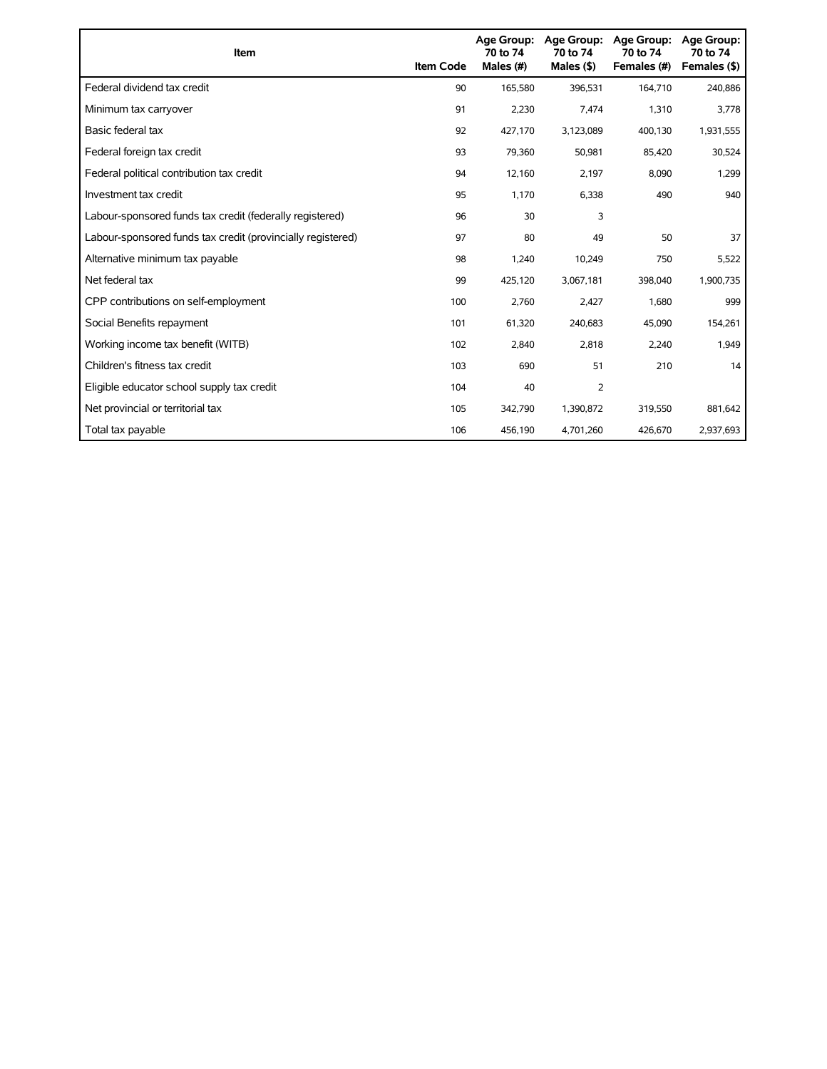| Item                                                        | <b>Item Code</b> | Age Group:<br>70 to 74<br>Males (#) | Age Group:<br>70 to 74<br>Males $($ \$) | <b>Age Group:</b><br>70 to 74<br>Females (#) | <b>Age Group:</b><br>70 to 74<br>Females (\$) |
|-------------------------------------------------------------|------------------|-------------------------------------|-----------------------------------------|----------------------------------------------|-----------------------------------------------|
| Federal dividend tax credit                                 | 90               | 165,580                             | 396,531                                 | 164,710                                      | 240,886                                       |
| Minimum tax carryover                                       | 91               | 2,230                               | 7,474                                   | 1,310                                        | 3,778                                         |
| Basic federal tax                                           | 92               | 427,170                             | 3,123,089                               | 400,130                                      | 1,931,555                                     |
| Federal foreign tax credit                                  | 93               | 79,360                              | 50,981                                  | 85,420                                       | 30,524                                        |
| Federal political contribution tax credit                   | 94               | 12,160                              | 2,197                                   | 8,090                                        | 1,299                                         |
| Investment tax credit                                       | 95               | 1,170                               | 6,338                                   | 490                                          | 940                                           |
| Labour-sponsored funds tax credit (federally registered)    | 96               | 30                                  | 3                                       |                                              |                                               |
| Labour-sponsored funds tax credit (provincially registered) | 97               | 80                                  | 49                                      | 50                                           | 37                                            |
| Alternative minimum tax payable                             | 98               | 1,240                               | 10,249                                  | 750                                          | 5,522                                         |
| Net federal tax                                             | 99               | 425,120                             | 3,067,181                               | 398,040                                      | 1,900,735                                     |
| CPP contributions on self-employment                        | 100              | 2,760                               | 2,427                                   | 1,680                                        | 999                                           |
| Social Benefits repayment                                   | 101              | 61,320                              | 240,683                                 | 45,090                                       | 154,261                                       |
| Working income tax benefit (WITB)                           | 102              | 2,840                               | 2,818                                   | 2,240                                        | 1,949                                         |
| Children's fitness tax credit                               | 103              | 690                                 | 51                                      | 210                                          | 14                                            |
| Eligible educator school supply tax credit                  | 104              | 40                                  | 2                                       |                                              |                                               |
| Net provincial or territorial tax                           | 105              | 342,790                             | 1,390,872                               | 319,550                                      | 881,642                                       |
| Total tax payable                                           | 106              | 456,190                             | 4,701,260                               | 426,670                                      | 2,937,693                                     |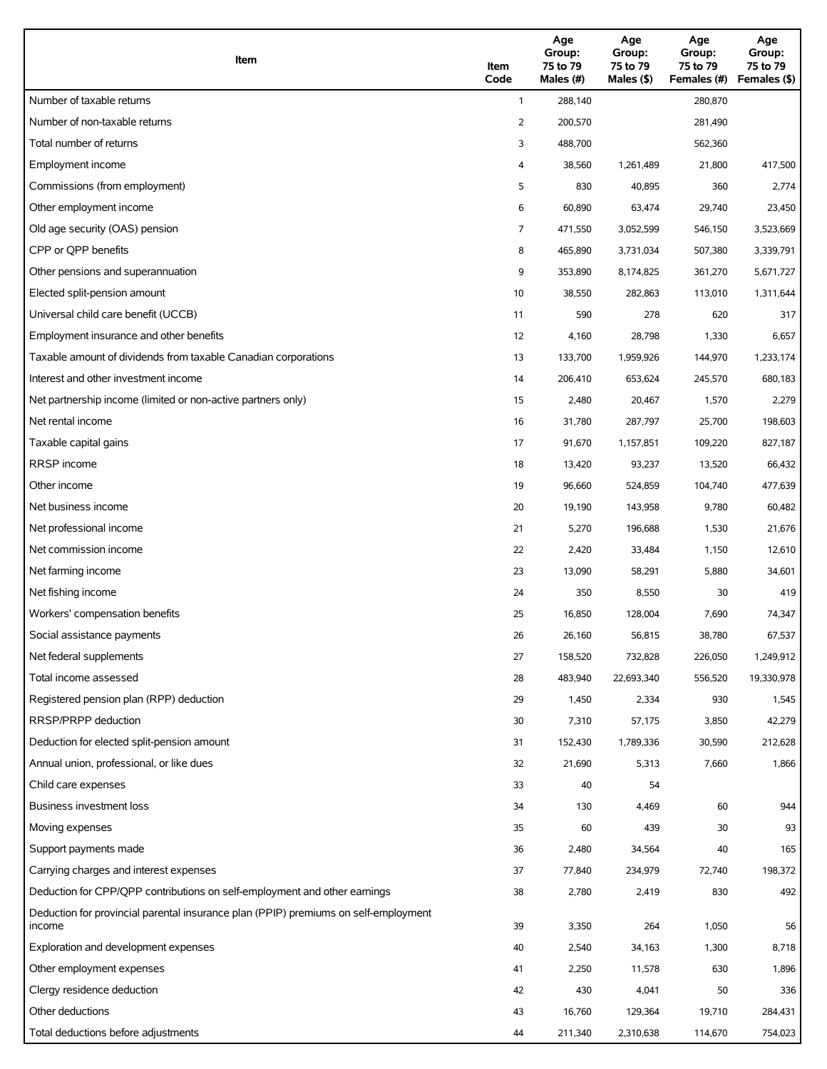| Item                                                                                          | Item<br>Code | Age<br>Group:<br>75 to 79<br>Males (#) | Age<br>Group:<br>75 to 79<br>Males (\$) | Age<br>Group:<br>75 to 79<br>Females (#) | Age<br>Group:<br>75 to 79<br>Females (\$) |
|-----------------------------------------------------------------------------------------------|--------------|----------------------------------------|-----------------------------------------|------------------------------------------|-------------------------------------------|
| Number of taxable returns                                                                     | $\mathbf{1}$ | 288,140                                |                                         | 280,870                                  |                                           |
| Number of non-taxable returns                                                                 | 2            | 200,570                                |                                         | 281,490                                  |                                           |
| Total number of returns                                                                       | 3            | 488,700                                |                                         | 562,360                                  |                                           |
| Employment income                                                                             | 4            | 38,560                                 | 1,261,489                               | 21,800                                   | 417,500                                   |
| Commissions (from employment)                                                                 | 5            | 830                                    | 40,895                                  | 360                                      | 2,774                                     |
| Other employment income                                                                       | 6            | 60,890                                 | 63,474                                  | 29,740                                   | 23,450                                    |
| Old age security (OAS) pension                                                                | 7            | 471,550                                | 3,052,599                               | 546,150                                  | 3,523,669                                 |
| CPP or QPP benefits                                                                           | 8            | 465,890                                | 3,731,034                               | 507,380                                  | 3,339,791                                 |
| Other pensions and superannuation                                                             | 9            | 353,890                                | 8,174,825                               | 361,270                                  | 5,671,727                                 |
| Elected split-pension amount                                                                  | 10           | 38,550                                 | 282,863                                 | 113,010                                  | 1,311,644                                 |
| Universal child care benefit (UCCB)                                                           | 11           | 590                                    | 278                                     | 620                                      | 317                                       |
| Employment insurance and other benefits                                                       | 12           | 4,160                                  | 28,798                                  | 1,330                                    | 6,657                                     |
| Taxable amount of dividends from taxable Canadian corporations                                | 13           | 133,700                                | 1,959,926                               | 144,970                                  | 1,233,174                                 |
| Interest and other investment income                                                          | 14           | 206,410                                | 653,624                                 | 245,570                                  | 680,183                                   |
| Net partnership income (limited or non-active partners only)                                  | 15           | 2,480                                  | 20,467                                  | 1,570                                    | 2,279                                     |
| Net rental income                                                                             | 16           | 31,780                                 | 287,797                                 | 25,700                                   | 198,603                                   |
| Taxable capital gains                                                                         | 17           | 91,670                                 | 1,157,851                               | 109,220                                  | 827,187                                   |
| <b>RRSP</b> income                                                                            | 18           | 13,420                                 | 93,237                                  | 13,520                                   | 66,432                                    |
| Other income                                                                                  | 19           | 96,660                                 | 524,859                                 | 104,740                                  | 477,639                                   |
| Net business income                                                                           | 20           | 19,190                                 | 143,958                                 | 9,780                                    | 60,482                                    |
| Net professional income                                                                       | 21           | 5,270                                  | 196,688                                 | 1,530                                    | 21,676                                    |
| Net commission income                                                                         | 22           | 2,420                                  | 33,484                                  | 1,150                                    | 12,610                                    |
| Net farming income                                                                            | 23           | 13,090                                 | 58,291                                  | 5,880                                    | 34,601                                    |
| Net fishing income                                                                            | 24           | 350                                    | 8,550                                   | 30                                       | 419                                       |
| Workers' compensation benefits                                                                | 25           | 16,850                                 | 128,004                                 | 7,690                                    | 74,347                                    |
| Social assistance payments                                                                    | 26           | 26,160                                 | 56,815                                  | 38,780                                   | 67,537                                    |
| Net federal supplements                                                                       | 27           | 158,520                                | 732,828                                 | 226,050                                  | 1,249,912                                 |
| Total income assessed                                                                         | 28           | 483,940                                | 22,693,340                              | 556,520                                  | 19,330,978                                |
| Registered pension plan (RPP) deduction                                                       | 29           | 1,450                                  | 2,334                                   | 930                                      | 1,545                                     |
| RRSP/PRPP deduction                                                                           | 30           | 7,310                                  | 57,175                                  | 3,850                                    | 42,279                                    |
| Deduction for elected split-pension amount                                                    | 31           | 152,430                                | 1,789,336                               | 30,590                                   | 212,628                                   |
| Annual union, professional, or like dues                                                      | 32           | 21,690                                 | 5,313                                   | 7,660                                    | 1,866                                     |
| Child care expenses                                                                           | 33           | 40                                     | 54                                      |                                          |                                           |
| Business investment loss                                                                      | 34           | 130                                    | 4,469                                   | 60                                       | 944                                       |
| Moving expenses                                                                               | 35           | 60                                     | 439                                     | 30                                       | 93                                        |
| Support payments made                                                                         | 36           | 2,480                                  | 34,564                                  | 40                                       | 165                                       |
| Carrying charges and interest expenses                                                        | 37           | 77,840                                 | 234,979                                 | 72,740                                   | 198,372                                   |
| Deduction for CPP/QPP contributions on self-employment and other earnings                     | 38           | 2,780                                  | 2,419                                   | 830                                      | 492                                       |
| Deduction for provincial parental insurance plan (PPIP) premiums on self-employment<br>income | 39           | 3,350                                  | 264                                     | 1,050                                    | 56                                        |
| Exploration and development expenses                                                          | 40           | 2,540                                  | 34,163                                  | 1,300                                    | 8,718                                     |
| Other employment expenses                                                                     | 41           | 2,250                                  | 11,578                                  | 630                                      | 1,896                                     |
| Clergy residence deduction                                                                    | 42           | 430                                    | 4,041                                   | 50                                       | 336                                       |
| Other deductions                                                                              | 43           | 16,760                                 | 129,364                                 | 19,710                                   | 284,431                                   |
| Total deductions before adjustments                                                           | 44           | 211,340                                | 2,310,638                               | 114,670                                  | 754,023                                   |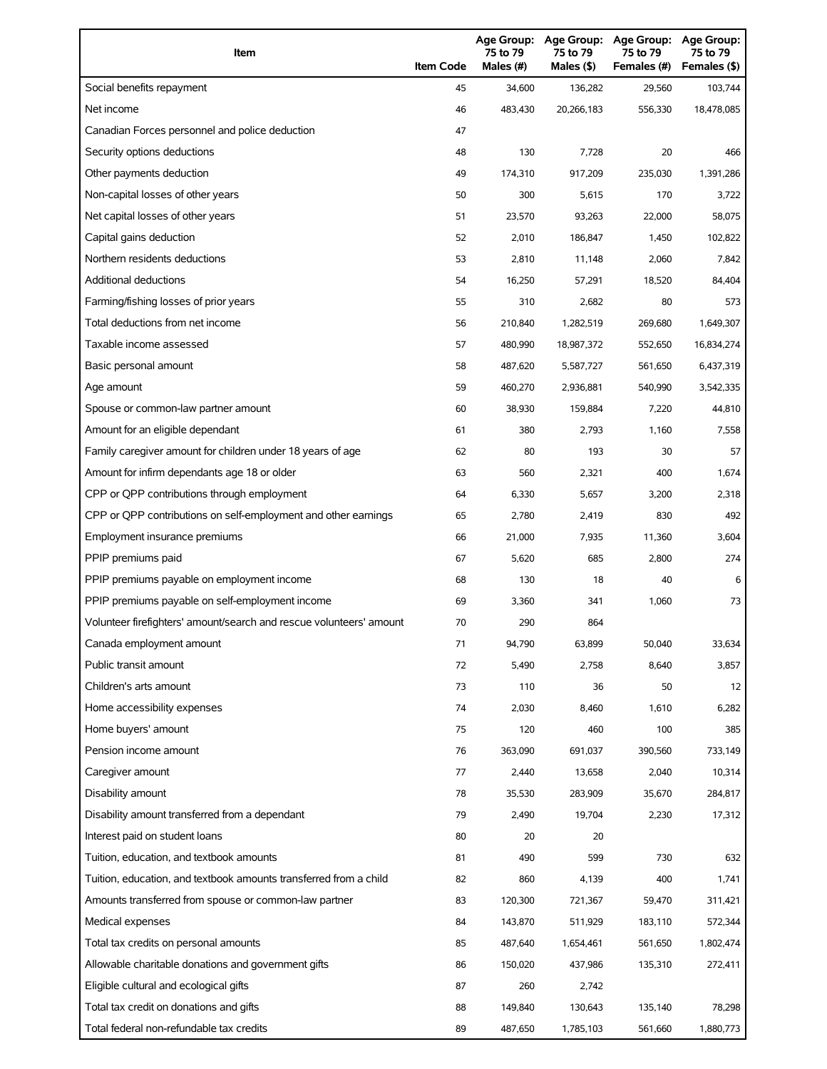| Item                                                                | <b>Item Code</b> | 75 to 79<br>Males (#) | 75 to 79<br>Males (\$) | Age Group: Age Group: Age Group:<br>75 to 79<br>Females (#) | <b>Age Group:</b><br>75 to 79<br>Females (\$) |
|---------------------------------------------------------------------|------------------|-----------------------|------------------------|-------------------------------------------------------------|-----------------------------------------------|
| Social benefits repayment                                           | 45               | 34,600                | 136,282                | 29,560                                                      | 103,744                                       |
| Net income                                                          | 46               | 483,430               | 20,266,183             | 556,330                                                     | 18,478,085                                    |
| Canadian Forces personnel and police deduction                      | 47               |                       |                        |                                                             |                                               |
| Security options deductions                                         | 48               | 130                   | 7,728                  | 20                                                          | 466                                           |
| Other payments deduction                                            | 49               | 174,310               | 917,209                | 235,030                                                     | 1,391,286                                     |
| Non-capital losses of other years                                   | 50               | 300                   | 5,615                  | 170                                                         | 3,722                                         |
| Net capital losses of other years                                   | 51               | 23,570                | 93,263                 | 22,000                                                      | 58,075                                        |
| Capital gains deduction                                             | 52               | 2,010                 | 186,847                | 1,450                                                       | 102,822                                       |
| Northern residents deductions                                       | 53               | 2,810                 | 11,148                 | 2,060                                                       | 7,842                                         |
| Additional deductions                                               | 54               | 16,250                | 57,291                 | 18,520                                                      | 84,404                                        |
| Farming/fishing losses of prior years                               | 55               | 310                   | 2,682                  | 80                                                          | 573                                           |
| Total deductions from net income                                    | 56               | 210,840               | 1,282,519              | 269,680                                                     | 1,649,307                                     |
| Taxable income assessed                                             | 57               | 480,990               | 18,987,372             | 552,650                                                     | 16,834,274                                    |
| Basic personal amount                                               | 58               | 487,620               | 5,587,727              | 561,650                                                     | 6,437,319                                     |
| Age amount                                                          | 59               | 460,270               | 2,936,881              | 540,990                                                     | 3,542,335                                     |
| Spouse or common-law partner amount                                 | 60               | 38,930                | 159,884                | 7,220                                                       | 44,810                                        |
| Amount for an eligible dependant                                    | 61               | 380                   | 2,793                  | 1,160                                                       | 7,558                                         |
| Family caregiver amount for children under 18 years of age          | 62               | 80                    | 193                    | 30                                                          | 57                                            |
| Amount for infirm dependants age 18 or older                        | 63               | 560                   | 2,321                  | 400                                                         | 1,674                                         |
| CPP or QPP contributions through employment                         | 64               | 6,330                 | 5,657                  | 3,200                                                       | 2,318                                         |
| CPP or QPP contributions on self-employment and other earnings      | 65               | 2,780                 | 2,419                  | 830                                                         | 492                                           |
| Employment insurance premiums                                       | 66               | 21,000                | 7,935                  | 11,360                                                      | 3,604                                         |
| PPIP premiums paid                                                  | 67               | 5,620                 | 685                    | 2,800                                                       | 274                                           |
| PPIP premiums payable on employment income                          | 68               | 130                   | 18                     | 40                                                          | 6                                             |
| PPIP premiums payable on self-employment income                     | 69               | 3,360                 | 341                    | 1,060                                                       | 73                                            |
| Volunteer firefighters' amount/search and rescue volunteers' amount | 70               | 290                   | 864                    |                                                             |                                               |
| Canada employment amount                                            | 71               | 94,790                | 63,899                 | 50,040                                                      | 33,634                                        |
| Public transit amount                                               | 72               | 5,490                 | 2,758                  | 8,640                                                       | 3,857                                         |
| Children's arts amount                                              | 73               | 110                   | 36                     | 50                                                          | 12                                            |
| Home accessibility expenses                                         | 74               | 2,030                 | 8,460                  | 1,610                                                       | 6,282                                         |
| Home buyers' amount                                                 | 75               | 120                   | 460                    | 100                                                         | 385                                           |
| Pension income amount                                               | 76               | 363,090               | 691,037                | 390,560                                                     | 733,149                                       |
| Caregiver amount                                                    | 77               | 2,440                 | 13,658                 | 2,040                                                       | 10,314                                        |
| Disability amount                                                   | 78               | 35,530                | 283,909                | 35,670                                                      | 284,817                                       |
| Disability amount transferred from a dependant                      | 79               | 2,490                 | 19,704                 | 2,230                                                       | 17,312                                        |
| Interest paid on student loans                                      | 80               | 20                    | 20                     |                                                             |                                               |
| Tuition, education, and textbook amounts                            | 81               | 490                   | 599                    | 730                                                         | 632                                           |
| Tuition, education, and textbook amounts transferred from a child   | 82               | 860                   | 4,139                  | 400                                                         | 1,741                                         |
| Amounts transferred from spouse or common-law partner               | 83               | 120,300               | 721,367                | 59,470                                                      | 311,421                                       |
| Medical expenses                                                    | 84               | 143,870               | 511,929                | 183,110                                                     | 572,344                                       |
| Total tax credits on personal amounts                               | 85               | 487,640               | 1,654,461              | 561,650                                                     | 1,802,474                                     |
| Allowable charitable donations and government gifts                 | 86               | 150,020               | 437,986                | 135,310                                                     | 272,411                                       |
| Eligible cultural and ecological gifts                              | 87               | 260                   | 2,742                  |                                                             |                                               |
| Total tax credit on donations and gifts                             | 88               | 149,840               | 130,643                | 135,140                                                     | 78,298                                        |
| Total federal non-refundable tax credits                            | 89               | 487,650               | 1,785,103              | 561,660                                                     | 1,880,773                                     |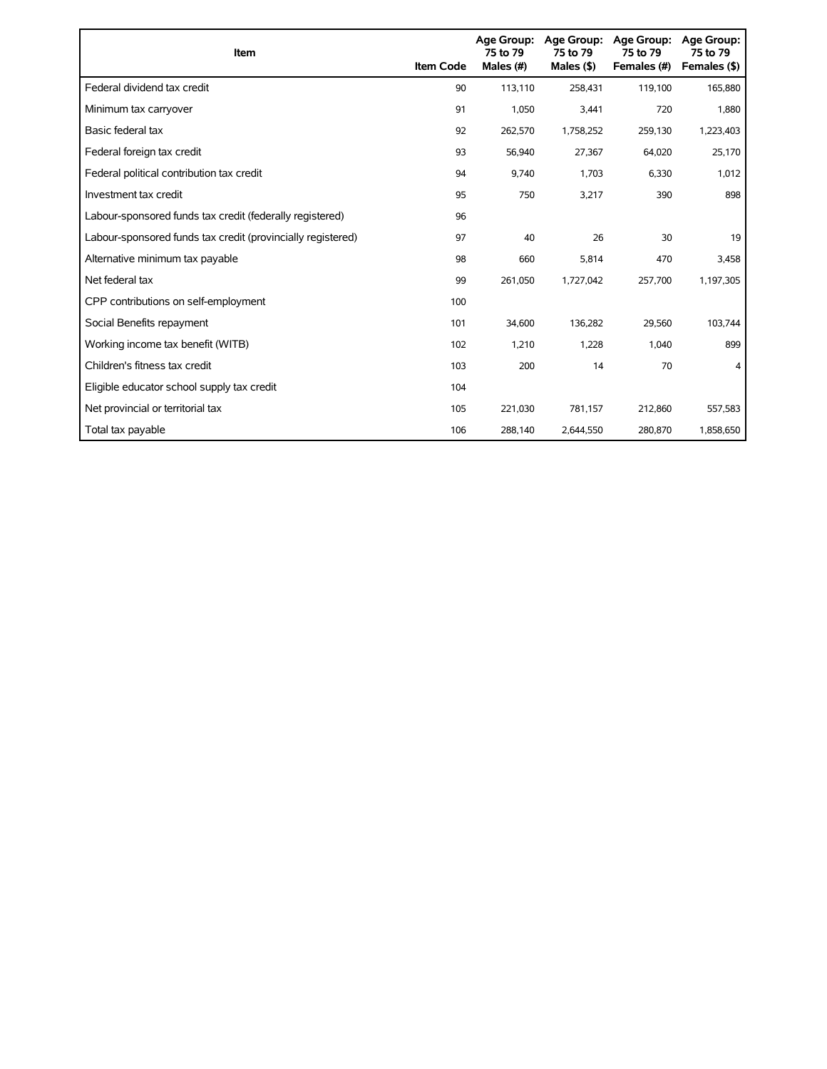| Item                                                        | <b>Item Code</b> | 75 to 79<br>Males (#) | Age Group: Age Group:<br>75 to 79<br>Males (\$) | Age Group:<br>75 to 79<br>Females (#) | Age Group:<br>75 to 79<br>Females (\$) |
|-------------------------------------------------------------|------------------|-----------------------|-------------------------------------------------|---------------------------------------|----------------------------------------|
| Federal dividend tax credit                                 | 90               | 113,110               | 258,431                                         | 119,100                               | 165,880                                |
| Minimum tax carryover                                       | 91               | 1,050                 | 3,441                                           | 720                                   | 1,880                                  |
| Basic federal tax                                           | 92               | 262,570               | 1,758,252                                       | 259,130                               | 1,223,403                              |
| Federal foreign tax credit                                  | 93               | 56,940                | 27,367                                          | 64,020                                | 25,170                                 |
| Federal political contribution tax credit                   | 94               | 9,740                 | 1,703                                           | 6,330                                 | 1,012                                  |
| Investment tax credit                                       | 95               | 750                   | 3,217                                           | 390                                   | 898                                    |
| Labour-sponsored funds tax credit (federally registered)    | 96               |                       |                                                 |                                       |                                        |
| Labour-sponsored funds tax credit (provincially registered) | 97               | 40                    | 26                                              | 30                                    | 19                                     |
| Alternative minimum tax payable                             | 98               | 660                   | 5,814                                           | 470                                   | 3,458                                  |
| Net federal tax                                             | 99               | 261,050               | 1,727,042                                       | 257,700                               | 1,197,305                              |
| CPP contributions on self-employment                        | 100              |                       |                                                 |                                       |                                        |
| Social Benefits repayment                                   | 101              | 34,600                | 136,282                                         | 29,560                                | 103,744                                |
| Working income tax benefit (WITB)                           | 102              | 1,210                 | 1,228                                           | 1,040                                 | 899                                    |
| Children's fitness tax credit                               | 103              | 200                   | 14                                              | 70                                    | 4                                      |
| Eligible educator school supply tax credit                  | 104              |                       |                                                 |                                       |                                        |
| Net provincial or territorial tax                           | 105              | 221,030               | 781,157                                         | 212,860                               | 557,583                                |
| Total tax payable                                           | 106              | 288,140               | 2,644,550                                       | 280,870                               | 1,858,650                              |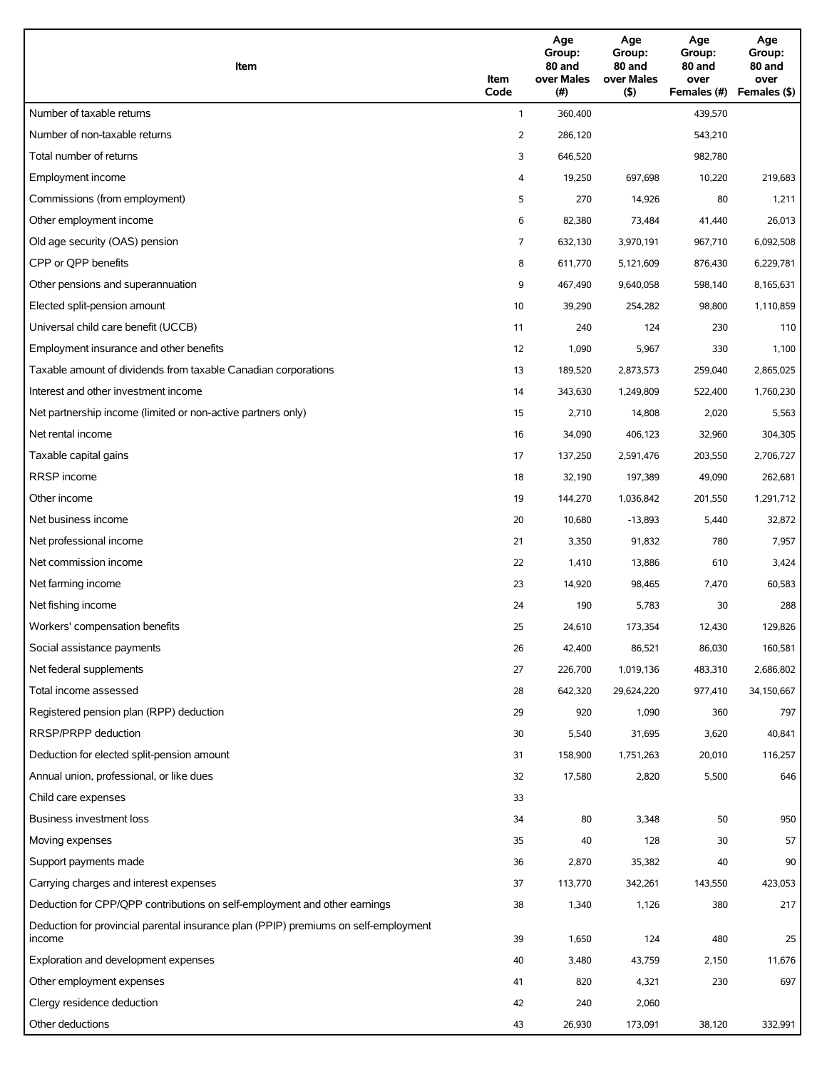| Item                                                                                          | Item<br>Code | Age<br>Group:<br>80 and<br>over Males<br>(#) | Age<br>Group:<br>80 and<br>over Males<br>(5) | Age<br>Group:<br>80 and<br>over<br>Females (#) | Age<br>Group:<br>80 and<br>over<br>Females (\$) |
|-----------------------------------------------------------------------------------------------|--------------|----------------------------------------------|----------------------------------------------|------------------------------------------------|-------------------------------------------------|
| Number of taxable returns                                                                     | $\mathbf{1}$ | 360,400                                      |                                              | 439,570                                        |                                                 |
| Number of non-taxable returns                                                                 | 2            | 286,120                                      |                                              | 543,210                                        |                                                 |
| Total number of returns                                                                       | 3            | 646,520                                      |                                              | 982,780                                        |                                                 |
| Employment income                                                                             | 4            | 19,250                                       | 697,698                                      | 10,220                                         | 219,683                                         |
| Commissions (from employment)                                                                 | 5            | 270                                          | 14,926                                       | 80                                             | 1,211                                           |
| Other employment income                                                                       | 6            | 82,380                                       | 73,484                                       | 41,440                                         | 26,013                                          |
| Old age security (OAS) pension                                                                | 7            | 632,130                                      | 3,970,191                                    | 967,710                                        | 6,092,508                                       |
| CPP or QPP benefits                                                                           | 8            | 611,770                                      | 5,121,609                                    | 876,430                                        | 6,229,781                                       |
| Other pensions and superannuation                                                             | 9            | 467,490                                      | 9,640,058                                    | 598,140                                        | 8,165,631                                       |
| Elected split-pension amount                                                                  | 10           | 39,290                                       | 254,282                                      | 98,800                                         | 1,110,859                                       |
| Universal child care benefit (UCCB)                                                           | 11           | 240                                          | 124                                          | 230                                            | 110                                             |
| Employment insurance and other benefits                                                       | 12           | 1,090                                        | 5,967                                        | 330                                            | 1,100                                           |
| Taxable amount of dividends from taxable Canadian corporations                                | 13           | 189,520                                      | 2,873,573                                    | 259,040                                        | 2,865,025                                       |
| Interest and other investment income                                                          | 14           | 343,630                                      | 1,249,809                                    | 522,400                                        | 1,760,230                                       |
| Net partnership income (limited or non-active partners only)                                  | 15           | 2,710                                        | 14,808                                       | 2,020                                          | 5,563                                           |
| Net rental income                                                                             | 16           | 34,090                                       | 406,123                                      | 32,960                                         | 304,305                                         |
| Taxable capital gains                                                                         | 17           | 137,250                                      | 2,591,476                                    | 203,550                                        | 2,706,727                                       |
| RRSP income                                                                                   | 18           | 32,190                                       | 197,389                                      | 49,090                                         | 262,681                                         |
| Other income                                                                                  | 19           | 144,270                                      | 1,036,842                                    | 201,550                                        | 1,291,712                                       |
| Net business income                                                                           | 20           | 10,680                                       | $-13,893$                                    | 5,440                                          | 32,872                                          |
| Net professional income                                                                       | 21           | 3,350                                        | 91,832                                       | 780                                            | 7,957                                           |
| Net commission income                                                                         | 22           | 1,410                                        | 13,886                                       | 610                                            | 3,424                                           |
| Net farming income                                                                            | 23           | 14,920                                       | 98,465                                       | 7,470                                          | 60,583                                          |
| Net fishing income                                                                            | 24           | 190                                          | 5,783                                        | 30                                             | 288                                             |
| Workers' compensation benefits                                                                | 25           | 24,610                                       | 173,354                                      | 12,430                                         | 129,826                                         |
| Social assistance payments                                                                    | 26           | 42,400                                       | 86,521                                       | 86,030                                         | 160,581                                         |
| Net federal supplements                                                                       | 27           | 226,700                                      | 1,019,136                                    | 483,310                                        | 2,686,802                                       |
| Total income assessed                                                                         | 28           | 642,320                                      | 29,624,220                                   | 977,410                                        | 34,150,667                                      |
| Registered pension plan (RPP) deduction                                                       | 29           | 920                                          | 1,090                                        | 360                                            | 797                                             |
| RRSP/PRPP deduction                                                                           | 30           | 5,540                                        | 31,695                                       | 3,620                                          | 40,841                                          |
| Deduction for elected split-pension amount                                                    | 31           | 158,900                                      | 1,751,263                                    | 20,010                                         | 116,257                                         |
| Annual union, professional, or like dues                                                      | 32           | 17,580                                       | 2,820                                        | 5,500                                          | 646                                             |
| Child care expenses                                                                           | 33           |                                              |                                              |                                                |                                                 |
| Business investment loss                                                                      | 34           | 80                                           | 3,348                                        | 50                                             | 950                                             |
| Moving expenses                                                                               | 35           | 40                                           | 128                                          | 30                                             | 57                                              |
| Support payments made                                                                         | 36           | 2,870                                        | 35,382                                       | 40                                             | 90                                              |
| Carrying charges and interest expenses                                                        | 37           | 113,770                                      | 342,261                                      | 143,550                                        | 423,053                                         |
| Deduction for CPP/QPP contributions on self-employment and other earnings                     | 38           | 1,340                                        | 1,126                                        | 380                                            | 217                                             |
| Deduction for provincial parental insurance plan (PPIP) premiums on self-employment<br>income | 39           | 1,650                                        | 124                                          | 480                                            | 25                                              |
| Exploration and development expenses                                                          | 40           | 3,480                                        | 43,759                                       | 2,150                                          | 11,676                                          |
| Other employment expenses                                                                     | 41           | 820                                          | 4,321                                        | 230                                            | 697                                             |
| Clergy residence deduction                                                                    | 42           | 240                                          | 2,060                                        |                                                |                                                 |
| Other deductions                                                                              | 43           | 26,930                                       | 173,091                                      | 38,120                                         | 332,991                                         |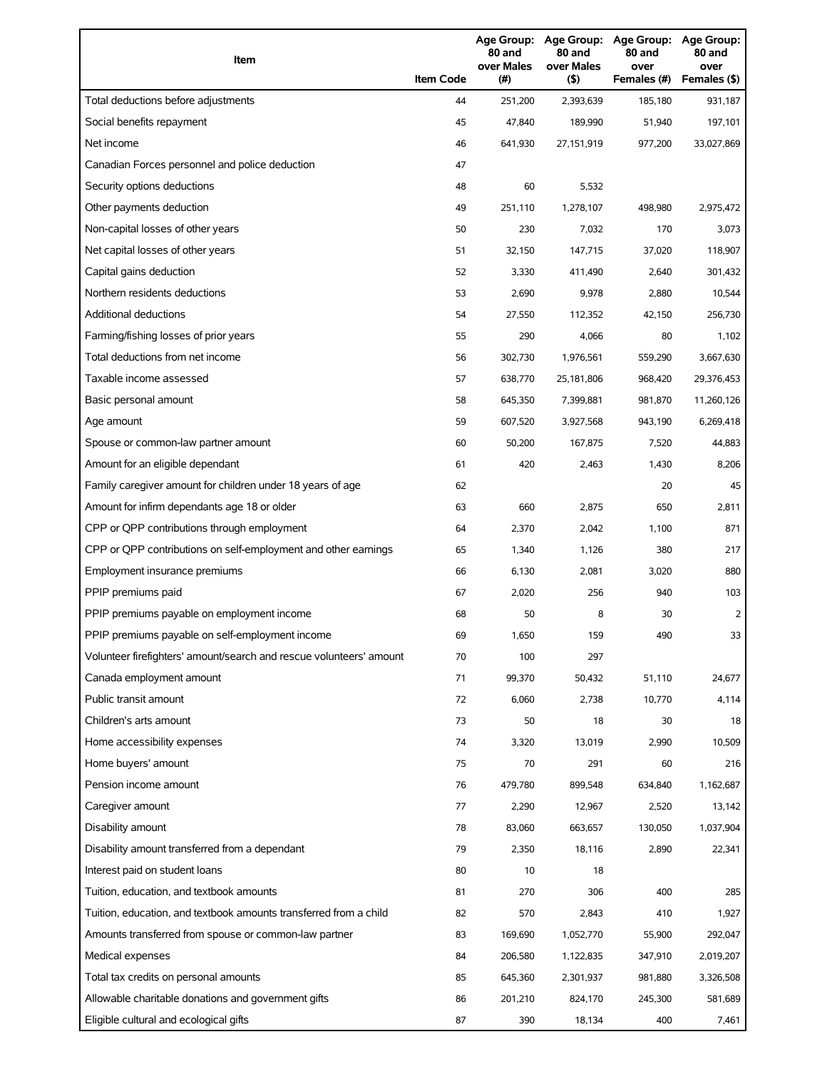| Item                                                                | <b>Item Code</b> | 80 and<br>over Males<br>(#) | 80 and<br>over Males<br>(5) | Age Group: Age Group: Age Group: Age Group:<br>80 and<br>over<br>Females (#) | 80 and<br>over<br>Females (\$) |
|---------------------------------------------------------------------|------------------|-----------------------------|-----------------------------|------------------------------------------------------------------------------|--------------------------------|
| Total deductions before adjustments                                 | 44               | 251.200                     | 2,393,639                   | 185,180                                                                      | 931,187                        |
| Social benefits repayment                                           | 45               | 47,840                      | 189,990                     | 51,940                                                                       | 197,101                        |
| Net income                                                          | 46               | 641,930                     | 27,151,919                  | 977,200                                                                      | 33,027,869                     |
| Canadian Forces personnel and police deduction                      | 47               |                             |                             |                                                                              |                                |
| Security options deductions                                         | 48               | 60                          | 5,532                       |                                                                              |                                |
| Other payments deduction                                            | 49               | 251,110                     | 1,278,107                   | 498,980                                                                      | 2,975,472                      |
| Non-capital losses of other years                                   | 50               | 230                         | 7,032                       | 170                                                                          | 3,073                          |
| Net capital losses of other years                                   | 51               | 32,150                      | 147,715                     | 37,020                                                                       | 118,907                        |
| Capital gains deduction                                             | 52               | 3,330                       | 411,490                     | 2,640                                                                        | 301,432                        |
| Northern residents deductions                                       | 53               | 2,690                       | 9,978                       | 2,880                                                                        | 10,544                         |
| <b>Additional deductions</b>                                        | 54               | 27,550                      | 112,352                     | 42,150                                                                       | 256,730                        |
| Farming/fishing losses of prior years                               | 55               | 290                         | 4,066                       | 80                                                                           | 1,102                          |
| Total deductions from net income                                    | 56               | 302,730                     | 1,976,561                   | 559,290                                                                      | 3,667,630                      |
| Taxable income assessed                                             | 57               | 638,770                     | 25,181,806                  | 968,420                                                                      | 29,376,453                     |
| Basic personal amount                                               | 58               | 645,350                     | 7,399,881                   | 981,870                                                                      | 11,260,126                     |
| Age amount                                                          | 59               | 607,520                     | 3,927,568                   | 943,190                                                                      | 6,269,418                      |
| Spouse or common-law partner amount                                 | 60               | 50,200                      | 167,875                     | 7,520                                                                        | 44,883                         |
| Amount for an eligible dependant                                    | 61               | 420                         | 2,463                       | 1,430                                                                        | 8,206                          |
| Family caregiver amount for children under 18 years of age          | 62               |                             |                             | 20                                                                           | 45                             |
| Amount for infirm dependants age 18 or older                        | 63               | 660                         | 2,875                       | 650                                                                          | 2,811                          |
| CPP or QPP contributions through employment                         | 64               | 2,370                       | 2,042                       | 1,100                                                                        | 871                            |
| CPP or QPP contributions on self-employment and other earnings      | 65               | 1,340                       | 1,126                       | 380                                                                          | 217                            |
| Employment insurance premiums                                       | 66               | 6,130                       | 2,081                       | 3,020                                                                        | 880                            |
| PPIP premiums paid                                                  | 67               | 2,020                       | 256                         | 940                                                                          | 103                            |
| PPIP premiums payable on employment income                          | 68               | 50                          | 8                           | 30                                                                           | 2                              |
| PPIP premiums payable on self-employment income                     | 69               | 1,650                       | 159                         | 490                                                                          | 33                             |
| Volunteer firefighters' amount/search and rescue volunteers' amount | 70               | 100                         | 297                         |                                                                              |                                |
| Canada employment amount                                            | 71               | 99,370                      | 50,432                      | 51,110                                                                       | 24,677                         |
| Public transit amount                                               | 72               | 6,060                       | 2,738                       | 10,770                                                                       | 4,114                          |
| Children's arts amount                                              | 73               | 50                          | 18                          | 30                                                                           | 18                             |
| Home accessibility expenses                                         | 74               | 3,320                       | 13,019                      | 2,990                                                                        | 10,509                         |
| Home buyers' amount                                                 | 75               | 70                          | 291                         | 60                                                                           | 216                            |
| Pension income amount                                               | 76               | 479,780                     | 899,548                     | 634,840                                                                      | 1,162,687                      |
| Caregiver amount                                                    | 77               | 2,290                       | 12,967                      | 2,520                                                                        | 13,142                         |
| Disability amount                                                   | 78               | 83,060                      | 663,657                     | 130,050                                                                      | 1,037,904                      |
| Disability amount transferred from a dependant                      | 79               | 2,350                       | 18,116                      | 2,890                                                                        | 22,341                         |
| Interest paid on student loans                                      | 80               | 10                          | 18                          |                                                                              |                                |
| Tuition, education, and textbook amounts                            | 81               | 270                         | 306                         | 400                                                                          | 285                            |
| Tuition, education, and textbook amounts transferred from a child   | 82               | 570                         | 2,843                       | 410                                                                          | 1,927                          |
| Amounts transferred from spouse or common-law partner               | 83               | 169,690                     | 1,052,770                   | 55,900                                                                       | 292,047                        |
| Medical expenses                                                    | 84               | 206,580                     | 1,122,835                   | 347,910                                                                      | 2,019,207                      |
| Total tax credits on personal amounts                               | 85               | 645,360                     | 2,301,937                   | 981,880                                                                      | 3,326,508                      |
| Allowable charitable donations and government gifts                 | 86               | 201,210                     | 824,170                     | 245,300                                                                      | 581,689                        |
| Eligible cultural and ecological gifts                              | 87               | 390                         | 18,134                      | 400                                                                          | 7,461                          |